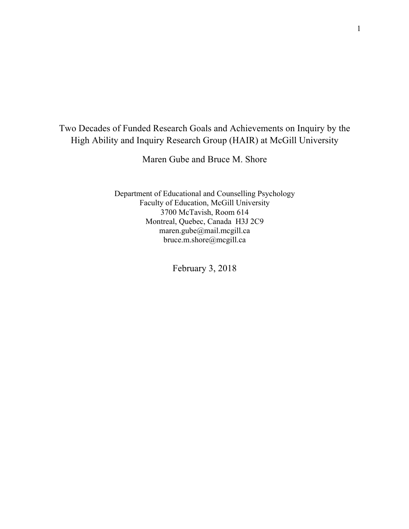## Two Decades of Funded Research Goals and Achievements on Inquiry by the High Ability and Inquiry Research Group (HAIR) at McGill University

Maren Gube and Bruce M. Shore

Department of Educational and Counselling Psychology Faculty of Education, McGill University 3700 McTavish, Room 614 Montreal, Quebec, Canada H3J 2C9 maren.gube@mail.mcgill.ca bruce.m.shore@mcgill.ca

February 3, 2018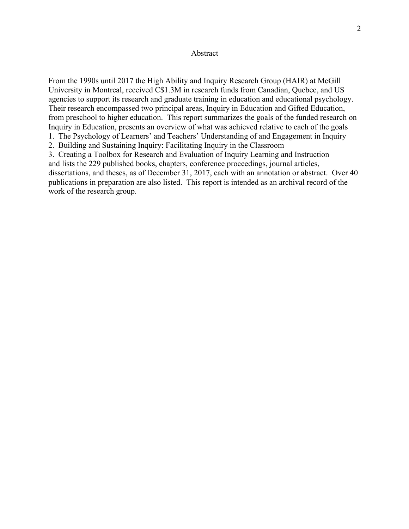### Abstract

From the 1990s until 2017 the High Ability and Inquiry Research Group (HAIR) at McGill University in Montreal, received C\$1.3M in research funds from Canadian, Quebec, and US agencies to support its research and graduate training in education and educational psychology. Their research encompassed two principal areas, Inquiry in Education and Gifted Education, from preschool to higher education. This report summarizes the goals of the funded research on Inquiry in Education, presents an overview of what was achieved relative to each of the goals

1. The Psychology of Learners' and Teachers' Understanding of and Engagement in Inquiry

2. Building and Sustaining Inquiry: Facilitating Inquiry in the Classroom

3. Creating a Toolbox for Research and Evaluation of Inquiry Learning and Instruction and lists the 229 published books, chapters, conference proceedings, journal articles, dissertations, and theses, as of December 31, 2017, each with an annotation or abstract. Over 40 publications in preparation are also listed. This report is intended as an archival record of the work of the research group.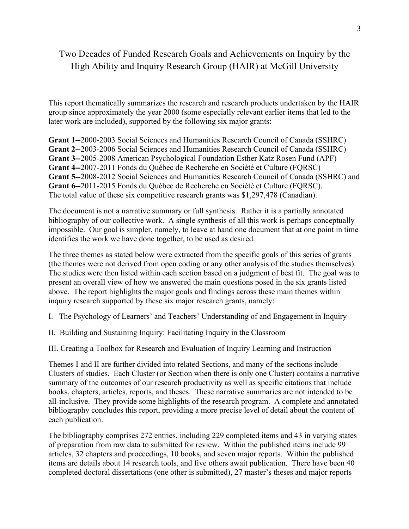## Two Decades of Funded Research Goals and Achievements on Inquiry by the High Ability and Inquiry Research Group (HAIR) at McGill University

This report thematically summarizes the research and research products undertaken by the HAIR group since approximately the year 2000 (some especially relevant earlier items that led to the later work are included), supported by the following six major grants:

**Grant 1--**2000-2003 Social Sciences and Humanities Research Council of Canada (SSHRC) **Grant 2--**2003-2006 Social Sciences and Humanities Research Council of Canada (SSHRC) **Grant 3--**2005-2008 American Psychological Foundation Esther Katz Rosen Fund (APF) **Grant 4--**2007-2011 Fonds du Québec de Recherche en Société et Culture (FQRSC) **Grant 5--**2008-2012 Social Sciences and Humanities Research Council of Canada (SSHRC) and **Grant 6--**2011-2015 Fonds du Québec de Recherche en Société et Culture (FQRSC). The total value of these six competitive research grants was \$1,297,478 (Canadian).

The document is not a narrative summary or full synthesis. Rather it is a partially annotated bibliography of our collective work. A single synthesis of all this work is perhaps conceptually impossible. Our goal is simpler, namely, to leave at hand one document that at one point in time identifies the work we have done together, to be used as desired.

The three themes as stated below were extracted from the specific goals of this series of grants (the themes were not derived from open coding or any other analysis of the studies themselves). The studies were then listed within each section based on a judgment of best fit. The goal was to present an overall view of how we answered the main questions posed in the six grants listed above. The report highlights the major goals and findings across these main themes within inquiry research supported by these six major research grants, namely:

I. The Psychology of Learners' and Teachers' Understanding of and Engagement in Inquiry

II. Building and Sustaining Inquiry: Facilitating Inquiry in the Classroom

III. Creating a Toolbox for Research and Evaluation of Inquiry Learning and Instruction

Themes I and II are further divided into related Sections, and many of the sections include Clusters of studies. Each Cluster (or Section when there is only one Cluster) contains a narrative summary of the outcomes of our research productivity as well as specific citations that include books, chapters, articles, reports, and theses. These narrative summaries are not intended to be all-inclusive. They provide some highlights of the research program. A complete and annotated bibliography concludes this report, providing a more precise level of detail about the content of each publication.

The bibliography comprises 272 entries, including 229 completed items and 43 in varying states of preparation from raw data to submitted for review. Within the published items include 99 articles, 32 chapters and proceedings, 10 books, and seven major reports. Within the published items are details about 14 research tools, and five others await publication. There have been 40 completed doctoral dissertations (one other is submitted), 27 master's theses and major reports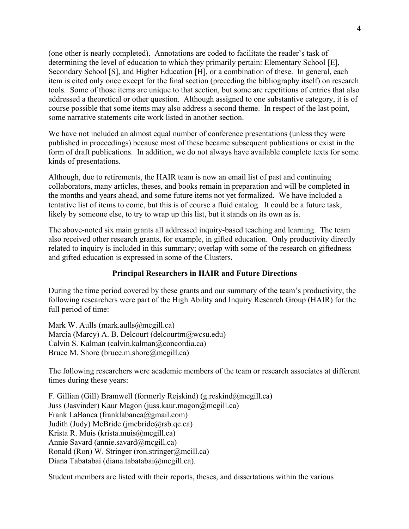(one other is nearly completed). Annotations are coded to facilitate the reader's task of determining the level of education to which they primarily pertain: Elementary School [E], Secondary School [S], and Higher Education [H], or a combination of these. In general, each item is cited only once except for the final section (preceding the bibliography itself) on research tools. Some of those items are unique to that section, but some are repetitions of entries that also addressed a theoretical or other question. Although assigned to one substantive category, it is of course possible that some items may also address a second theme. In respect of the last point, some narrative statements cite work listed in another section.

We have not included an almost equal number of conference presentations (unless they were published in proceedings) because most of these became subsequent publications or exist in the form of draft publications. In addition, we do not always have available complete texts for some kinds of presentations.

Although, due to retirements, the HAIR team is now an email list of past and continuing collaborators, many articles, theses, and books remain in preparation and will be completed in the months and years ahead, and some future items not yet formalized. We have included a tentative list of items to come, but this is of course a fluid catalog. It could be a future task, likely by someone else, to try to wrap up this list, but it stands on its own as is.

The above-noted six main grants all addressed inquiry-based teaching and learning. The team also received other research grants, for example, in gifted education. Only productivity directly related to inquiry is included in this summary; overlap with some of the research on giftedness and gifted education is expressed in some of the Clusters.

### **Principal Researchers in HAIR and Future Directions**

During the time period covered by these grants and our summary of the team's productivity, the following researchers were part of the High Ability and Inquiry Research Group (HAIR) for the full period of time:

Mark W. Aulls (mark.aulls  $(\partial \text{mcgill.ca})$ ) Marcia (Marcy) A. B. Delcourt (delcourtm@wcsu.edu) Calvin S. Kalman (calvin.kalman@concordia.ca) Bruce M. Shore (bruce.m.shore@mcgill.ca)

The following researchers were academic members of the team or research associates at different times during these years:

F. Gillian (Gill) Bramwell (formerly Rejskind) (g.reskind@mcgill.ca) Juss (Jasvinder) Kaur Magon (juss.kaur.magon@mcgill.ca) Frank LaBanca (franklabanca@gmail.com) Judith (Judy) McBride (jmcbride@rsb.qc.ca) Krista R. Muis (krista.muis@mcgill.ca) Annie Savard (annie.savard@mcgill.ca) Ronald (Ron) W. Stringer (ron.stringer@mcill.ca) Diana Tabatabai (diana.tabatabai@mcgill.ca).

Student members are listed with their reports, theses, and dissertations within the various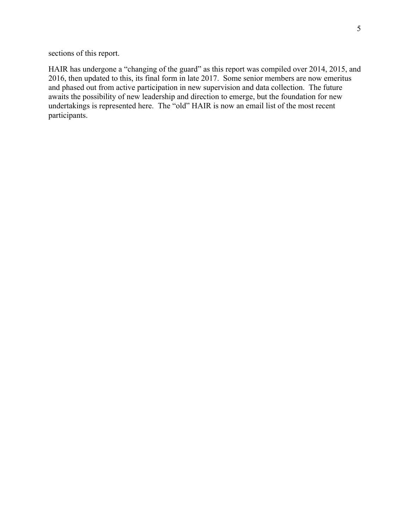sections of this report.

HAIR has undergone a "changing of the guard" as this report was compiled over 2014, 2015, and 2016, then updated to this, its final form in late 2017. Some senior members are now emeritus and phased out from active participation in new supervision and data collection. The future awaits the possibility of new leadership and direction to emerge, but the foundation for new undertakings is represented here. The "old" HAIR is now an email list of the most recent participants.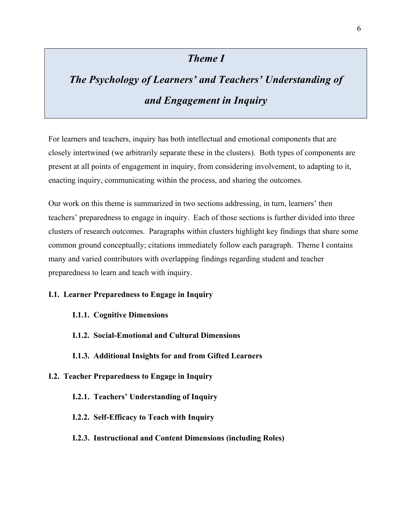## *Theme I*

# *The Psychology of Learners' and Teachers' Understanding of and Engagement in Inquiry*

For learners and teachers, inquiry has both intellectual and emotional components that are closely intertwined (we arbitrarily separate these in the clusters). Both types of components are present at all points of engagement in inquiry, from considering involvement, to adapting to it, enacting inquiry, communicating within the process, and sharing the outcomes.

Our work on this theme is summarized in two sections addressing, in turn, learners' then teachers' preparedness to engage in inquiry. Each of those sections is further divided into three clusters of research outcomes. Paragraphs within clusters highlight key findings that share some common ground conceptually; citations immediately follow each paragraph. Theme I contains many and varied contributors with overlapping findings regarding student and teacher preparedness to learn and teach with inquiry.

### **I.1. Learner Preparedness to Engage in Inquiry**

- **I.1.1. Cognitive Dimensions**
- **I.1.2. Social-Emotional and Cultural Dimensions**
- **I.1.3. Additional Insights for and from Gifted Learners**

### **I.2. Teacher Preparedness to Engage in Inquiry**

- **I.2.1. Teachers' Understanding of Inquiry**
- **I.2.2. Self-Efficacy to Teach with Inquiry**
- **I.2.3. Instructional and Content Dimensions (including Roles)**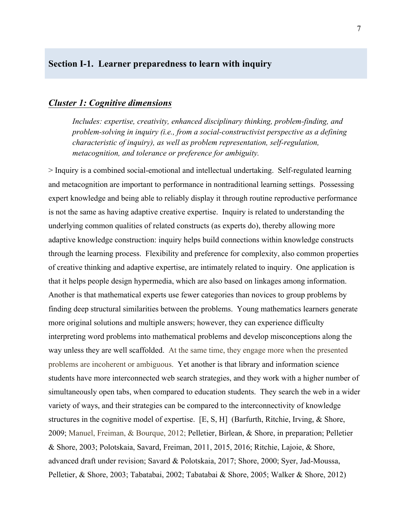## **Section I-1. Learner preparedness to learn with inquiry**

### *Cluster 1: Cognitive dimensions*

*Includes: expertise, creativity, enhanced disciplinary thinking, problem-finding, and problem-solving in inquiry (i.e., from a social-constructivist perspective as a defining characteristic of inquiry), as well as problem representation, self-regulation, metacognition, and tolerance or preference for ambiguity.*

> Inquiry is a combined social-emotional and intellectual undertaking. Self-regulated learning and metacognition are important to performance in nontraditional learning settings. Possessing expert knowledge and being able to reliably display it through routine reproductive performance is not the same as having adaptive creative expertise. Inquiry is related to understanding the underlying common qualities of related constructs (as experts do), thereby allowing more adaptive knowledge construction: inquiry helps build connections within knowledge constructs through the learning process. Flexibility and preference for complexity, also common properties of creative thinking and adaptive expertise, are intimately related to inquiry. One application is that it helps people design hypermedia, which are also based on linkages among information. Another is that mathematical experts use fewer categories than novices to group problems by finding deep structural similarities between the problems. Young mathematics learners generate more original solutions and multiple answers; however, they can experience difficulty interpreting word problems into mathematical problems and develop misconceptions along the way unless they are well scaffolded. At the same time, they engage more when the presented problems are incoherent or ambiguous. Yet another is that library and information science students have more interconnected web search strategies, and they work with a higher number of simultaneously open tabs, when compared to education students. They search the web in a wider variety of ways, and their strategies can be compared to the interconnectivity of knowledge structures in the cognitive model of expertise. [E, S, H] (Barfurth, Ritchie, Irving, & Shore, 2009; Manuel, Freiman, & Bourque, 2012; Pelletier, Birlean, & Shore, in preparation; Pelletier & Shore, 2003; Polotskaia, Savard, Freiman, 2011, 2015, 2016; Ritchie, Lajoie, & Shore, advanced draft under revision; Savard & Polotskaia, 2017; Shore, 2000; Syer, Jad-Moussa, Pelletier, & Shore, 2003; Tabatabai, 2002; Tabatabai & Shore, 2005; Walker & Shore, 2012)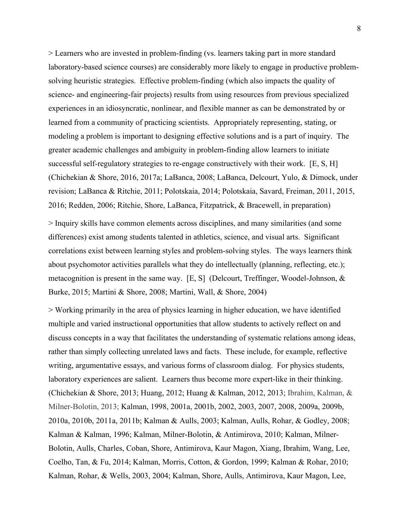> Learners who are invested in problem-finding (vs. learners taking part in more standard laboratory-based science courses) are considerably more likely to engage in productive problemsolving heuristic strategies. Effective problem-finding (which also impacts the quality of science- and engineering-fair projects) results from using resources from previous specialized experiences in an idiosyncratic, nonlinear, and flexible manner as can be demonstrated by or learned from a community of practicing scientists. Appropriately representing, stating, or modeling a problem is important to designing effective solutions and is a part of inquiry. The greater academic challenges and ambiguity in problem-finding allow learners to initiate successful self-regulatory strategies to re-engage constructively with their work. [E, S, H] (Chichekian & Shore, 2016, 2017a; LaBanca, 2008; LaBanca, Delcourt, Yulo, & Dimock, under revision; LaBanca & Ritchie, 2011; Polotskaia, 2014; Polotskaia, Savard, Freiman, 2011, 2015, 2016; Redden, 2006; Ritchie, Shore, LaBanca, Fitzpatrick, & Bracewell, in preparation)

> Inquiry skills have common elements across disciplines, and many similarities (and some differences) exist among students talented in athletics, science, and visual arts. Significant correlations exist between learning styles and problem-solving styles. The ways learners think about psychomotor activities parallels what they do intellectually (planning, reflecting, etc.); metacognition is present in the same way. [E, S] (Delcourt, Treffinger, Woodel-Johnson, & Burke, 2015; Martini & Shore, 2008; Martini, Wall, & Shore, 2004)

> Working primarily in the area of physics learning in higher education, we have identified multiple and varied instructional opportunities that allow students to actively reflect on and discuss concepts in a way that facilitates the understanding of systematic relations among ideas, rather than simply collecting unrelated laws and facts. These include, for example, reflective writing, argumentative essays, and various forms of classroom dialog. For physics students, laboratory experiences are salient. Learners thus become more expert-like in their thinking. (Chichekian & Shore, 2013; Huang, 2012; Huang & Kalman, 2012, 2013; Ibrahim, Kalman, & Milner-Bolotin, 2013; Kalman, 1998, 2001a, 2001b, 2002, 2003, 2007, 2008, 2009a, 2009b, 2010a, 2010b, 2011a, 2011b; Kalman & Aulls, 2003; Kalman, Aulls, Rohar, & Godley, 2008; Kalman & Kalman, 1996; Kalman, Milner-Bolotin, & Antimirova, 2010; Kalman, Milner-Bolotin, Aulls, Charles, Coban, Shore, Antimirova, Kaur Magon, Xiang, Ibrahim, Wang, Lee, Coelho, Tan, & Fu, 2014; Kalman, Morris, Cotton, & Gordon, 1999; Kalman & Rohar, 2010; Kalman, Rohar, & Wells, 2003, 2004; Kalman, Shore, Aulls, Antimirova, Kaur Magon, Lee,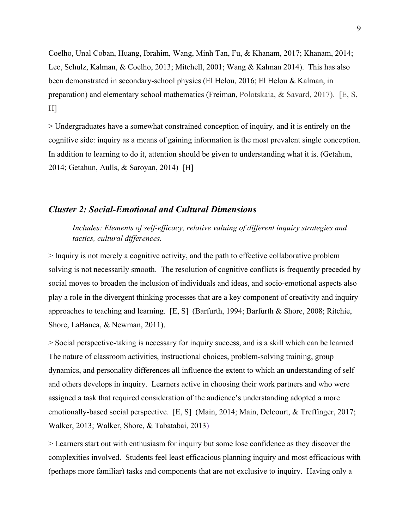Coelho, Unal Coban, Huang, Ibrahim, Wang, Minh Tan, Fu, & Khanam, 2017; Khanam, 2014; Lee, Schulz, Kalman, & Coelho, 2013; Mitchell, 2001; Wang & Kalman 2014). This has also been demonstrated in secondary-school physics (El Helou, 2016; El Helou & Kalman, in preparation) and elementary school mathematics (Freiman, Polotskaia, & Savard, 2017). [E, S,  $H$ ]

> Undergraduates have a somewhat constrained conception of inquiry, and it is entirely on the cognitive side: inquiry as a means of gaining information is the most prevalent single conception. In addition to learning to do it, attention should be given to understanding what it is. (Getahun, 2014; Getahun, Aulls, & Saroyan, 2014) [H]

### *Cluster 2: Social-Emotional and Cultural Dimensions*

*Includes: Elements of self-efficacy, relative valuing of different inquiry strategies and tactics, cultural differences.*

> Inquiry is not merely a cognitive activity, and the path to effective collaborative problem solving is not necessarily smooth. The resolution of cognitive conflicts is frequently preceded by social moves to broaden the inclusion of individuals and ideas, and socio-emotional aspects also play a role in the divergent thinking processes that are a key component of creativity and inquiry approaches to teaching and learning. [E, S] (Barfurth, 1994; Barfurth & Shore, 2008; Ritchie, Shore, LaBanca, & Newman, 2011).

> Social perspective-taking is necessary for inquiry success, and is a skill which can be learned The nature of classroom activities, instructional choices, problem-solving training, group dynamics, and personality differences all influence the extent to which an understanding of self and others develops in inquiry. Learners active in choosing their work partners and who were assigned a task that required consideration of the audience's understanding adopted a more emotionally-based social perspective. [E, S] (Main, 2014; Main, Delcourt, & Treffinger, 2017; Walker, 2013; Walker, Shore, & Tabatabai, 2013)

> Learners start out with enthusiasm for inquiry but some lose confidence as they discover the complexities involved. Students feel least efficacious planning inquiry and most efficacious with (perhaps more familiar) tasks and components that are not exclusive to inquiry. Having only a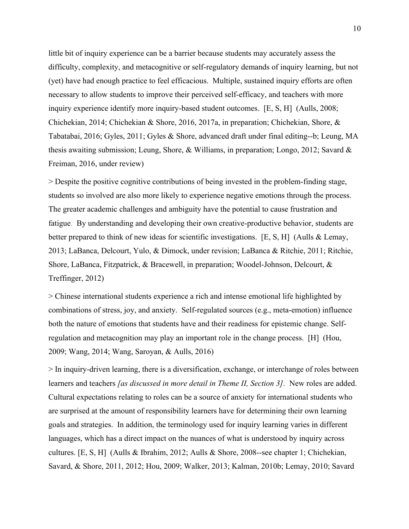little bit of inquiry experience can be a barrier because students may accurately assess the difficulty, complexity, and metacognitive or self-regulatory demands of inquiry learning, but not (yet) have had enough practice to feel efficacious. Multiple, sustained inquiry efforts are often necessary to allow students to improve their perceived self-efficacy, and teachers with more inquiry experience identify more inquiry-based student outcomes. [E, S, H] (Aulls, 2008; Chichekian, 2014; Chichekian & Shore, 2016, 2017a, in preparation; Chichekian, Shore, & Tabatabai, 2016; Gyles, 2011; Gyles & Shore, advanced draft under final editing--b; Leung, MA thesis awaiting submission; Leung, Shore, & Williams, in preparation; Longo, 2012; Savard  $\&$ Freiman, 2016, under review)

> Despite the positive cognitive contributions of being invested in the problem-finding stage, students so involved are also more likely to experience negative emotions through the process. The greater academic challenges and ambiguity have the potential to cause frustration and fatigue. By understanding and developing their own creative-productive behavior, students are better prepared to think of new ideas for scientific investigations. [E, S, H] (Aulls & Lemay, 2013; LaBanca, Delcourt, Yulo, & Dimock, under revision; LaBanca & Ritchie, 2011; Ritchie, Shore, LaBanca, Fitzpatrick, & Bracewell, in preparation; Woodel-Johnson, Delcourt, & Treffinger, 2012)

> Chinese international students experience a rich and intense emotional life highlighted by combinations of stress, joy, and anxiety. Self-regulated sources (e.g., meta-emotion) influence both the nature of emotions that students have and their readiness for epistemic change. Selfregulation and metacognition may play an important role in the change process. [H] (Hou, 2009; Wang, 2014; Wang, Saroyan, & Aulls, 2016)

> In inquiry-driven learning, there is a diversification, exchange, or interchange of roles between learners and teachers *[as discussed in more detail in Theme II, Section 3].* New roles are added. Cultural expectations relating to roles can be a source of anxiety for international students who are surprised at the amount of responsibility learners have for determining their own learning goals and strategies. In addition, the terminology used for inquiry learning varies in different languages, which has a direct impact on the nuances of what is understood by inquiry across cultures. [E, S, H] (Aulls & Ibrahim, 2012; Aulls & Shore, 2008--see chapter 1; Chichekian, Savard, & Shore, 2011, 2012; Hou, 2009; Walker, 2013; Kalman, 2010b; Lemay, 2010; Savard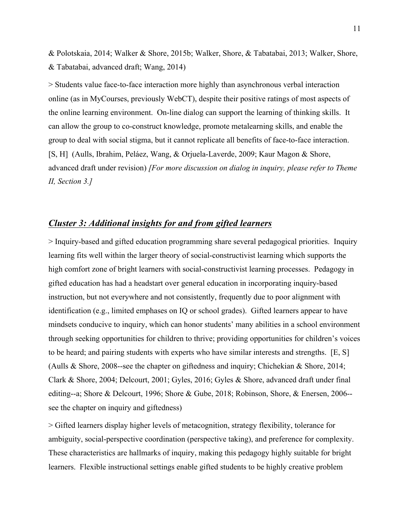& Polotskaia, 2014; Walker & Shore, 2015b; Walker, Shore, & Tabatabai, 2013; Walker, Shore, & Tabatabai, advanced draft; Wang, 2014)

> Students value face-to-face interaction more highly than asynchronous verbal interaction online (as in MyCourses, previously WebCT), despite their positive ratings of most aspects of the online learning environment. On-line dialog can support the learning of thinking skills. It can allow the group to co-construct knowledge, promote metalearning skills, and enable the group to deal with social stigma, but it cannot replicate all benefits of face-to-face interaction. [S, H] (Aulls, Ibrahim, Peláez, Wang, & Orjuela-Laverde, 2009; Kaur Magon & Shore, advanced draft under revision) *[For more discussion on dialog in inquiry, please refer to Theme II, Section 3.]*

## *Cluster 3: Additional insights for and from gifted learners*

> Inquiry-based and gifted education programming share several pedagogical priorities. Inquiry learning fits well within the larger theory of social-constructivist learning which supports the high comfort zone of bright learners with social-constructivist learning processes. Pedagogy in gifted education has had a headstart over general education in incorporating inquiry-based instruction, but not everywhere and not consistently, frequently due to poor alignment with identification (e.g., limited emphases on IQ or school grades). Gifted learners appear to have mindsets conducive to inquiry, which can honor students' many abilities in a school environment through seeking opportunities for children to thrive; providing opportunities for children's voices to be heard; and pairing students with experts who have similar interests and strengths. [E, S] (Aulls & Shore, 2008--see the chapter on giftedness and inquiry; Chichekian & Shore, 2014; Clark & Shore, 2004; Delcourt, 2001; Gyles, 2016; Gyles & Shore, advanced draft under final editing--a; Shore & Delcourt, 1996; Shore & Gube, 2018; Robinson, Shore, & Enersen, 2006- see the chapter on inquiry and giftedness)

> Gifted learners display higher levels of metacognition, strategy flexibility, tolerance for ambiguity, social-perspective coordination (perspective taking), and preference for complexity. These characteristics are hallmarks of inquiry, making this pedagogy highly suitable for bright learners. Flexible instructional settings enable gifted students to be highly creative problem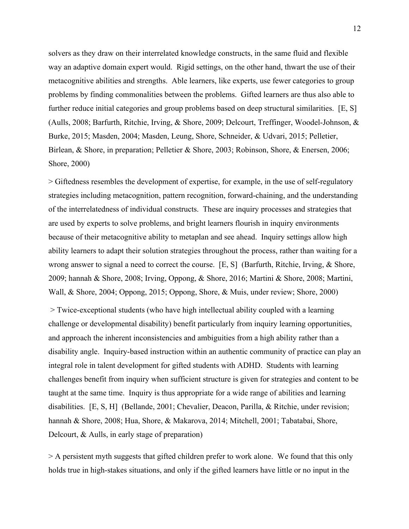solvers as they draw on their interrelated knowledge constructs, in the same fluid and flexible way an adaptive domain expert would. Rigid settings, on the other hand, thwart the use of their metacognitive abilities and strengths. Able learners, like experts, use fewer categories to group problems by finding commonalities between the problems. Gifted learners are thus also able to further reduce initial categories and group problems based on deep structural similarities. [E, S] (Aulls, 2008; Barfurth, Ritchie, Irving, & Shore, 2009; Delcourt, Treffinger, Woodel-Johnson, & Burke, 2015; Masden, 2004; Masden, Leung, Shore, Schneider, & Udvari, 2015; Pelletier, Birlean, & Shore, in preparation; Pelletier & Shore, 2003; Robinson, Shore, & Enersen, 2006; Shore, 2000)

> Giftedness resembles the development of expertise, for example, in the use of self-regulatory strategies including metacognition, pattern recognition, forward-chaining, and the understanding of the interrelatedness of individual constructs. These are inquiry processes and strategies that are used by experts to solve problems, and bright learners flourish in inquiry environments because of their metacognitive ability to metaplan and see ahead. Inquiry settings allow high ability learners to adapt their solution strategies throughout the process, rather than waiting for a wrong answer to signal a need to correct the course. [E, S] (Barfurth, Ritchie, Irving, & Shore, 2009; hannah & Shore, 2008; Irving, Oppong, & Shore, 2016; Martini & Shore, 2008; Martini, Wall, & Shore, 2004; Oppong, 2015; Oppong, Shore, & Muis, under review; Shore, 2000)

> Twice-exceptional students (who have high intellectual ability coupled with a learning challenge or developmental disability) benefit particularly from inquiry learning opportunities, and approach the inherent inconsistencies and ambiguities from a high ability rather than a disability angle. Inquiry-based instruction within an authentic community of practice can play an integral role in talent development for gifted students with ADHD. Students with learning challenges benefit from inquiry when sufficient structure is given for strategies and content to be taught at the same time. Inquiry is thus appropriate for a wide range of abilities and learning disabilities. [E, S, H] (Bellande, 2001; Chevalier, Deacon, Parilla, & Ritchie, under revision; hannah & Shore, 2008; Hua, Shore, & Makarova, 2014; Mitchell, 2001; Tabatabai, Shore, Delcourt, & Aulls, in early stage of preparation)

> A persistent myth suggests that gifted children prefer to work alone. We found that this only holds true in high-stakes situations, and only if the gifted learners have little or no input in the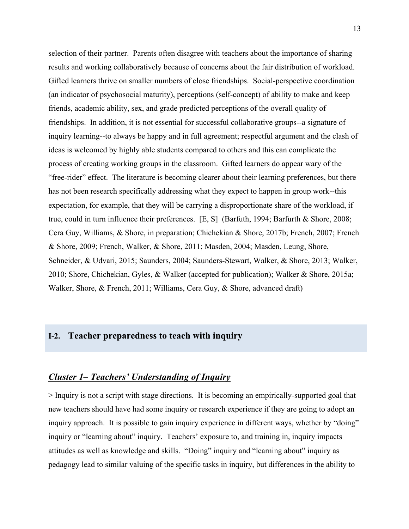selection of their partner. Parents often disagree with teachers about the importance of sharing results and working collaboratively because of concerns about the fair distribution of workload. Gifted learners thrive on smaller numbers of close friendships. Social-perspective coordination (an indicator of psychosocial maturity), perceptions (self-concept) of ability to make and keep friends, academic ability, sex, and grade predicted perceptions of the overall quality of friendships. In addition, it is not essential for successful collaborative groups--a signature of inquiry learning--to always be happy and in full agreement; respectful argument and the clash of ideas is welcomed by highly able students compared to others and this can complicate the process of creating working groups in the classroom. Gifted learners do appear wary of the "free-rider" effect. The literature is becoming clearer about their learning preferences, but there has not been research specifically addressing what they expect to happen in group work--this expectation, for example, that they will be carrying a disproportionate share of the workload, if true, could in turn influence their preferences. [E, S] (Barfuth, 1994; Barfurth & Shore, 2008; Cera Guy, Williams, & Shore, in preparation; Chichekian & Shore, 2017b; French, 2007; French & Shore, 2009; French, Walker, & Shore, 2011; Masden, 2004; Masden, Leung, Shore, Schneider, & Udvari, 2015; Saunders, 2004; Saunders-Stewart, Walker, & Shore, 2013; Walker, 2010; Shore, Chichekian, Gyles, & Walker (accepted for publication); Walker & Shore, 2015a; Walker, Shore, & French, 2011; Williams, Cera Guy, & Shore, advanced draft)

## **I-2. Teacher preparedness to teach with inquiry**

### *Cluster 1– Teachers' Understanding of Inquiry*

> Inquiry is not a script with stage directions. It is becoming an empirically-supported goal that new teachers should have had some inquiry or research experience if they are going to adopt an inquiry approach. It is possible to gain inquiry experience in different ways, whether by "doing" inquiry or "learning about" inquiry. Teachers' exposure to, and training in, inquiry impacts attitudes as well as knowledge and skills. "Doing" inquiry and "learning about" inquiry as pedagogy lead to similar valuing of the specific tasks in inquiry, but differences in the ability to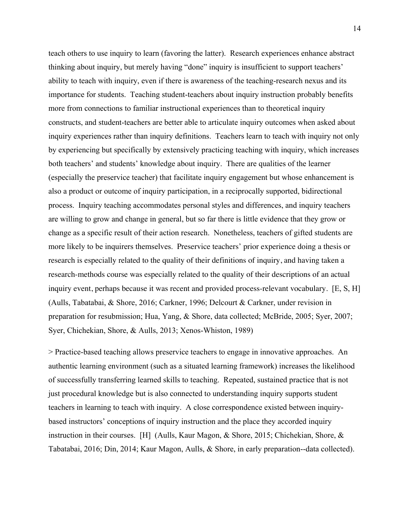teach others to use inquiry to learn (favoring the latter). Research experiences enhance abstract thinking about inquiry, but merely having "done" inquiry is insufficient to support teachers' ability to teach with inquiry, even if there is awareness of the teaching-research nexus and its importance for students. Teaching student-teachers about inquiry instruction probably benefits more from connections to familiar instructional experiences than to theoretical inquiry constructs, and student-teachers are better able to articulate inquiry outcomes when asked about inquiry experiences rather than inquiry definitions. Teachers learn to teach with inquiry not only by experiencing but specifically by extensively practicing teaching with inquiry, which increases both teachers' and students' knowledge about inquiry. There are qualities of the learner (especially the preservice teacher) that facilitate inquiry engagement but whose enhancement is also a product or outcome of inquiry participation, in a reciprocally supported, bidirectional process. Inquiry teaching accommodates personal styles and differences, and inquiry teachers are willing to grow and change in general, but so far there is little evidence that they grow or change as a specific result of their action research. Nonetheless, teachers of gifted students are more likely to be inquirers themselves. Preservice teachers' prior experience doing a thesis or research is especially related to the quality of their definitions of inquiry, and having taken a research-methods course was especially related to the quality of their descriptions of an actual inquiry event, perhaps because it was recent and provided process-relevant vocabulary. [E, S, H] (Aulls, Tabatabai, & Shore, 2016; Carkner, 1996; Delcourt & Carkner, under revision in preparation for resubmission; Hua, Yang, & Shore, data collected; McBride, 2005; Syer, 2007; Syer, Chichekian, Shore, & Aulls, 2013; Xenos-Whiston, 1989)

> Practice-based teaching allows preservice teachers to engage in innovative approaches. An authentic learning environment (such as a situated learning framework) increases the likelihood of successfully transferring learned skills to teaching. Repeated, sustained practice that is not just procedural knowledge but is also connected to understanding inquiry supports student teachers in learning to teach with inquiry. A close correspondence existed between inquirybased instructors' conceptions of inquiry instruction and the place they accorded inquiry instruction in their courses. [H] (Aulls, Kaur Magon, & Shore, 2015; Chichekian, Shore, & Tabatabai, 2016; Din, 2014; Kaur Magon, Aulls, & Shore, in early preparation--data collected).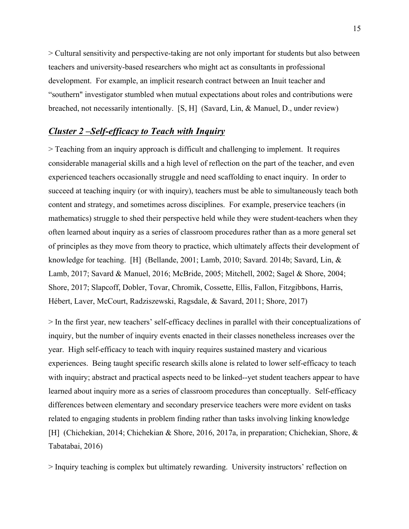> Cultural sensitivity and perspective-taking are not only important for students but also between teachers and university-based researchers who might act as consultants in professional development. For example, an implicit research contract between an Inuit teacher and "southern" investigator stumbled when mutual expectations about roles and contributions were breached, not necessarily intentionally. [S, H] (Savard, Lin, & Manuel, D., under review)

## *Cluster 2 –Self-efficacy to Teach with Inquiry*

> Teaching from an inquiry approach is difficult and challenging to implement. It requires considerable managerial skills and a high level of reflection on the part of the teacher, and even experienced teachers occasionally struggle and need scaffolding to enact inquiry. In order to succeed at teaching inquiry (or with inquiry), teachers must be able to simultaneously teach both content and strategy, and sometimes across disciplines. For example, preservice teachers (in mathematics) struggle to shed their perspective held while they were student-teachers when they often learned about inquiry as a series of classroom procedures rather than as a more general set of principles as they move from theory to practice, which ultimately affects their development of knowledge for teaching. [H] (Bellande, 2001; Lamb, 2010; Savard. 2014b; Savard, Lin, & Lamb, 2017; Savard & Manuel, 2016; McBride, 2005; Mitchell, 2002; Sagel & Shore, 2004; Shore, 2017; Slapcoff, Dobler, Tovar, Chromik, Cossette, Ellis, Fallon, Fitzgibbons, Harris, Hébert, Laver, McCourt, Radziszewski, Ragsdale, & Savard, 2011; Shore, 2017)

> In the first year, new teachers' self-efficacy declines in parallel with their conceptualizations of inquiry, but the number of inquiry events enacted in their classes nonetheless increases over the year. High self-efficacy to teach with inquiry requires sustained mastery and vicarious experiences. Being taught specific research skills alone is related to lower self-efficacy to teach with inquiry; abstract and practical aspects need to be linked--yet student teachers appear to have learned about inquiry more as a series of classroom procedures than conceptually. Self-efficacy differences between elementary and secondary preservice teachers were more evident on tasks related to engaging students in problem finding rather than tasks involving linking knowledge [H] (Chichekian, 2014; Chichekian & Shore, 2016, 2017a, in preparation; Chichekian, Shore, & Tabatabai, 2016)

> Inquiry teaching is complex but ultimately rewarding. University instructors' reflection on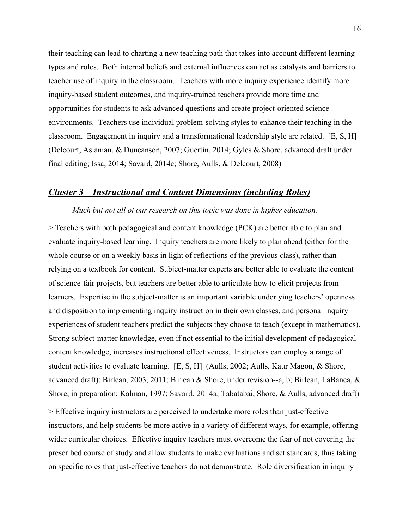their teaching can lead to charting a new teaching path that takes into account different learning types and roles. Both internal beliefs and external influences can act as catalysts and barriers to teacher use of inquiry in the classroom. Teachers with more inquiry experience identify more inquiry-based student outcomes, and inquiry-trained teachers provide more time and opportunities for students to ask advanced questions and create project-oriented science environments. Teachers use individual problem-solving styles to enhance their teaching in the classroom. Engagement in inquiry and a transformational leadership style are related. [E, S, H] (Delcourt, Aslanian, & Duncanson, 2007; Guertin, 2014; Gyles & Shore, advanced draft under final editing; Issa, 2014; Savard, 2014c; Shore, Aulls, & Delcourt, 2008)

## *Cluster 3 – Instructional and Content Dimensions (including Roles)*

#### *Much but not all of our research on this topic was done in higher education.*

> Teachers with both pedagogical and content knowledge (PCK) are better able to plan and evaluate inquiry-based learning. Inquiry teachers are more likely to plan ahead (either for the whole course or on a weekly basis in light of reflections of the previous class), rather than relying on a textbook for content. Subject-matter experts are better able to evaluate the content of science-fair projects, but teachers are better able to articulate how to elicit projects from learners. Expertise in the subject-matter is an important variable underlying teachers' openness and disposition to implementing inquiry instruction in their own classes, and personal inquiry experiences of student teachers predict the subjects they choose to teach (except in mathematics). Strong subject-matter knowledge, even if not essential to the initial development of pedagogicalcontent knowledge, increases instructional effectiveness. Instructors can employ a range of student activities to evaluate learning. [E, S, H] (Aulls, 2002; Aulls, Kaur Magon, & Shore, advanced draft); Birlean, 2003, 2011; Birlean & Shore, under revision--a, b; Birlean, LaBanca, & Shore, in preparation; Kalman, 1997; Savard, 2014a; Tabatabai, Shore, & Aulls, advanced draft)

> Effective inquiry instructors are perceived to undertake more roles than just-effective instructors, and help students be more active in a variety of different ways, for example, offering wider curricular choices. Effective inquiry teachers must overcome the fear of not covering the prescribed course of study and allow students to make evaluations and set standards, thus taking on specific roles that just-effective teachers do not demonstrate. Role diversification in inquiry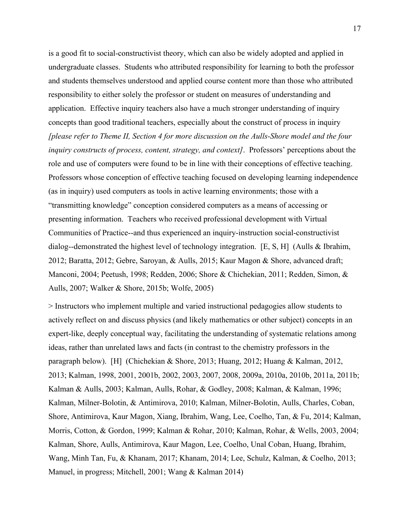is a good fit to social-constructivist theory, which can also be widely adopted and applied in undergraduate classes. Students who attributed responsibility for learning to both the professor and students themselves understood and applied course content more than those who attributed responsibility to either solely the professor or student on measures of understanding and application. Effective inquiry teachers also have a much stronger understanding of inquiry concepts than good traditional teachers, especially about the construct of process in inquiry *[please refer to Theme II, Section 4 for more discussion on the Aulls-Shore model and the four inquiry constructs of process, content, strategy, and context]*.Professors' perceptions about the role and use of computers were found to be in line with their conceptions of effective teaching. Professors whose conception of effective teaching focused on developing learning independence (as in inquiry) used computers as tools in active learning environments; those with a "transmitting knowledge" conception considered computers as a means of accessing or presenting information. Teachers who received professional development with Virtual Communities of Practice--and thus experienced an inquiry-instruction social-constructivist dialog--demonstrated the highest level of technology integration. [E, S, H] (Aulls & Ibrahim, 2012; Baratta, 2012; Gebre, Saroyan, & Aulls, 2015; Kaur Magon & Shore, advanced draft; Manconi, 2004; Peetush, 1998; Redden, 2006; Shore & Chichekian, 2011; Redden, Simon, & Aulls, 2007; Walker & Shore, 2015b; Wolfe, 2005)

> Instructors who implement multiple and varied instructional pedagogies allow students to actively reflect on and discuss physics (and likely mathematics or other subject) concepts in an expert-like, deeply conceptual way, facilitating the understanding of systematic relations among ideas, rather than unrelated laws and facts (in contrast to the chemistry professors in the paragraph below). [H] (Chichekian & Shore, 2013; Huang, 2012; Huang & Kalman, 2012, 2013; Kalman, 1998, 2001, 2001b, 2002, 2003, 2007, 2008, 2009a, 2010a, 2010b, 2011a, 2011b; Kalman & Aulls, 2003; Kalman, Aulls, Rohar, & Godley, 2008; Kalman, & Kalman, 1996; Kalman, Milner-Bolotin, & Antimirova, 2010; Kalman, Milner-Bolotin, Aulls, Charles, Coban, Shore, Antimirova, Kaur Magon, Xiang, Ibrahim, Wang, Lee, Coelho, Tan, & Fu, 2014; Kalman, Morris, Cotton, & Gordon, 1999; Kalman & Rohar, 2010; Kalman, Rohar, & Wells, 2003, 2004; Kalman, Shore, Aulls, Antimirova, Kaur Magon, Lee, Coelho, Unal Coban, Huang, Ibrahim, Wang, Minh Tan, Fu, & Khanam, 2017; Khanam, 2014; Lee, Schulz, Kalman, & Coelho, 2013; Manuel, in progress; Mitchell, 2001; Wang & Kalman 2014)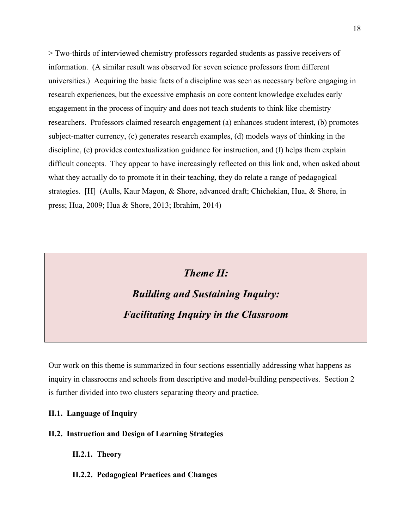> Two-thirds of interviewed chemistry professors regarded students as passive receivers of information. (A similar result was observed for seven science professors from different universities.) Acquiring the basic facts of a discipline was seen as necessary before engaging in research experiences, but the excessive emphasis on core content knowledge excludes early engagement in the process of inquiry and does not teach students to think like chemistry researchers. Professors claimed research engagement (a) enhances student interest, (b) promotes subject-matter currency, (c) generates research examples, (d) models ways of thinking in the discipline, (e) provides contextualization guidance for instruction, and (f) helps them explain difficult concepts. They appear to have increasingly reflected on this link and, when asked about what they actually do to promote it in their teaching, they do relate a range of pedagogical strategies. [H] (Aulls, Kaur Magon, & Shore, advanced draft; Chichekian, Hua, & Shore, in press; Hua, 2009; Hua & Shore, 2013; Ibrahim, 2014)

## *Theme II: Building and Sustaining Inquiry: Facilitating Inquiry in the Classroom*

Our work on this theme is summarized in four sections essentially addressing what happens as inquiry in classrooms and schools from descriptive and model-building perspectives. Section 2 is further divided into two clusters separating theory and practice.

### **II.1. Language of Inquiry**

### **II.2. Instruction and Design of Learning Strategies**

**II.2.1. Theory**

**II.2.2. Pedagogical Practices and Changes**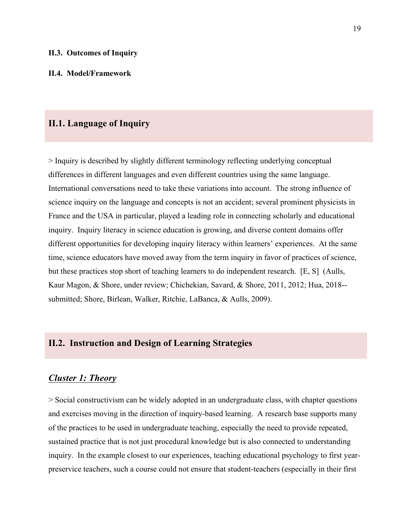### **II.4. Model/Framework**

### **II.1. Language of Inquiry**

> Inquiry is described by slightly different terminology reflecting underlying conceptual differences in different languages and even different countries using the same language. International conversations need to take these variations into account. The strong influence of science inquiry on the language and concepts is not an accident; several prominent physicists in France and the USA in particular, played a leading role in connecting scholarly and educational inquiry. Inquiry literacy in science education is growing, and diverse content domains offer different opportunities for developing inquiry literacy within learners' experiences. At the same time, science educators have moved away from the term inquiry in favor of practices of science, but these practices stop short of teaching learners to do independent research. [E, S] (Aulls, Kaur Magon, & Shore, under review; Chichekian, Savard, & Shore, 2011, 2012; Hua, 2018- submitted; Shore, Birlean, Walker, Ritchie, LaBanca, & Aulls, 2009).

## **II.2. Instruction and Design of Learning Strategies**

### *Cluster 1: Theory*

> Social constructivism can be widely adopted in an undergraduate class, with chapter questions and exercises moving in the direction of inquiry-based learning. A research base supports many of the practices to be used in undergraduate teaching, especially the need to provide repeated, sustained practice that is not just procedural knowledge but is also connected to understanding inquiry. In the example closest to our experiences, teaching educational psychology to first yearpreservice teachers, such a course could not ensure that student-teachers (especially in their first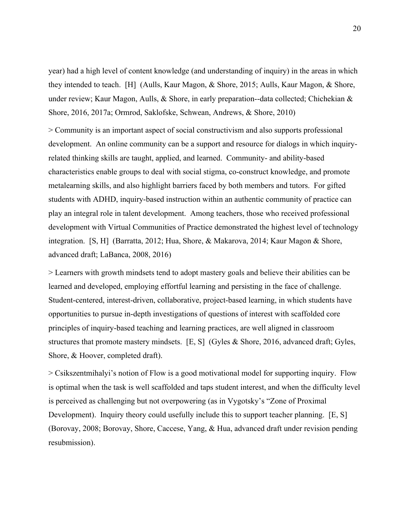year) had a high level of content knowledge (and understanding of inquiry) in the areas in which they intended to teach. [H] (Aulls, Kaur Magon, & Shore, 2015; Aulls, Kaur Magon, & Shore, under review; Kaur Magon, Aulls, & Shore, in early preparation--data collected; Chichekian & Shore, 2016, 2017a; Ormrod, Saklofske, Schwean, Andrews, & Shore, 2010)

> Community is an important aspect of social constructivism and also supports professional development. An online community can be a support and resource for dialogs in which inquiryrelated thinking skills are taught, applied, and learned. Community- and ability-based characteristics enable groups to deal with social stigma, co-construct knowledge, and promote metalearning skills, and also highlight barriers faced by both members and tutors. For gifted students with ADHD, inquiry-based instruction within an authentic community of practice can play an integral role in talent development. Among teachers, those who received professional development with Virtual Communities of Practice demonstrated the highest level of technology integration. [S, H] (Barratta, 2012; Hua, Shore, & Makarova, 2014; Kaur Magon & Shore, advanced draft; LaBanca, 2008, 2016)

> Learners with growth mindsets tend to adopt mastery goals and believe their abilities can be learned and developed, employing effortful learning and persisting in the face of challenge. Student-centered, interest-driven, collaborative, project-based learning, in which students have opportunities to pursue in-depth investigations of questions of interest with scaffolded core principles of inquiry-based teaching and learning practices, are well aligned in classroom structures that promote mastery mindsets. [E, S] (Gyles & Shore, 2016, advanced draft; Gyles, Shore, & Hoover, completed draft).

> Csikszentmihalyi's notion of Flow is a good motivational model for supporting inquiry. Flow is optimal when the task is well scaffolded and taps student interest, and when the difficulty level is perceived as challenging but not overpowering (as in Vygotsky's "Zone of Proximal Development). Inquiry theory could usefully include this to support teacher planning. [E, S] (Borovay, 2008; Borovay, Shore, Caccese, Yang, & Hua, advanced draft under revision pending resubmission).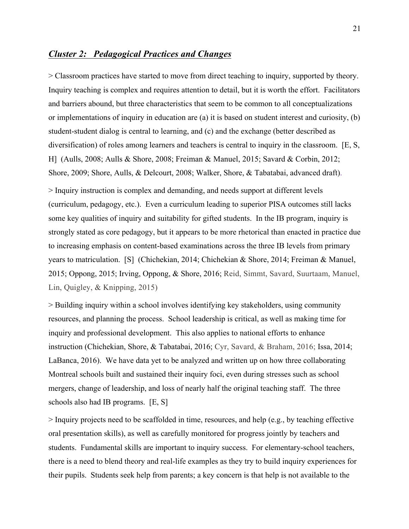## *Cluster 2: Pedagogical Practices and Changes*

> Classroom practices have started to move from direct teaching to inquiry, supported by theory. Inquiry teaching is complex and requires attention to detail, but it is worth the effort. Facilitators and barriers abound, but three characteristics that seem to be common to all conceptualizations or implementations of inquiry in education are (a) it is based on student interest and curiosity, (b) student-student dialog is central to learning, and (c) and the exchange (better described as diversification) of roles among learners and teachers is central to inquiry in the classroom. [E, S, H] (Aulls, 2008; Aulls & Shore, 2008; Freiman & Manuel, 2015; Savard & Corbin, 2012; Shore, 2009; Shore, Aulls, & Delcourt, 2008; Walker, Shore, & Tabatabai, advanced draft).

> Inquiry instruction is complex and demanding, and needs support at different levels (curriculum, pedagogy, etc.). Even a curriculum leading to superior PISA outcomes still lacks some key qualities of inquiry and suitability for gifted students. In the IB program, inquiry is strongly stated as core pedagogy, but it appears to be more rhetorical than enacted in practice due to increasing emphasis on content-based examinations across the three IB levels from primary years to matriculation. [S] (Chichekian, 2014; Chichekian & Shore, 2014; Freiman & Manuel, 2015; Oppong, 2015; Irving, Oppong, & Shore, 2016; Reid, Simmt, Savard, Suurtaam, Manuel, Lin, Quigley, & Knipping, 2015)

> Building inquiry within a school involves identifying key stakeholders, using community resources, and planning the process. School leadership is critical, as well as making time for inquiry and professional development. This also applies to national efforts to enhance instruction (Chichekian, Shore, & Tabatabai, 2016; Cyr, Savard, & Braham, 2016; Issa, 2014; LaBanca, 2016). We have data yet to be analyzed and written up on how three collaborating Montreal schools built and sustained their inquiry foci, even during stresses such as school mergers, change of leadership, and loss of nearly half the original teaching staff. The three schools also had IB programs. [E, S]

> Inquiry projects need to be scaffolded in time, resources, and help (e.g., by teaching effective oral presentation skills), as well as carefully monitored for progress jointly by teachers and students. Fundamental skills are important to inquiry success. For elementary-school teachers, there is a need to blend theory and real-life examples as they try to build inquiry experiences for their pupils. Students seek help from parents; a key concern is that help is not available to the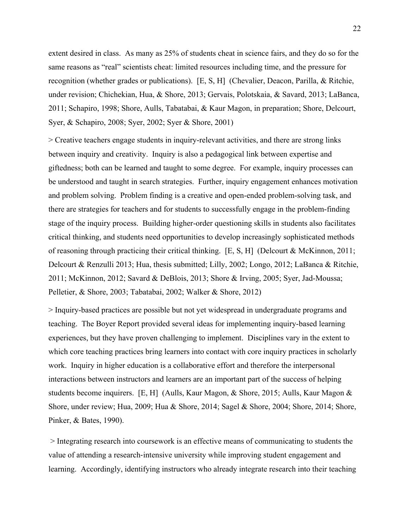extent desired in class. As many as 25% of students cheat in science fairs, and they do so for the same reasons as "real" scientists cheat: limited resources including time, and the pressure for recognition (whether grades or publications). [E, S, H] (Chevalier, Deacon, Parilla, & Ritchie, under revision; Chichekian, Hua, & Shore, 2013; Gervais, Polotskaia, & Savard, 2013; LaBanca, 2011; Schapiro, 1998; Shore, Aulls, Tabatabai, & Kaur Magon, in preparation; Shore, Delcourt, Syer, & Schapiro, 2008; Syer, 2002; Syer & Shore, 2001)

> Creative teachers engage students in inquiry-relevant activities, and there are strong links between inquiry and creativity. Inquiry is also a pedagogical link between expertise and giftedness; both can be learned and taught to some degree. For example, inquiry processes can be understood and taught in search strategies. Further, inquiry engagement enhances motivation and problem solving. Problem finding is a creative and open-ended problem-solving task, and there are strategies for teachers and for students to successfully engage in the problem-finding stage of the inquiry process. Building higher-order questioning skills in students also facilitates critical thinking, and students need opportunities to develop increasingly sophisticated methods of reasoning through practicing their critical thinking.  $[E, S, H]$  (Delcourt & McKinnon, 2011; Delcourt & Renzulli 2013; Hua, thesis submitted; Lilly, 2002; Longo, 2012; LaBanca & Ritchie, 2011; McKinnon, 2012; Savard & DeBlois, 2013; Shore & Irving, 2005; Syer, Jad-Moussa; Pelletier, & Shore, 2003; Tabatabai, 2002; Walker & Shore, 2012)

> Inquiry-based practices are possible but not yet widespread in undergraduate programs and teaching. The Boyer Report provided several ideas for implementing inquiry-based learning experiences, but they have proven challenging to implement. Disciplines vary in the extent to which core teaching practices bring learners into contact with core inquiry practices in scholarly work. Inquiry in higher education is a collaborative effort and therefore the interpersonal interactions between instructors and learners are an important part of the success of helping students become inquirers. [E, H] (Aulls, Kaur Magon, & Shore, 2015; Aulls, Kaur Magon & Shore, under review; Hua, 2009; Hua & Shore, 2014; Sagel & Shore, 2004; Shore, 2014; Shore, Pinker, & Bates, 1990).

> Integrating research into coursework is an effective means of communicating to students the value of attending a research-intensive university while improving student engagement and learning. Accordingly, identifying instructors who already integrate research into their teaching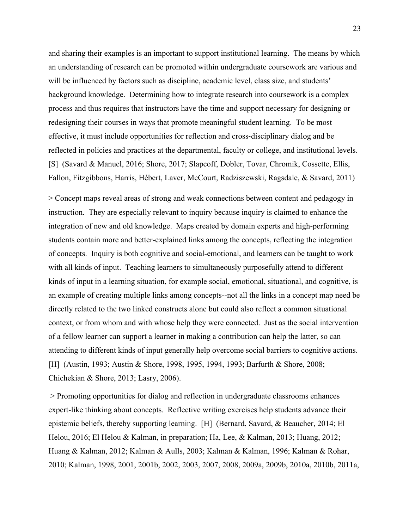and sharing their examples is an important to support institutional learning. The means by which an understanding of research can be promoted within undergraduate coursework are various and will be influenced by factors such as discipline, academic level, class size, and students' background knowledge. Determining how to integrate research into coursework is a complex process and thus requires that instructors have the time and support necessary for designing or redesigning their courses in ways that promote meaningful student learning. To be most effective, it must include opportunities for reflection and cross-disciplinary dialog and be reflected in policies and practices at the departmental, faculty or college, and institutional levels. [S] (Savard & Manuel, 2016; Shore, 2017; Slapcoff, Dobler, Tovar, Chromik, Cossette, Ellis, Fallon, Fitzgibbons, Harris, Hébert, Laver, McCourt, Radziszewski, Ragsdale, & Savard, 2011)

> Concept maps reveal areas of strong and weak connections between content and pedagogy in instruction. They are especially relevant to inquiry because inquiry is claimed to enhance the integration of new and old knowledge. Maps created by domain experts and high-performing students contain more and better-explained links among the concepts, reflecting the integration of concepts. Inquiry is both cognitive and social-emotional, and learners can be taught to work with all kinds of input. Teaching learners to simultaneously purposefully attend to different kinds of input in a learning situation, for example social, emotional, situational, and cognitive, is an example of creating multiple links among concepts--not all the links in a concept map need be directly related to the two linked constructs alone but could also reflect a common situational context, or from whom and with whose help they were connected. Just as the social intervention of a fellow learner can support a learner in making a contribution can help the latter, so can attending to different kinds of input generally help overcome social barriers to cognitive actions. [H] (Austin, 1993; Austin & Shore, 1998, 1995, 1994, 1993; Barfurth & Shore, 2008; Chichekian & Shore, 2013; Lasry, 2006).

> Promoting opportunities for dialog and reflection in undergraduate classrooms enhances expert-like thinking about concepts. Reflective writing exercises help students advance their epistemic beliefs, thereby supporting learning. [H] (Bernard, Savard, & Beaucher, 2014; El Helou, 2016; El Helou & Kalman, in preparation; Ha, Lee, & Kalman, 2013; Huang, 2012; Huang & Kalman, 2012; Kalman & Aulls, 2003; Kalman & Kalman, 1996; Kalman & Rohar, 2010; Kalman, 1998, 2001, 2001b, 2002, 2003, 2007, 2008, 2009a, 2009b, 2010a, 2010b, 2011a,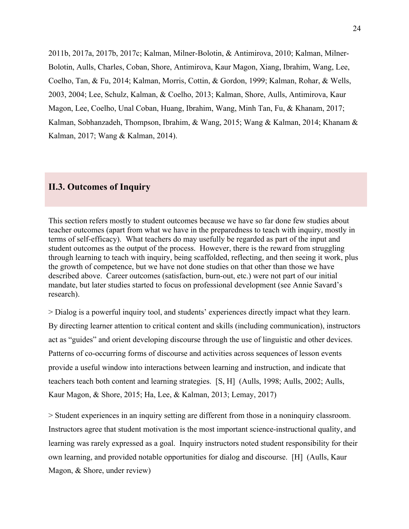2011b, 2017a, 2017b, 2017c; Kalman, Milner-Bolotin, & Antimirova, 2010; Kalman, Milner-Bolotin, Aulls, Charles, Coban, Shore, Antimirova, Kaur Magon, Xiang, Ibrahim, Wang, Lee, Coelho, Tan, & Fu, 2014; Kalman, Morris, Cottin, & Gordon, 1999; Kalman, Rohar, & Wells, 2003, 2004; Lee, Schulz, Kalman, & Coelho, 2013; Kalman, Shore, Aulls, Antimirova, Kaur Magon, Lee, Coelho, Unal Coban, Huang, Ibrahim, Wang, Minh Tan, Fu, & Khanam, 2017; Kalman, Sobhanzadeh, Thompson, Ibrahim, & Wang, 2015; Wang & Kalman, 2014; Khanam & Kalman, 2017; Wang & Kalman, 2014).

## **II.3. Outcomes of Inquiry**

This section refers mostly to student outcomes because we have so far done few studies about teacher outcomes (apart from what we have in the preparedness to teach with inquiry, mostly in terms of self-efficacy). What teachers do may usefully be regarded as part of the input and student outcomes as the output of the process. However, there is the reward from struggling through learning to teach with inquiry, being scaffolded, reflecting, and then seeing it work, plus the growth of competence, but we have not done studies on that other than those we have described above. Career outcomes (satisfaction, burn-out, etc.) were not part of our initial mandate, but later studies started to focus on professional development (see Annie Savard's research).

> Dialog is a powerful inquiry tool, and students' experiences directly impact what they learn. By directing learner attention to critical content and skills (including communication), instructors act as "guides" and orient developing discourse through the use of linguistic and other devices. Patterns of co-occurring forms of discourse and activities across sequences of lesson events provide a useful window into interactions between learning and instruction, and indicate that teachers teach both content and learning strategies. [S, H] (Aulls, 1998; Aulls, 2002; Aulls, Kaur Magon, & Shore, 2015; Ha, Lee, & Kalman, 2013; Lemay, 2017)

> Student experiences in an inquiry setting are different from those in a noninquiry classroom. Instructors agree that student motivation is the most important science-instructional quality, and learning was rarely expressed as a goal. Inquiry instructors noted student responsibility for their own learning, and provided notable opportunities for dialog and discourse. [H] (Aulls, Kaur Magon, & Shore, under review)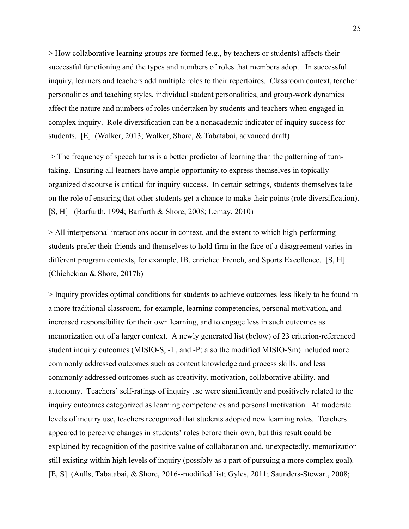> How collaborative learning groups are formed (e.g., by teachers or students) affects their successful functioning and the types and numbers of roles that members adopt. In successful inquiry, learners and teachers add multiple roles to their repertoires. Classroom context, teacher personalities and teaching styles, individual student personalities, and group-work dynamics affect the nature and numbers of roles undertaken by students and teachers when engaged in complex inquiry. Role diversification can be a nonacademic indicator of inquiry success for students. [E] (Walker, 2013; Walker, Shore, & Tabatabai, advanced draft)

> The frequency of speech turns is a better predictor of learning than the patterning of turntaking. Ensuring all learners have ample opportunity to express themselves in topically organized discourse is critical for inquiry success. In certain settings, students themselves take on the role of ensuring that other students get a chance to make their points (role diversification). [S, H] (Barfurth, 1994; Barfurth & Shore, 2008; Lemay, 2010)

> All interpersonal interactions occur in context, and the extent to which high-performing students prefer their friends and themselves to hold firm in the face of a disagreement varies in different program contexts, for example, IB, enriched French, and Sports Excellence. [S, H] (Chichekian & Shore, 2017b)

> Inquiry provides optimal conditions for students to achieve outcomes less likely to be found in a more traditional classroom, for example, learning competencies, personal motivation, and increased responsibility for their own learning, and to engage less in such outcomes as memorization out of a larger context. A newly generated list (below) of 23 criterion-referenced student inquiry outcomes (MISIO-S, -T, and -P; also the modified MISIO-Sm) included more commonly addressed outcomes such as content knowledge and process skills, and less commonly addressed outcomes such as creativity, motivation, collaborative ability, and autonomy. Teachers' self-ratings of inquiry use were significantly and positively related to the inquiry outcomes categorized as learning competencies and personal motivation. At moderate levels of inquiry use, teachers recognized that students adopted new learning roles. Teachers appeared to perceive changes in students' roles before their own, but this result could be explained by recognition of the positive value of collaboration and, unexpectedly, memorization still existing within high levels of inquiry (possibly as a part of pursuing a more complex goal). [E, S] (Aulls, Tabatabai, & Shore, 2016--modified list; Gyles, 2011; Saunders-Stewart, 2008;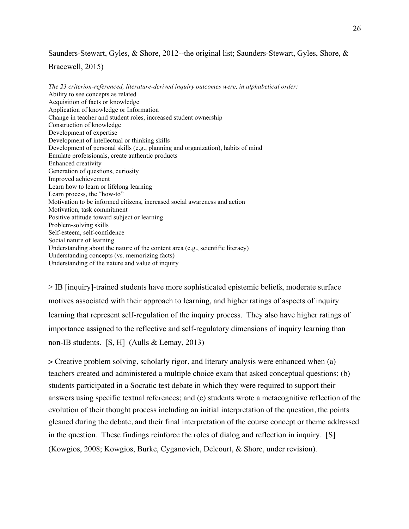Saunders-Stewart, Gyles, & Shore, 2012--the original list; Saunders-Stewart, Gyles, Shore, &

Bracewell, 2015)

*The 23 criterion-referenced, literature-derived inquiry outcomes were, in alphabetical order:* Ability to see concepts as related Acquisition of facts or knowledge Application of knowledge or Information Change in teacher and student roles, increased student ownership Construction of knowledge Development of expertise Development of intellectual or thinking skills Development of personal skills (e.g., planning and organization), habits of mind Emulate professionals, create authentic products Enhanced creativity Generation of questions, curiosity Improved achievement Learn how to learn or lifelong learning Learn process, the "how-to" Motivation to be informed citizens, increased social awareness and action Motivation, task commitment Positive attitude toward subject or learning Problem-solving skills Self-esteem, self-confidence Social nature of learning Understanding about the nature of the content area (e.g., scientific literacy) Understanding concepts (vs. memorizing facts) Understanding of the nature and value of inquiry

> IB [inquiry]-trained students have more sophisticated epistemic beliefs, moderate surface motives associated with their approach to learning, and higher ratings of aspects of inquiry learning that represent self-regulation of the inquiry process. They also have higher ratings of importance assigned to the reflective and self-regulatory dimensions of inquiry learning than non-IB students. [S, H] (Aulls & Lemay, 2013)

> Creative problem solving, scholarly rigor, and literary analysis were enhanced when (a) teachers created and administered a multiple choice exam that asked conceptual questions; (b) students participated in a Socratic test debate in which they were required to support their answers using specific textual references; and (c) students wrote a metacognitive reflection of the evolution of their thought process including an initial interpretation of the question, the points gleaned during the debate, and their final interpretation of the course concept or theme addressed in the question. These findings reinforce the roles of dialog and reflection in inquiry. [S] (Kowgios, 2008; Kowgios, Burke, Cyganovich, Delcourt, & Shore, under revision).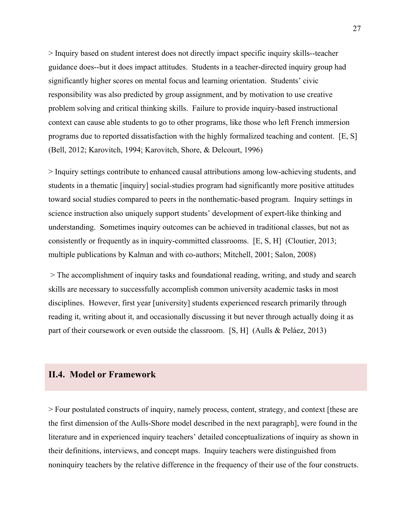> Inquiry based on student interest does not directly impact specific inquiry skills--teacher guidance does--but it does impact attitudes. Students in a teacher-directed inquiry group had significantly higher scores on mental focus and learning orientation. Students' civic responsibility was also predicted by group assignment, and by motivation to use creative problem solving and critical thinking skills. Failure to provide inquiry-based instructional context can cause able students to go to other programs, like those who left French immersion programs due to reported dissatisfaction with the highly formalized teaching and content. [E, S] (Bell, 2012; Karovitch, 1994; Karovitch, Shore, & Delcourt, 1996)

> Inquiry settings contribute to enhanced causal attributions among low-achieving students, and students in a thematic [inquiry] social-studies program had significantly more positive attitudes toward social studies compared to peers in the nonthematic-based program. Inquiry settings in science instruction also uniquely support students' development of expert-like thinking and understanding. Sometimes inquiry outcomes can be achieved in traditional classes, but not as consistently or frequently as in inquiry-committed classrooms. [E, S, H] (Cloutier, 2013; multiple publications by Kalman and with co-authors; Mitchell, 2001; Salon, 2008)

> The accomplishment of inquiry tasks and foundational reading, writing, and study and search skills are necessary to successfully accomplish common university academic tasks in most disciplines. However, first year [university] students experienced research primarily through reading it, writing about it, and occasionally discussing it but never through actually doing it as part of their coursework or even outside the classroom. [S, H] (Aulls & Peláez, 2013)

### **II.4. Model or Framework**

> Four postulated constructs of inquiry, namely process, content, strategy, and context [these are the first dimension of the Aulls-Shore model described in the next paragraph], were found in the literature and in experienced inquiry teachers' detailed conceptualizations of inquiry as shown in their definitions, interviews, and concept maps. Inquiry teachers were distinguished from noninquiry teachers by the relative difference in the frequency of their use of the four constructs.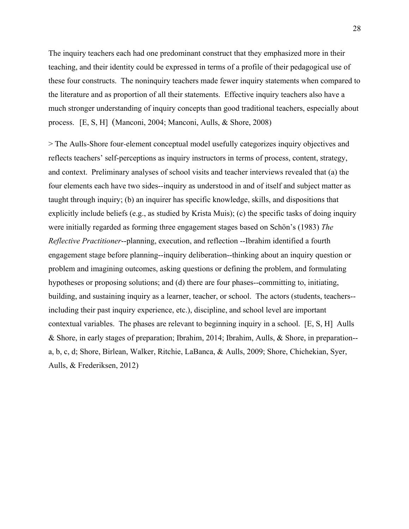The inquiry teachers each had one predominant construct that they emphasized more in their teaching, and their identity could be expressed in terms of a profile of their pedagogical use of these four constructs. The noninquiry teachers made fewer inquiry statements when compared to the literature and as proportion of all their statements. Effective inquiry teachers also have a much stronger understanding of inquiry concepts than good traditional teachers, especially about process. [E, S, H] (Manconi, 2004; Manconi, Aulls, & Shore, 2008)

> The Aulls-Shore four-element conceptual model usefully categorizes inquiry objectives and reflects teachers' self-perceptions as inquiry instructors in terms of process, content, strategy, and context. Preliminary analyses of school visits and teacher interviews revealed that (a) the four elements each have two sides--inquiry as understood in and of itself and subject matter as taught through inquiry; (b) an inquirer has specific knowledge, skills, and dispositions that explicitly include beliefs (e.g., as studied by Krista Muis); (c) the specific tasks of doing inquiry were initially regarded as forming three engagement stages based on Schön's (1983) *The Reflective Practitioner*--planning, execution, and reflection --Ibrahim identified a fourth engagement stage before planning--inquiry deliberation--thinking about an inquiry question or problem and imagining outcomes, asking questions or defining the problem, and formulating hypotheses or proposing solutions; and (d) there are four phases--committing to, initiating, building, and sustaining inquiry as a learner, teacher, or school. The actors (students, teachers- including their past inquiry experience, etc.), discipline, and school level are important contextual variables. The phases are relevant to beginning inquiry in a school. [E, S, H] Aulls & Shore, in early stages of preparation; Ibrahim, 2014; Ibrahim, Aulls, & Shore, in preparation- a, b, c, d; Shore, Birlean, Walker, Ritchie, LaBanca, & Aulls, 2009; Shore, Chichekian, Syer, Aulls, & Frederiksen, 2012)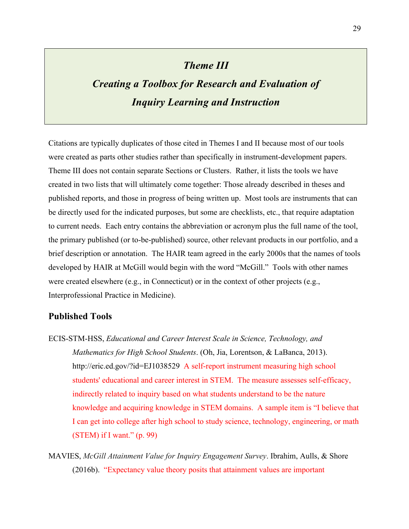## *Theme III*

## *Creating a Toolbox for Research and Evaluation of Inquiry Learning and Instruction*

Citations are typically duplicates of those cited in Themes I and II because most of our tools were created as parts other studies rather than specifically in instrument-development papers. Theme III does not contain separate Sections or Clusters. Rather, it lists the tools we have created in two lists that will ultimately come together: Those already described in theses and published reports, and those in progress of being written up. Most tools are instruments that can be directly used for the indicated purposes, but some are checklists, etc., that require adaptation to current needs. Each entry contains the abbreviation or acronym plus the full name of the tool, the primary published (or to-be-published) source, other relevant products in our portfolio, and a brief description or annotation. The HAIR team agreed in the early 2000s that the names of tools developed by HAIR at McGill would begin with the word "McGill." Tools with other names were created elsewhere (e.g., in Connecticut) or in the context of other projects (e.g., Interprofessional Practice in Medicine).

### **Published Tools**

- ECIS-STM-HSS, *Educational and Career Interest Scale in Science, Technology, and Mathematics for High School Students*. (Oh, Jia, Lorentson, & LaBanca, 2013). http://eric.ed.gov/?id=EJ1038529 A self-report instrument measuring high school students' educational and career interest in STEM. The measure assesses self-efficacy, indirectly related to inquiry based on what students understand to be the nature knowledge and acquiring knowledge in STEM domains. A sample item is "I believe that I can get into college after high school to study science, technology, engineering, or math (STEM) if I want." (p. 99)
- MAVIES, *McGill Attainment Value for Inquiry Engagement Survey*. Ibrahim, Aulls, & Shore (2016b). "Expectancy value theory posits that attainment values are important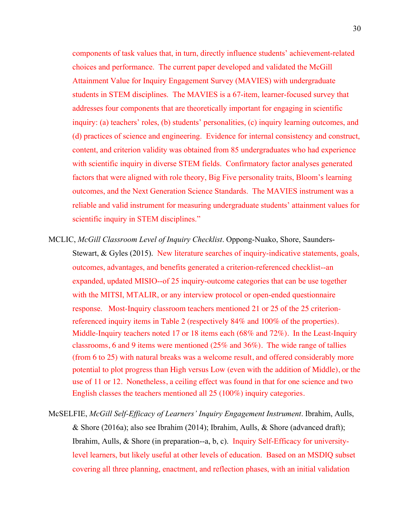components of task values that, in turn, directly influence students' achievement-related choices and performance. The current paper developed and validated the McGill Attainment Value for Inquiry Engagement Survey (MAVIES) with undergraduate students in STEM disciplines. The MAVIES is a 67-item, learner-focused survey that addresses four components that are theoretically important for engaging in scientific inquiry: (a) teachers' roles, (b) students' personalities, (c) inquiry learning outcomes, and (d) practices of science and engineering. Evidence for internal consistency and construct, content, and criterion validity was obtained from 85 undergraduates who had experience with scientific inquiry in diverse STEM fields. Confirmatory factor analyses generated factors that were aligned with role theory, Big Five personality traits, Bloom's learning outcomes, and the Next Generation Science Standards. The MAVIES instrument was a reliable and valid instrument for measuring undergraduate students' attainment values for scientific inquiry in STEM disciplines."

- MCLIC, *McGill Classroom Level of Inquiry Checklist*. Oppong-Nuako, Shore, Saunders-Stewart, & Gyles (2015). New literature searches of inquiry-indicative statements, goals, outcomes, advantages, and benefits generated a criterion-referenced checklist--an expanded, updated MISIO--of 25 inquiry-outcome categories that can be use together with the MITSI, MTALIR, or any interview protocol or open-ended questionnaire response. Most-Inquiry classroom teachers mentioned 21 or 25 of the 25 criterionreferenced inquiry items in Table 2 (respectively 84% and 100% of the properties). Middle-Inquiry teachers noted 17 or 18 items each (68% and 72%). In the Least-Inquiry classrooms, 6 and 9 items were mentioned  $(25\%$  and  $36\%)$ . The wide range of tallies (from 6 to 25) with natural breaks was a welcome result, and offered considerably more potential to plot progress than High versus Low (even with the addition of Middle), or the use of 11 or 12. Nonetheless, a ceiling effect was found in that for one science and two English classes the teachers mentioned all 25 (100%) inquiry categories.
- McSELFIE, *McGill Self-Efficacy of Learners' Inquiry Engagement Instrument*. Ibrahim, Aulls, & Shore (2016a); also see Ibrahim (2014); Ibrahim, Aulls, & Shore (advanced draft); Ibrahim, Aulls, & Shore (in preparation--a, b, c). Inquiry Self-Efficacy for universitylevel learners, but likely useful at other levels of education. Based on an MSDIQ subset covering all three planning, enactment, and reflection phases, with an initial validation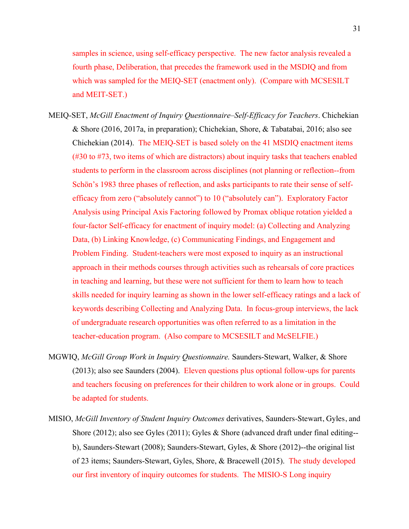samples in science, using self-efficacy perspective. The new factor analysis revealed a fourth phase, Deliberation, that precedes the framework used in the MSDIQ and from which was sampled for the MEIQ-SET (enactment only). (Compare with MCSESILT and MEIT-SET.)

- MEIQ-SET, *McGill Enactment of Inquiry Questionnaire–Self-Efficacy for Teachers*. Chichekian & Shore (2016, 2017a, in preparation); Chichekian, Shore, & Tabatabai, 2016; also see Chichekian (2014). The MEIQ-SET is based solely on the 41 MSDIQ enactment items (#30 to #73, two items of which are distractors) about inquiry tasks that teachers enabled students to perform in the classroom across disciplines (not planning or reflection--from Schön's 1983 three phases of reflection, and asks participants to rate their sense of selfefficacy from zero ("absolutely cannot") to 10 ("absolutely can"). Exploratory Factor Analysis using Principal Axis Factoring followed by Promax oblique rotation yielded a four-factor Self-efficacy for enactment of inquiry model: (a) Collecting and Analyzing Data, (b) Linking Knowledge, (c) Communicating Findings, and Engagement and Problem Finding. Student-teachers were most exposed to inquiry as an instructional approach in their methods courses through activities such as rehearsals of core practices in teaching and learning, but these were not sufficient for them to learn how to teach skills needed for inquiry learning as shown in the lower self-efficacy ratings and a lack of keywords describing Collecting and Analyzing Data. In focus-group interviews, the lack of undergraduate research opportunities was often referred to as a limitation in the teacher-education program. (Also compare to MCSESILT and McSELFIE.)
- MGWIQ, *McGill Group Work in Inquiry Questionnaire.* Saunders-Stewart, Walker, & Shore (2013); also see Saunders (2004). Eleven questions plus optional follow-ups for parents and teachers focusing on preferences for their children to work alone or in groups. Could be adapted for students.
- MISIO, *McGill Inventory of Student Inquiry Outcomes* derivatives, Saunders-Stewart, Gyles, and Shore (2012); also see Gyles (2011); Gyles & Shore (advanced draft under final editing- b), Saunders-Stewart (2008); Saunders-Stewart, Gyles, & Shore (2012)--the original list of 23 items; Saunders-Stewart, Gyles, Shore, & Bracewell (2015). The study developed our first inventory of inquiry outcomes for students. The MISIO-S Long inquiry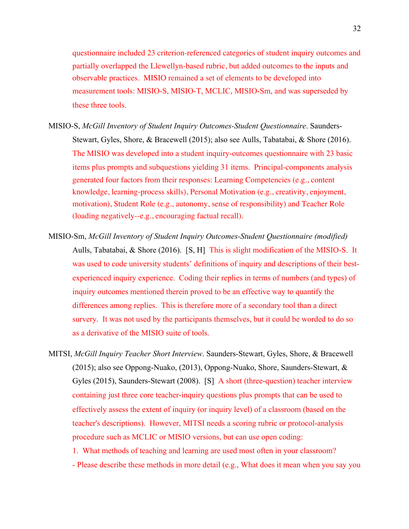questionnaire included 23 criterion-referenced categories of student inquiry outcomes and partially overlapped the Llewellyn-based rubric, but added outcomes to the inputs and observable practices. MISIO remained a set of elements to be developed into measurement tools: MISIO-S, MISIO-T, MCLIC, MISIO-Sm, and was superseded by these three tools.

- MISIO-S, *McGill Inventory of Student Inquiry Outcomes-Student Questionnaire*. Saunders-Stewart, Gyles, Shore, & Bracewell (2015); also see Aulls, Tabatabai, & Shore (2016). The MISIO was developed into a student inquiry-outcomes questionnaire with 23 basic items plus prompts and subquestions yielding 31 items. Principal-components analysis generated four factors from their responses: Learning Competencies (e.g., content knowledge, learning-process skills), Personal Motivation (e.g., creativity, enjoyment, motivation), Student Role (e.g., autonomy, sense of responsibility) and Teacher Role (loading negatively--e.g., encouraging factual recall).
- MISIO-Sm, *McGill Inventory of Student Inquiry Outcomes-Student Questionnaire (modified)* Aulls, Tabatabai, & Shore (2016). [S, H] This is slight modification of the MISIO-S. It was used to code university students' definitions of inquiry and descriptions of their bestexperienced inquiry experience. Coding their replies in terms of numbers (and types) of inquiry outcomes mentioned therein proved to be an effective way to quantify the differences among replies. This is therefore more of a secondary tool than a direct survery. It was not used by the participants themselves, but it could be worded to do so as a derivative of the MISIO suite of tools.
- MITSI, *McGill Inquiry Teacher Short Interview*. Saunders-Stewart, Gyles, Shore, & Bracewell (2015); also see Oppong-Nuako, (2013), Oppong-Nuako, Shore, Saunders-Stewart, & Gyles (2015), Saunders-Stewart (2008). [S] A short (three-question) teacher interview containing just three core teacher-inquiry questions plus prompts that can be used to effectively assess the extent of inquiry (or inquiry level) of a classroom (based on the teacher's descriptions). However, MITSI needs a scoring rubric or protocol-analysis procedure such as MCLIC or MISIO versions, but can use open coding:
	- 1. What methods of teaching and learning are used most often in your classroom?
	- Please describe these methods in more detail (e.g., What does it mean when you say you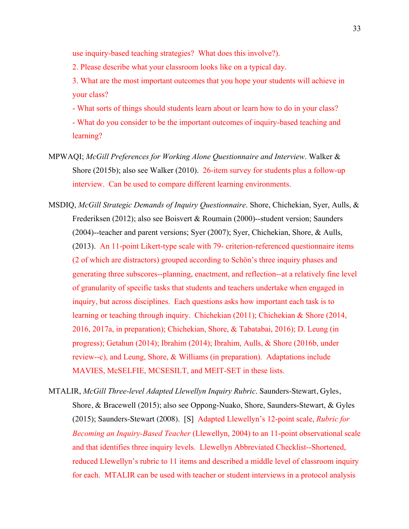use inquiry-based teaching strategies? What does this involve?).

2. Please describe what your classroom looks like on a typical day.

3. What are the most important outcomes that you hope your students will achieve in your class?

- What sorts of things should students learn about or learn how to do in your class?

- What do you consider to be the important outcomes of inquiry-based teaching and learning?

- MPWAQI; *McGill Preferences for Working Alone Questionnaire and Interview*. Walker & Shore (2015b); also see Walker (2010). 26-item survey for students plus a follow-up interview. Can be used to compare different learning environments.
- MSDIQ, *McGill Strategic Demands of Inquiry Questionnaire*. Shore, Chichekian, Syer, Aulls, & Frederiksen (2012); also see Boisvert & Roumain (2000)--student version; Saunders (2004)--teacher and parent versions; Syer (2007); Syer, Chichekian, Shore, & Aulls, (2013). An 11-point Likert-type scale with 79- criterion-referenced questionnaire items (2 of which are distractors) grouped according to Schön's three inquiry phases and generating three subscores--planning, enactment, and reflection--at a relatively fine level of granularity of specific tasks that students and teachers undertake when engaged in inquiry, but across disciplines. Each questions asks how important each task is to learning or teaching through inquiry. Chichekian (2011); Chichekian & Shore (2014, 2016, 2017a, in preparation); Chichekian, Shore, & Tabatabai, 2016); D. Leung (in progress); Getahun (2014); Ibrahim (2014); Ibrahim, Aulls, & Shore (2016b, under review--c), and Leung, Shore, & Williams (in preparation). Adaptations include MAVIES, McSELFIE, MCSESILT, and MEIT-SET in these lists.
- MTALIR, *McGill Three-level Adapted Llewellyn Inquiry Rubric*. Saunders-Stewart, Gyles, Shore, & Bracewell (2015); also see Oppong-Nuako, Shore, Saunders-Stewart, & Gyles (2015); Saunders-Stewart (2008). [S] Adapted Llewellyn's 12-point scale, *Rubric for Becoming an Inquiry-Based Teacher* (Llewellyn, 2004) to an 11-point observational scale and that identifies three inquiry levels. Llewellyn Abbreviated Checklist--Shortened, reduced Llewellyn's rubric to 11 items and described a middle level of classroom inquiry for each. MTALIR can be used with teacher or student interviews in a protocol analysis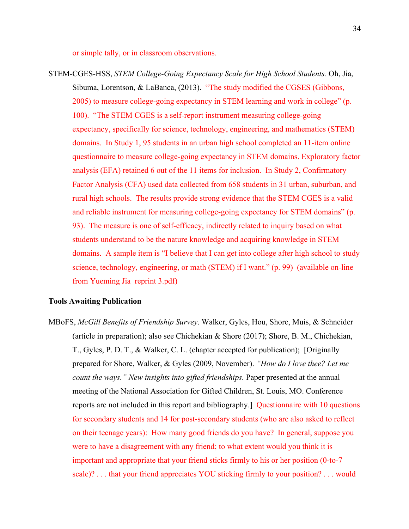or simple tally, or in classroom observations.

STEM-CGES-HSS, *STEM College-Going Expectancy Scale for High School Students.* Oh, Jia, Sibuma, Lorentson, & LaBanca, (2013). "The study modified the CGSES (Gibbons, 2005) to measure college-going expectancy in STEM learning and work in college" (p. 100). "The STEM CGES is a self-report instrument measuring college-going expectancy, specifically for science, technology, engineering, and mathematics (STEM) domains. In Study 1, 95 students in an urban high school completed an 11-item online questionnaire to measure college-going expectancy in STEM domains. Exploratory factor analysis (EFA) retained 6 out of the 11 items for inclusion. In Study 2, Confirmatory Factor Analysis (CFA) used data collected from 658 students in 31 urban, suburban, and rural high schools. The results provide strong evidence that the STEM CGES is a valid and reliable instrument for measuring college-going expectancy for STEM domains" (p. 93). The measure is one of self-efficacy, indirectly related to inquiry based on what students understand to be the nature knowledge and acquiring knowledge in STEM domains. A sample item is "I believe that I can get into college after high school to study science, technology, engineering, or math (STEM) if I want." (p. 99) (available on-line from Yueming Jia\_reprint 3.pdf)

#### **Tools Awaiting Publication**

MBoFS, *McGill Benefits of Friendship Survey*. Walker, Gyles, Hou, Shore, Muis, & Schneider (article in preparation); also see Chichekian & Shore (2017); Shore, B. M., Chichekian, T., Gyles, P. D. T., & Walker, C. L. (chapter accepted for publication); [Originally prepared for Shore, Walker, & Gyles (2009, November). *"How do I love thee? Let me count the ways." New insights into gifted friendships.* Paper presented at the annual meeting of the National Association for Gifted Children, St. Louis, MO. Conference reports are not included in this report and bibliography.] Questionnaire with 10 questions for secondary students and 14 for post-secondary students (who are also asked to reflect on their teenage years): How many good friends do you have? In general, suppose you were to have a disagreement with any friend; to what extent would you think it is important and appropriate that your friend sticks firmly to his or her position (0-to-7 scale)? . . . that your friend appreciates YOU sticking firmly to your position? . . . would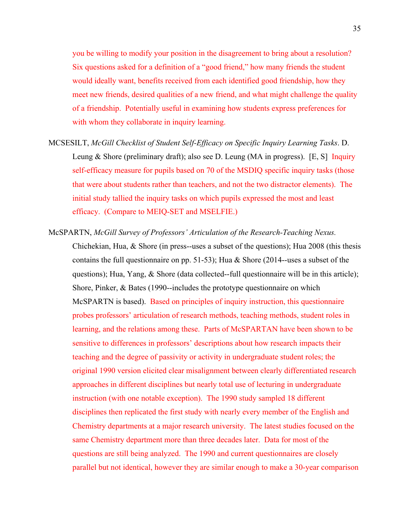you be willing to modify your position in the disagreement to bring about a resolution? Six questions asked for a definition of a "good friend," how many friends the student would ideally want, benefits received from each identified good friendship, how they meet new friends, desired qualities of a new friend, and what might challenge the quality of a friendship. Potentially useful in examining how students express preferences for with whom they collaborate in inquiry learning.

- MCSESILT, *McGill Checklist of Student Self-Efficacy on Specific Inquiry Learning Tasks*. D. Leung & Shore (preliminary draft); also see D. Leung (MA in progress). [E, S] Inquiry self-efficacy measure for pupils based on 70 of the MSDIQ specific inquiry tasks (those that were about students rather than teachers, and not the two distractor elements). The initial study tallied the inquiry tasks on which pupils expressed the most and least efficacy. (Compare to MEIQ-SET and MSELFIE.)
- McSPARTN, *McGill Survey of Professors' Articulation of the Research-Teaching Nexus.* Chichekian, Hua, & Shore (in press--uses a subset of the questions); Hua 2008 (this thesis contains the full questionnaire on pp. 51-53); Hua & Shore (2014--uses a subset of the questions); Hua, Yang, & Shore (data collected--full questionnaire will be in this article); Shore, Pinker, & Bates (1990--includes the prototype questionnaire on which McSPARTN is based). Based on principles of inquiry instruction, this questionnaire probes professors' articulation of research methods, teaching methods, student roles in learning, and the relations among these. Parts of McSPARTAN have been shown to be sensitive to differences in professors' descriptions about how research impacts their teaching and the degree of passivity or activity in undergraduate student roles; the original 1990 version elicited clear misalignment between clearly differentiated research approaches in different disciplines but nearly total use of lecturing in undergraduate instruction (with one notable exception). The 1990 study sampled 18 different disciplines then replicated the first study with nearly every member of the English and Chemistry departments at a major research university. The latest studies focused on the same Chemistry department more than three decades later. Data for most of the questions are still being analyzed. The 1990 and current questionnaires are closely parallel but not identical, however they are similar enough to make a 30-year comparison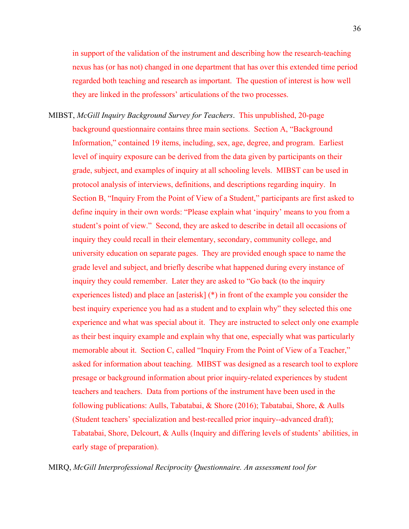in support of the validation of the instrument and describing how the research-teaching nexus has (or has not) changed in one department that has over this extended time period regarded both teaching and research as important. The question of interest is how well they are linked in the professors' articulations of the two processes.

MIBST, *McGill Inquiry Background Survey for Teachers*. This unpublished, 20-page background questionnaire contains three main sections. Section A, "Background Information," contained 19 items, including, sex, age, degree, and program. Earliest level of inquiry exposure can be derived from the data given by participants on their grade, subject, and examples of inquiry at all schooling levels. MIBST can be used in protocol analysis of interviews, definitions, and descriptions regarding inquiry. In Section B, "Inquiry From the Point of View of a Student," participants are first asked to define inquiry in their own words: "Please explain what 'inquiry' means to you from a student's point of view." Second, they are asked to describe in detail all occasions of inquiry they could recall in their elementary, secondary, community college, and university education on separate pages. They are provided enough space to name the grade level and subject, and briefly describe what happened during every instance of inquiry they could remember. Later they are asked to "Go back (to the inquiry experiences listed) and place an [asterisk] (\*) in front of the example you consider the best inquiry experience you had as a student and to explain why" they selected this one experience and what was special about it. They are instructed to select only one example as their best inquiry example and explain why that one, especially what was particularly memorable about it. Section C, called "Inquiry From the Point of View of a Teacher," asked for information about teaching. MIBST was designed as a research tool to explore presage or background information about prior inquiry-related experiences by student teachers and teachers. Data from portions of the instrument have been used in the following publications: Aulls, Tabatabai, & Shore (2016); Tabatabai, Shore, & Aulls (Student teachers' specialization and best-recalled prior inquiry--advanced draft); Tabatabai, Shore, Delcourt, & Aulls (Inquiry and differing levels of students' abilities, in early stage of preparation).

MIRQ, *McGill Interprofessional Reciprocity Questionnaire. An assessment tool for*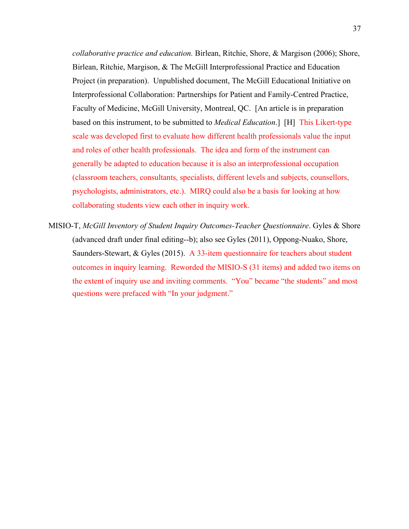*collaborative practice and education.* Birlean, Ritchie, Shore, & Margison (2006); Shore, Birlean, Ritchie, Margison, & The McGill Interprofessional Practice and Education Project (in preparation). Unpublished document, The McGill Educational Initiative on Interprofessional Collaboration: Partnerships for Patient and Family-Centred Practice, Faculty of Medicine, McGill University, Montreal, QC. [An article is in preparation based on this instrument, to be submitted to *Medical Education*.] [H] This Likert-type scale was developed first to evaluate how different health professionals value the input and roles of other health professionals. The idea and form of the instrument can generally be adapted to education because it is also an interprofessional occupation (classroom teachers, consultants, specialists, different levels and subjects, counsellors, psychologists, administrators, etc.). MIRQ could also be a basis for looking at how collaborating students view each other in inquiry work.

MISIO-T, *McGill Inventory of Student Inquiry Outcomes-Teacher Questionnaire*. Gyles & Shore (advanced draft under final editing--b); also see Gyles (2011), Oppong-Nuako, Shore, Saunders-Stewart, & Gyles (2015). A 33-item questionnaire for teachers about student outcomes in inquiry learning. Reworded the MISIO-S (31 items) and added two items on the extent of inquiry use and inviting comments. "You" became "the students" and most questions were prefaced with "In your judgment."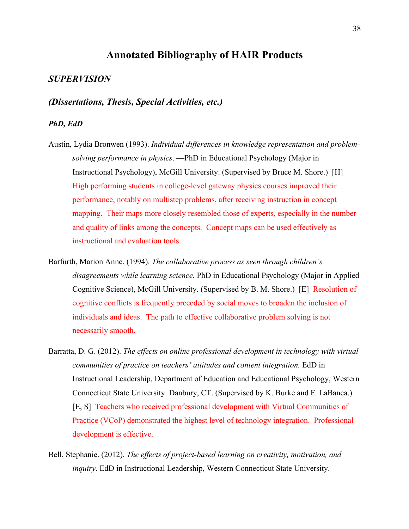# **Annotated Bibliography of HAIR Products**

# *SUPERVISION*

*(Dissertations, Thesis, Special Activities, etc.)*

# *PhD, EdD*

- Austin, Lydia Bronwen (1993). *Individual differences in knowledge representation and problemsolving performance in physics*. —PhD in Educational Psychology (Major in Instructional Psychology), McGill University. (Supervised by Bruce M. Shore.) [H] High performing students in college-level gateway physics courses improved their performance, notably on multistep problems, after receiving instruction in concept mapping. Their maps more closely resembled those of experts, especially in the number and quality of links among the concepts. Concept maps can be used effectively as instructional and evaluation tools.
- Barfurth, Marion Anne. (1994). *The collaborative process as seen through children's disagreements while learning science.* PhD in Educational Psychology (Major in Applied Cognitive Science), McGill University. (Supervised by B. M. Shore.) [E] Resolution of cognitive conflicts is frequently preceded by social moves to broaden the inclusion of individuals and ideas. The path to effective collaborative problem solving is not necessarily smooth.
- Barratta, D. G. (2012). *The effects on online professional development in technology with virtual communities of practice on teachers' attitudes and content integration.* EdD in Instructional Leadership, Department of Education and Educational Psychology, Western Connecticut State University. Danbury, CT. (Supervised by K. Burke and F. LaBanca.) [E, S] Teachers who received professional development with Virtual Communities of Practice (VCoP) demonstrated the highest level of technology integration. Professional development is effective.
- Bell, Stephanie. (2012). *The effects of project-based learning on creativity, motivation, and inquiry*. EdD in Instructional Leadership, Western Connecticut State University.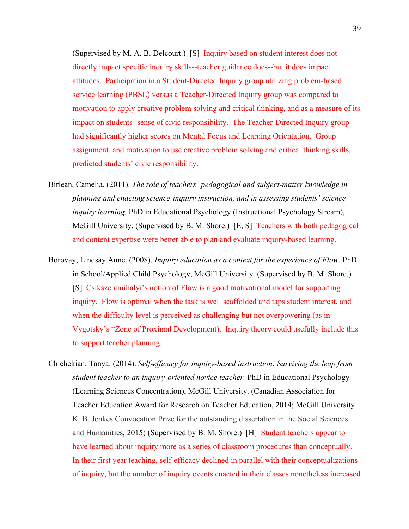(Supervised by M. A. B. Delcourt.) [S] Inquiry based on student interest does not directly impact specific inquiry skills--teacher guidance does--but it does impact attitudes. Participation in a Student-Directed Inquiry group utilizing problem-based service learning (PBSL) versus a Teacher-Directed Inquiry group was compared to motivation to apply creative problem solving and critical thinking, and as a measure of its impact on students' sense of civic responsibility. The Teacher-Directed Inquiry group had significantly higher scores on Mental Focus and Learning Orientation. Group assignment, and motivation to use creative problem solving and critical thinking skills, predicted students' civic responsibility.

- Birlean, Camelia. (2011). *The role of teachers' pedagogical and subject-matter knowledge in planning and enacting science-inquiry instruction, and in assessing students' scienceinquiry learning.* PhD in Educational Psychology (Instructional Psychology Stream), McGill University. (Supervised by B. M. Shore.) [E, S] Teachers with both pedagogical and content expertise were better able to plan and evaluate inquiry-based learning.
- Borovay, Lindsay Anne. (2008). *Inquiry education as a context for the experience of Flow*. PhD in School/Applied Child Psychology, McGill University. (Supervised by B. M. Shore.) [S] Csikszentmihalyi's notion of Flow is a good motivational model for supporting inquiry. Flow is optimal when the task is well scaffolded and taps student interest, and when the difficulty level is perceived as challenging but not overpowering (as in Vygotsky's "Zone of Proximal Development). Inquiry theory could usefully include this to support teacher planning.
- Chichekian, Tanya. (2014). *Self-efficacy for inquiry-based instruction: Surviving the leap from student teacher to an inquiry-oriented novice teacher.* PhD in Educational Psychology (Learning Sciences Concentration), McGill University. (Canadian Association for Teacher Education Award for Research on Teacher Education, 2014; McGill University K. B. Jenkes Convocation Prize for the outstanding dissertation in the Social Sciences and Humanities, 2015) (Supervised by B. M. Shore.) [H] Student teachers appear to have learned about inquiry more as a series of classroom procedures than conceptually. In their first year teaching, self-efficacy declined in parallel with their conceptualizations of inquiry, but the number of inquiry events enacted in their classes nonetheless increased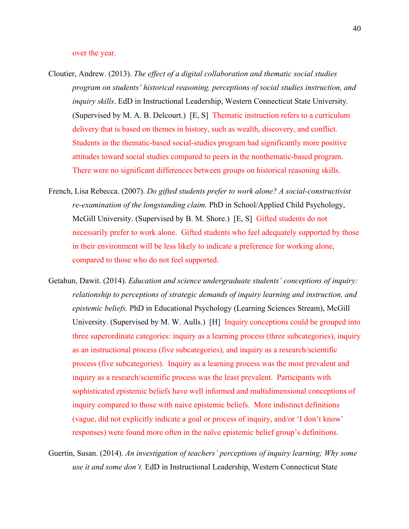#### over the year.

- Cloutier, Andrew. (2013). *The effect of a digital collaboration and thematic social studies program on students' historical reasoning, perceptions of social studies instruction, and inquiry skills*. EdD in Instructional Leadership, Western Connecticut State University*.*  (Supervised by M. A. B. Delcourt.) [E, S] Thematic instruction refers to a curriculum delivery that is based on themes in history, such as wealth, discovery, and conflict. Students in the thematic-based social-studies program had significantly more positive attitudes toward social studies compared to peers in the nonthematic-based program. There were no significant differences between groups on historical reasoning skills.
- French, Lisa Rebecca. (2007). *Do gifted students prefer to work alone? A social-constructivist re-examination of the longstanding claim.* PhD in School/Applied Child Psychology, McGill University. (Supervised by B. M. Shore.) [E, S] Gifted students do not necessarily prefer to work alone. Gifted students who feel adequately supported by those in their environment will be less likely to indicate a preference for working alone, compared to those who do not feel supported.
- Getahun, Dawit. (2014). *Education and science undergraduate students' conceptions of inquiry: relationship to perceptions of strategic demands of inquiry learning and instruction, and epistemic beliefs.* PhD in Educational Psychology (Learning Sciences Stream), McGill University. (Supervised by M. W. Aulls.) [H] Inquiry conceptions could be grouped into three superordinate categories: inquiry as a learning process (three subcategories), inquiry as an instructional process (five subcategories), and inquiry as a research/scientific process (five subcategories). Inquiry as a learning process was the most prevalent and inquiry as a research/scientific process was the least prevalent. Participants with sophisticated epistemic beliefs have well informed and multidimensional conceptions of inquiry compared to those with naive epistemic beliefs. More indistinct definitions (vague, did not explicitly indicate a goal or process of inquiry, and/or 'I don't know' responses) were found more often in the naïve epistemic belief group's definitions.
- Guertin, Susan. (2014). *An investigation of teachers' perceptions of inquiry learning; Why some use it and some don't.* EdD in Instructional Leadership, Western Connecticut State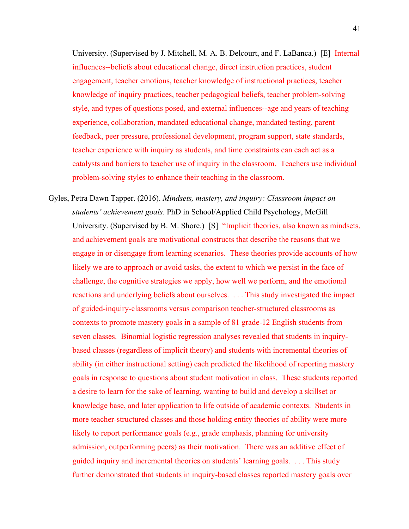University. (Supervised by J. Mitchell, M. A. B. Delcourt, and F. LaBanca.) [E] Internal influences--beliefs about educational change, direct instruction practices, student engagement, teacher emotions, teacher knowledge of instructional practices, teacher knowledge of inquiry practices, teacher pedagogical beliefs, teacher problem-solving style, and types of questions posed, and external influences--age and years of teaching experience, collaboration, mandated educational change, mandated testing, parent feedback, peer pressure, professional development, program support, state standards, teacher experience with inquiry as students, and time constraints can each act as a catalysts and barriers to teacher use of inquiry in the classroom. Teachers use individual problem-solving styles to enhance their teaching in the classroom.

Gyles, Petra Dawn Tapper. (2016). *Mindsets, mastery, and inquiry: Classroom impact on students' achievement goals*. PhD in School/Applied Child Psychology, McGill University. (Supervised by B. M. Shore.) [S] "Implicit theories, also known as mindsets, and achievement goals are motivational constructs that describe the reasons that we engage in or disengage from learning scenarios. These theories provide accounts of how likely we are to approach or avoid tasks, the extent to which we persist in the face of challenge, the cognitive strategies we apply, how well we perform, and the emotional reactions and underlying beliefs about ourselves. . . . This study investigated the impact of guided-inquiry-classrooms versus comparison teacher-structured classrooms as contexts to promote mastery goals in a sample of 81 grade-12 English students from seven classes. Binomial logistic regression analyses revealed that students in inquirybased classes (regardless of implicit theory) and students with incremental theories of ability (in either instructional setting) each predicted the likelihood of reporting mastery goals in response to questions about student motivation in class. These students reported a desire to learn for the sake of learning, wanting to build and develop a skillset or knowledge base, and later application to life outside of academic contexts. Students in more teacher-structured classes and those holding entity theories of ability were more likely to report performance goals (e.g., grade emphasis, planning for university admission, outperforming peers) as their motivation. There was an additive effect of guided inquiry and incremental theories on students' learning goals. . . . This study further demonstrated that students in inquiry-based classes reported mastery goals over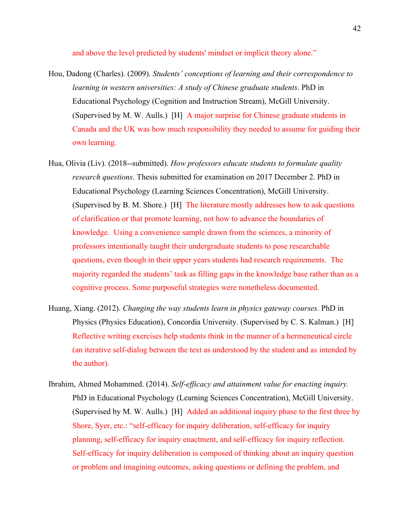and above the level predicted by students' mindset or implicit theory alone."

- Hou, Dadong (Charles). (2009). *Students' conceptions of learning and their correspondence to learning in western universities: A study of Chinese graduate students*. PhD in Educational Psychology (Cognition and Instruction Stream), McGill University. (Supervised by M. W. Aulls.) [H] A major surprise for Chinese graduate students in Canada and the UK was how much responsibility they needed to assume for guiding their own learning.
- Hua, Olivia (Liv). (2018--submitted). *How professors educate students to formulate quality research questions*. Thesis submitted for examination on 2017 December 2. PhD in Educational Psychology (Learning Sciences Concentration), McGill University. (Supervised by B. M. Shore.) [H] The literature mostly addresses how to ask questions of clarification or that promote learning, not how to advance the boundaries of knowledge. Using a convenience sample drawn from the sciences, a minority of professors intentionally taught their undergraduate students to pose researchable questions, even though in their upper years students had research requirements. The majority regarded the students' task as filling gaps in the knowledge base rather than as a cognitive process. Some purposeful strategies were nonetheless documented.
- Huang, Xiang. (2012). *Changing the way students learn in physics gateway courses.* PhD in Physics (Physics Education), Concordia University. (Supervised by C. S. Kalman.) [H] Reflective writing exercises help students think in the manner of a hermeneutical circle (an iterative self-dialog between the text as understood by the student and as intended by the author).
- Ibrahim, Ahmed Mohammed. (2014). *Self-efficacy and attainment value for enacting inquiry.*  PhD in Educational Psychology (Learning Sciences Concentration), McGill University. (Supervised by M. W. Aulls.) [H] Added an additional inquiry phase to the first three by Shore, Syer, etc.: "self-efficacy for inquiry deliberation, self-efficacy for inquiry planning, self-efficacy for inquiry enactment, and self-efficacy for inquiry reflection. Self-efficacy for inquiry deliberation is composed of thinking about an inquiry question or problem and imagining outcomes, asking questions or defining the problem, and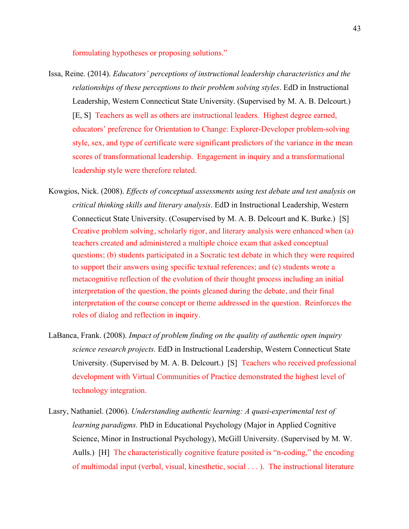formulating hypotheses or proposing solutions."

- Issa, Reine. (2014). *Educators' perceptions of instructional leadership characteristics and the relationships of these perceptions to their problem solving styles*. EdD in Instructional Leadership, Western Connecticut State University. (Supervised by M. A. B. Delcourt.) [E, S] Teachers as well as others are instructional leaders. Highest degree earned, educators' preference for Orientation to Change: Explorer-Developer problem-solving style, sex, and type of certificate were significant predictors of the variance in the mean scores of transformational leadership. Engagement in inquiry and a transformational leadership style were therefore related.
- Kowgios, Nick. (2008). *Effects of conceptual assessments using test debate and test analysis on critical thinking skills and literary analysis*. EdD in Instructional Leadership, Western Connecticut State University. (Cosupervised by M. A. B. Delcourt and K. Burke.) [S] Creative problem solving, scholarly rigor, and literary analysis were enhanced when (a) teachers created and administered a multiple choice exam that asked conceptual questions; (b) students participated in a Socratic test debate in which they were required to support their answers using specific textual references; and (c) students wrote a metacognitive reflection of the evolution of their thought process including an initial interpretation of the question, the points gleaned during the debate, and their final interpretation of the course concept or theme addressed in the question. Reinforces the roles of dialog and reflection in inquiry.
- LaBanca, Frank. (2008). *Impact of problem finding on the quality of authentic open inquiry science research projects.* EdD in Instructional Leadership, Western Connecticut State University. (Supervised by M. A. B. Delcourt.) [S] Teachers who received professional development with Virtual Communities of Practice demonstrated the highest level of technology integration.
- Lasry, Nathaniel. (2006). *Understanding authentic learning: A quasi-experimental test of learning paradigms.* PhD in Educational Psychology (Major in Applied Cognitive Science, Minor in Instructional Psychology), McGill University. (Supervised by M. W. Aulls.) [H] The characteristically cognitive feature posited is "n-coding," the encoding of multimodal input (verbal, visual, kinesthetic, social . . . ). The instructional literature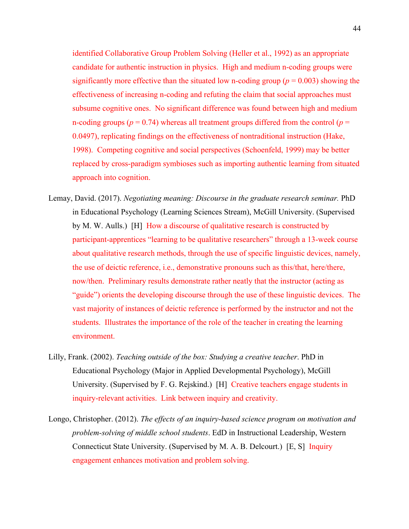identified Collaborative Group Problem Solving (Heller et al., 1992) as an appropriate candidate for authentic instruction in physics. High and medium n-coding groups were significantly more effective than the situated low n-coding group ( $p = 0.003$ ) showing the effectiveness of increasing n-coding and refuting the claim that social approaches must subsume cognitive ones. No significant difference was found between high and medium n-coding groups ( $p = 0.74$ ) whereas all treatment groups differed from the control ( $p =$ 0.0497), replicating findings on the effectiveness of nontraditional instruction (Hake, 1998). Competing cognitive and social perspectives (Schoenfeld, 1999) may be better replaced by cross-paradigm symbioses such as importing authentic learning from situated approach into cognition.

- Lemay, David. (2017). *Negotiating meaning: Discourse in the graduate research seminar.* PhD in Educational Psychology (Learning Sciences Stream), McGill University. (Supervised by M. W. Aulls.) [H] How a discourse of qualitative research is constructed by participant-apprentices "learning to be qualitative researchers" through a 13-week course about qualitative research methods, through the use of specific linguistic devices, namely, the use of deictic reference, i.e., demonstrative pronouns such as this/that, here/there, now/then. Preliminary results demonstrate rather neatly that the instructor (acting as "guide") orients the developing discourse through the use of these linguistic devices. The vast majority of instances of deictic reference is performed by the instructor and not the students. Illustrates the importance of the role of the teacher in creating the learning environment.
- Lilly, Frank. (2002). *Teaching outside of the box: Studying a creative teacher*. PhD in Educational Psychology (Major in Applied Developmental Psychology), McGill University. (Supervised by F. G. Rejskind.) [H] Creative teachers engage students in inquiry-relevant activities. Link between inquiry and creativity.
- Longo, Christopher. (2012). *The effects of an inquiry-based science program on motivation and problem-solving of middle school students*. EdD in Instructional Leadership, Western Connecticut State University. (Supervised by M. A. B. Delcourt.) [E, S] Inquiry engagement enhances motivation and problem solving.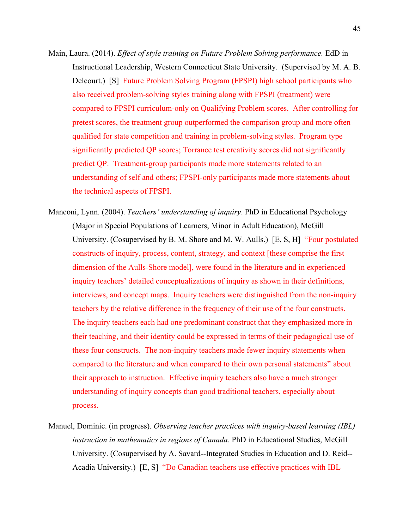- Main, Laura. (2014). *Effect of style training on Future Problem Solving performance.* EdD in Instructional Leadership, Western Connecticut State University. (Supervised by M. A. B. Delcourt.) [S] Future Problem Solving Program (FPSPI) high school participants who also received problem-solving styles training along with FPSPI (treatment) were compared to FPSPI curriculum-only on Qualifying Problem scores. After controlling for pretest scores, the treatment group outperformed the comparison group and more often qualified for state competition and training in problem-solving styles. Program type significantly predicted QP scores; Torrance test creativity scores did not significantly predict QP. Treatment-group participants made more statements related to an understanding of self and others; FPSPI-only participants made more statements about the technical aspects of FPSPI.
- Manconi, Lynn. (2004). *Teachers' understanding of inquiry*. PhD in Educational Psychology (Major in Special Populations of Learners, Minor in Adult Education), McGill University. (Cosupervised by B. M. Shore and M. W. Aulls.) [E, S, H] "Four postulated constructs of inquiry, process, content, strategy, and context [these comprise the first dimension of the Aulls-Shore model], were found in the literature and in experienced inquiry teachers' detailed conceptualizations of inquiry as shown in their definitions, interviews, and concept maps. Inquiry teachers were distinguished from the non-inquiry teachers by the relative difference in the frequency of their use of the four constructs. The inquiry teachers each had one predominant construct that they emphasized more in their teaching, and their identity could be expressed in terms of their pedagogical use of these four constructs. The non-inquiry teachers made fewer inquiry statements when compared to the literature and when compared to their own personal statements" about their approach to instruction. Effective inquiry teachers also have a much stronger understanding of inquiry concepts than good traditional teachers, especially about process.
- Manuel, Dominic. (in progress). *Observing teacher practices with inquiry-based learning (IBL) instruction in mathematics in regions of Canada.* PhD in Educational Studies, McGill University. (Cosupervised by A. Savard--Integrated Studies in Education and D. Reid-- Acadia University.) [E, S] "Do Canadian teachers use effective practices with IBL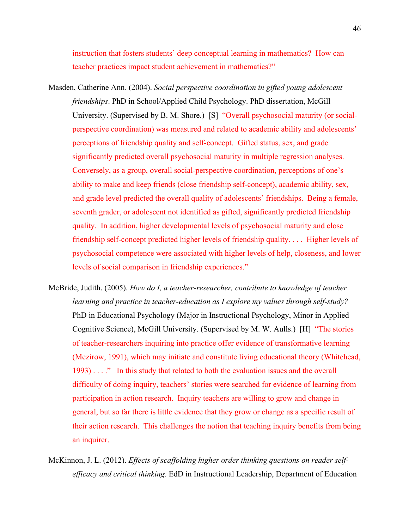instruction that fosters students' deep conceptual learning in mathematics? How can teacher practices impact student achievement in mathematics?"

- Masden, Catherine Ann. (2004). *Social perspective coordination in gifted young adolescent friendships*. PhD in School/Applied Child Psychology. PhD dissertation, McGill University. (Supervised by B. M. Shore.) [S] "Overall psychosocial maturity (or socialperspective coordination) was measured and related to academic ability and adolescents' perceptions of friendship quality and self-concept. Gifted status, sex, and grade significantly predicted overall psychosocial maturity in multiple regression analyses. Conversely, as a group, overall social-perspective coordination, perceptions of one's ability to make and keep friends (close friendship self-concept), academic ability, sex, and grade level predicted the overall quality of adolescents' friendships. Being a female, seventh grader, or adolescent not identified as gifted, significantly predicted friendship quality. In addition, higher developmental levels of psychosocial maturity and close friendship self-concept predicted higher levels of friendship quality. . . . Higher levels of psychosocial competence were associated with higher levels of help, closeness, and lower levels of social comparison in friendship experiences."
- McBride, Judith. (2005). *How do I, a teacher-researcher, contribute to knowledge of teacher learning and practice in teacher-education as I explore my values through self-study?* PhD in Educational Psychology (Major in Instructional Psychology, Minor in Applied Cognitive Science), McGill University. (Supervised by M. W. Aulls.) [H] "The stories of teacher-researchers inquiring into practice offer evidence of transformative learning (Mezirow, 1991), which may initiate and constitute living educational theory (Whitehead, 1993) . . . ." In this study that related to both the evaluation issues and the overall difficulty of doing inquiry, teachers' stories were searched for evidence of learning from participation in action research. Inquiry teachers are willing to grow and change in general, but so far there is little evidence that they grow or change as a specific result of their action research. This challenges the notion that teaching inquiry benefits from being an inquirer.
- McKinnon, J. L. (2012). *Effects of scaffolding higher order thinking questions on reader selfefficacy and critical thinking.* EdD in Instructional Leadership, Department of Education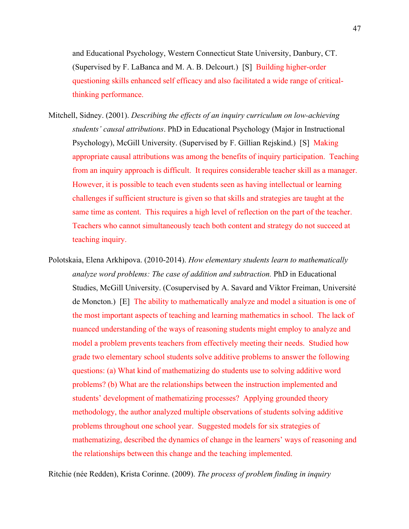and Educational Psychology, Western Connecticut State University, Danbury, CT. (Supervised by F. LaBanca and M. A. B. Delcourt.) [S] Building higher-order questioning skills enhanced self efficacy and also facilitated a wide range of criticalthinking performance.

- Mitchell, Sidney. (2001). *Describing the effects of an inquiry curriculum on low-achieving students' causal attributions*. PhD in Educational Psychology (Major in Instructional Psychology), McGill University. (Supervised by F. Gillian Rejskind.) [S] Making appropriate causal attributions was among the benefits of inquiry participation. Teaching from an inquiry approach is difficult. It requires considerable teacher skill as a manager. However, it is possible to teach even students seen as having intellectual or learning challenges if sufficient structure is given so that skills and strategies are taught at the same time as content. This requires a high level of reflection on the part of the teacher. Teachers who cannot simultaneously teach both content and strategy do not succeed at teaching inquiry.
- Polotskaia, Elena Arkhipova. (2010-2014). *How elementary students learn to mathematically analyze word problems: The case of addition and subtraction.* PhD in Educational Studies, McGill University. (Cosupervised by A. Savard and Viktor Freiman, Université de Moncton.) [E] The ability to mathematically analyze and model a situation is one of the most important aspects of teaching and learning mathematics in school. The lack of nuanced understanding of the ways of reasoning students might employ to analyze and model a problem prevents teachers from effectively meeting their needs. Studied how grade two elementary school students solve additive problems to answer the following questions: (a) What kind of mathematizing do students use to solving additive word problems? (b) What are the relationships between the instruction implemented and students' development of mathematizing processes? Applying grounded theory methodology, the author analyzed multiple observations of students solving additive problems throughout one school year. Suggested models for six strategies of mathematizing, described the dynamics of change in the learners' ways of reasoning and the relationships between this change and the teaching implemented.

Ritchie (née Redden), Krista Corinne. (2009). *The process of problem finding in inquiry*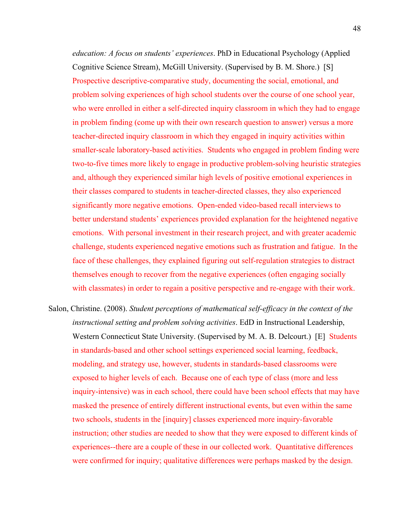*education: A focus on students' experiences*. PhD in Educational Psychology (Applied Cognitive Science Stream), McGill University. (Supervised by B. M. Shore.) [S] Prospective descriptive-comparative study, documenting the social, emotional, and problem solving experiences of high school students over the course of one school year, who were enrolled in either a self-directed inquiry classroom in which they had to engage in problem finding (come up with their own research question to answer) versus a more teacher-directed inquiry classroom in which they engaged in inquiry activities within smaller-scale laboratory-based activities. Students who engaged in problem finding were two-to-five times more likely to engage in productive problem-solving heuristic strategies and, although they experienced similar high levels of positive emotional experiences in their classes compared to students in teacher-directed classes, they also experienced significantly more negative emotions. Open-ended video-based recall interviews to better understand students' experiences provided explanation for the heightened negative emotions. With personal investment in their research project, and with greater academic challenge, students experienced negative emotions such as frustration and fatigue. In the face of these challenges, they explained figuring out self-regulation strategies to distract themselves enough to recover from the negative experiences (often engaging socially with classmates) in order to regain a positive perspective and re-engage with their work.

Salon, Christine. (2008). *Student perceptions of mathematical self-efficacy in the context of the instructional setting and problem solving activities*. EdD in Instructional Leadership, Western Connecticut State University. (Supervised by M. A. B. Delcourt.) [E] Students in standards-based and other school settings experienced social learning, feedback, modeling, and strategy use, however, students in standards-based classrooms were exposed to higher levels of each. Because one of each type of class (more and less inquiry-intensive) was in each school, there could have been school effects that may have masked the presence of entirely different instructional events, but even within the same two schools, students in the [inquiry] classes experienced more inquiry-favorable instruction; other studies are needed to show that they were exposed to different kinds of experiences--there are a couple of these in our collected work. Quantitative differences were confirmed for inquiry; qualitative differences were perhaps masked by the design.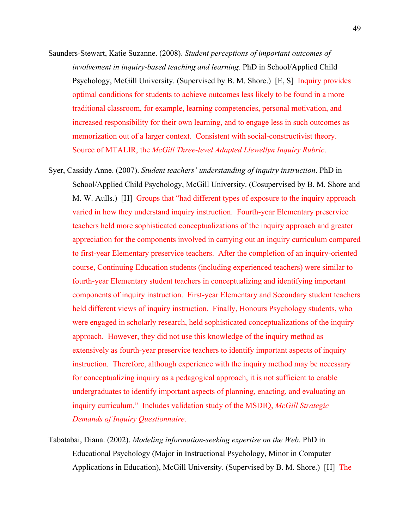- Saunders-Stewart, Katie Suzanne. (2008). *Student perceptions of important outcomes of involvement in inquiry-based teaching and learning.* PhD in School/Applied Child Psychology, McGill University. (Supervised by B. M. Shore.) [E, S] Inquiry provides optimal conditions for students to achieve outcomes less likely to be found in a more traditional classroom, for example, learning competencies, personal motivation, and increased responsibility for their own learning, and to engage less in such outcomes as memorization out of a larger context. Consistent with social-constructivist theory. Source of MTALIR, the *McGill Three-level Adapted Llewellyn Inquiry Rubric*.
- Syer, Cassidy Anne. (2007). *Student teachers' understanding of inquiry instruction*. PhD in School/Applied Child Psychology, McGill University. (Cosupervised by B. M. Shore and M. W. Aulls.) [H] Groups that "had different types of exposure to the inquiry approach varied in how they understand inquiry instruction. Fourth-year Elementary preservice teachers held more sophisticated conceptualizations of the inquiry approach and greater appreciation for the components involved in carrying out an inquiry curriculum compared to first-year Elementary preservice teachers. After the completion of an inquiry-oriented course, Continuing Education students (including experienced teachers) were similar to fourth-year Elementary student teachers in conceptualizing and identifying important components of inquiry instruction. First-year Elementary and Secondary student teachers held different views of inquiry instruction. Finally, Honours Psychology students, who were engaged in scholarly research, held sophisticated conceptualizations of the inquiry approach. However, they did not use this knowledge of the inquiry method as extensively as fourth-year preservice teachers to identify important aspects of inquiry instruction. Therefore, although experience with the inquiry method may be necessary for conceptualizing inquiry as a pedagogical approach, it is not sufficient to enable undergraduates to identify important aspects of planning, enacting, and evaluating an inquiry curriculum." Includes validation study of the MSDIQ, *McGill Strategic Demands of Inquiry Questionnaire*.
- Tabatabai, Diana. (2002). *Modeling information-seeking expertise on the Web*. PhD in Educational Psychology (Major in Instructional Psychology, Minor in Computer Applications in Education), McGill University. (Supervised by B. M. Shore.) [H] The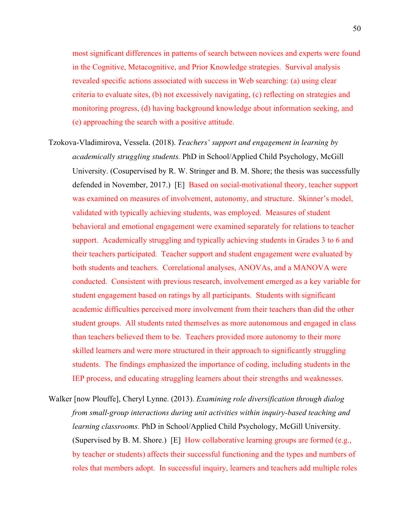most significant differences in patterns of search between novices and experts were found in the Cognitive, Metacognitive, and Prior Knowledge strategies. Survival analysis revealed specific actions associated with success in Web searching: (a) using clear criteria to evaluate sites, (b) not excessively navigating, (c) reflecting on strategies and monitoring progress, (d) having background knowledge about information seeking, and (e) approaching the search with a positive attitude.

- Tzokova-Vladimirova, Vessela. (2018). *Teachers' support and engagement in learning by academically struggling students.* PhD in School/Applied Child Psychology, McGill University. (Cosupervised by R. W. Stringer and B. M. Shore; the thesis was successfully defended in November, 2017.) [E] Based on social-motivational theory, teacher support was examined on measures of involvement, autonomy, and structure. Skinner's model, validated with typically achieving students, was employed. Measures of student behavioral and emotional engagement were examined separately for relations to teacher support. Academically struggling and typically achieving students in Grades 3 to 6 and their teachers participated. Teacher support and student engagement were evaluated by both students and teachers. Correlational analyses, ANOVAs, and a MANOVA were conducted. Consistent with previous research, involvement emerged as a key variable for student engagement based on ratings by all participants. Students with significant academic difficulties perceived more involvement from their teachers than did the other student groups. All students rated themselves as more autonomous and engaged in class than teachers believed them to be. Teachers provided more autonomy to their more skilled learners and were more structured in their approach to significantly struggling students. The findings emphasized the importance of coding, including students in the IEP process, and educating struggling learners about their strengths and weaknesses.
- Walker [now Plouffe], Cheryl Lynne. (2013). *Examining role diversification through dialog from small-group interactions during unit activities within inquiry-based teaching and learning classrooms.* PhD in School/Applied Child Psychology, McGill University. (Supervised by B. M. Shore.) [E] How collaborative learning groups are formed (e.g., by teacher or students) affects their successful functioning and the types and numbers of roles that members adopt. In successful inquiry, learners and teachers add multiple roles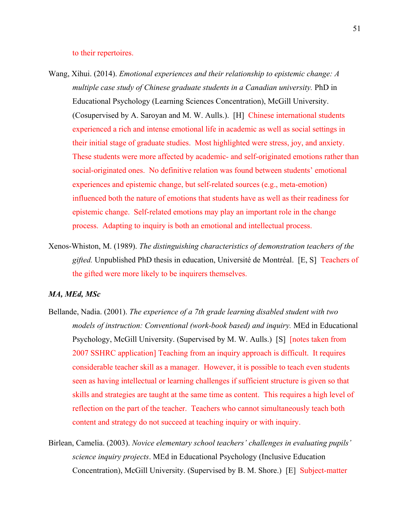#### to their repertoires.

- Wang, Xihui. (2014). *Emotional experiences and their relationship to epistemic change: A multiple case study of Chinese graduate students in a Canadian university.* PhD in Educational Psychology (Learning Sciences Concentration), McGill University. (Cosupervised by A. Saroyan and M. W. Aulls.). [H] Chinese international students experienced a rich and intense emotional life in academic as well as social settings in their initial stage of graduate studies. Most highlighted were stress, joy, and anxiety. These students were more affected by academic- and self-originated emotions rather than social-originated ones. No definitive relation was found between students' emotional experiences and epistemic change, but self-related sources (e.g., meta-emotion) influenced both the nature of emotions that students have as well as their readiness for epistemic change. Self-related emotions may play an important role in the change process. Adapting to inquiry is both an emotional and intellectual process.
- Xenos-Whiston, M. (1989). *The distinguishing characteristics of demonstration teachers of the gifted.* Unpublished PhD thesis in education, Université de Montréal. [E, S] Teachers of the gifted were more likely to be inquirers themselves.

## *MA, MEd, MSc*

- Bellande, Nadia. (2001). *The experience of a 7th grade learning disabled student with two models of instruction: Conventional (work-book based) and inquiry.* MEd in Educational Psychology, McGill University. (Supervised by M. W. Aulls.) [S] [notes taken from 2007 SSHRC application] Teaching from an inquiry approach is difficult. It requires considerable teacher skill as a manager. However, it is possible to teach even students seen as having intellectual or learning challenges if sufficient structure is given so that skills and strategies are taught at the same time as content. This requires a high level of reflection on the part of the teacher. Teachers who cannot simultaneously teach both content and strategy do not succeed at teaching inquiry or with inquiry.
- Birlean, Camelia. (2003). *Novice elementary school teachers' challenges in evaluating pupils' science inquiry projects*. MEd in Educational Psychology (Inclusive Education Concentration), McGill University. (Supervised by B. M. Shore.) [E] Subject-matter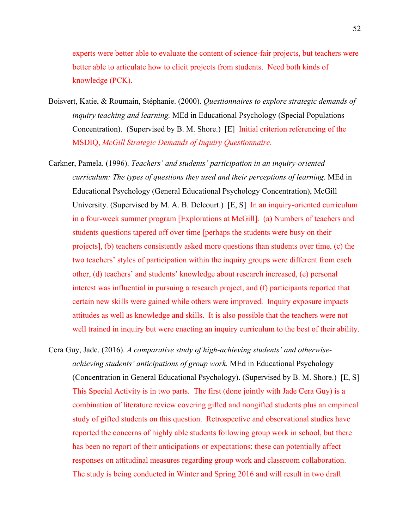experts were better able to evaluate the content of science-fair projects, but teachers were better able to articulate how to elicit projects from students. Need both kinds of knowledge (PCK).

- Boisvert, Katie, & Roumain, Stéphanie. (2000). *Questionnaires to explore strategic demands of inquiry teaching and learning.* MEd in Educational Psychology (Special Populations Concentration). (Supervised by B. M. Shore.) [E] Initial criterion referencing of the MSDIQ, *McGill Strategic Demands of Inquiry Questionnaire*.
- Carkner, Pamela. (1996). *Teachers' and students' participation in an inquiry-oriented curriculum: The types of questions they used and their perceptions of learning*. MEd in Educational Psychology (General Educational Psychology Concentration), McGill University. (Supervised by M. A. B. Delcourt.) [E, S] In an inquiry-oriented curriculum in a four-week summer program [Explorations at McGill]. (a) Numbers of teachers and students questions tapered off over time [perhaps the students were busy on their projects], (b) teachers consistently asked more questions than students over time, (c) the two teachers' styles of participation within the inquiry groups were different from each other, (d) teachers' and students' knowledge about research increased, (e) personal interest was influential in pursuing a research project, and (f) participants reported that certain new skills were gained while others were improved. Inquiry exposure impacts attitudes as well as knowledge and skills. It is also possible that the teachers were not well trained in inquiry but were enacting an inquiry curriculum to the best of their ability.
- Cera Guy, Jade. (2016). *A comparative study of high-achieving students' and otherwiseachieving students' anticipations of group work.* MEd in Educational Psychology (Concentration in General Educational Psychology). (Supervised by B. M. Shore.) [E, S] This Special Activity is in two parts. The first (done jointly with Jade Cera Guy) is a combination of literature review covering gifted and nongifted students plus an empirical study of gifted students on this question. Retrospective and observational studies have reported the concerns of highly able students following group work in school, but there has been no report of their anticipations or expectations; these can potentially affect responses on attitudinal measures regarding group work and classroom collaboration. The study is being conducted in Winter and Spring 2016 and will result in two draft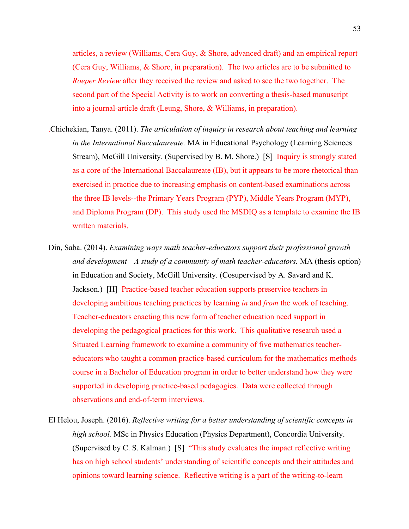articles, a review (Williams, Cera Guy, & Shore, advanced draft) and an empirical report (Cera Guy, Williams, & Shore, in preparation). The two articles are to be submitted to *Roeper Review* after they received the review and asked to see the two together. The second part of the Special Activity is to work on converting a thesis-based manuscript into a journal-article draft (Leung, Shore, & Williams, in preparation).

- .Chichekian, Tanya. (2011). *The articulation of inquiry in research about teaching and learning in the International Baccalaureate.* MA in Educational Psychology (Learning Sciences Stream), McGill University. (Supervised by B. M. Shore.) [S] Inquiry is strongly stated as a core of the International Baccalaureate (IB), but it appears to be more rhetorical than exercised in practice due to increasing emphasis on content-based examinations across the three IB levels--the Primary Years Program (PYP), Middle Years Program (MYP), and Diploma Program (DP). This study used the MSDIQ as a template to examine the IB written materials.
- Din, Saba. (2014). *Examining ways math teacher-educators support their professional growth and development—A study of a community of math teacher-educators.* MA (thesis option) in Education and Society, McGill University. (Cosupervised by A. Savard and K. Jackson.) [H] Practice-based teacher education supports preservice teachers in developing ambitious teaching practices by learning *in* and *from* the work of teaching. Teacher-educators enacting this new form of teacher education need support in developing the pedagogical practices for this work. This qualitative research used a Situated Learning framework to examine a community of five mathematics teachereducators who taught a common practice-based curriculum for the mathematics methods course in a Bachelor of Education program in order to better understand how they were supported in developing practice-based pedagogies. Data were collected through observations and end-of-term interviews.
- El Helou, Joseph. (2016). *Reflective writing for a better understanding of scientific concepts in high school.* MSc in Physics Education (Physics Department), Concordia University. (Supervised by C. S. Kalman.) [S] "This study evaluates the impact reflective writing has on high school students' understanding of scientific concepts and their attitudes and opinions toward learning science. Reflective writing is a part of the writing-to-learn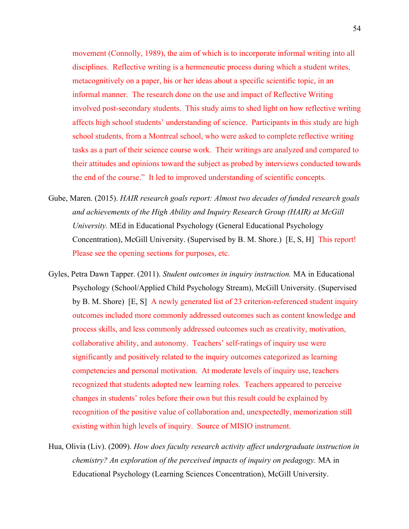movement (Connolly, 1989), the aim of which is to incorporate informal writing into all disciplines. Reflective writing is a hermeneutic process during which a student writes, metacognitively on a paper, his or her ideas about a specific scientific topic, in an informal manner. The research done on the use and impact of Reflective Writing involved post-secondary students. This study aims to shed light on how reflective writing affects high school students' understanding of science. Participants in this study are high school students, from a Montreal school, who were asked to complete reflective writing tasks as a part of their science course work. Their writings are analyzed and compared to their attitudes and opinions toward the subject as probed by interviews conducted towards the end of the course." It led to improved understanding of scientific concepts.

- Gube, Maren. (2015). *HAIR research goals report: Almost two decades of funded research goals and achievements of the High Ability and Inquiry Research Group (HAIR) at McGill University.* MEd in Educational Psychology (General Educational Psychology Concentration), McGill University. (Supervised by B. M. Shore.) [E, S, H] This report! Please see the opening sections for purposes, etc.
- Gyles, Petra Dawn Tapper. (2011). *Student outcomes in inquiry instruction.* MA in Educational Psychology (School/Applied Child Psychology Stream), McGill University. (Supervised by B. M. Shore) [E, S] A newly generated list of 23 criterion-referenced student inquiry outcomes included more commonly addressed outcomes such as content knowledge and process skills, and less commonly addressed outcomes such as creativity, motivation, collaborative ability, and autonomy. Teachers' self-ratings of inquiry use were significantly and positively related to the inquiry outcomes categorized as learning competencies and personal motivation. At moderate levels of inquiry use, teachers recognized that students adopted new learning roles. Teachers appeared to perceive changes in students' roles before their own but this result could be explained by recognition of the positive value of collaboration and, unexpectedly, memorization still existing within high levels of inquiry. Source of MISIO instrument.
- Hua, Olivia (Liv). (2009). *How does faculty research activity affect undergraduate instruction in chemistry? An exploration of the perceived impacts of inquiry on pedagogy.* MA in Educational Psychology (Learning Sciences Concentration), McGill University.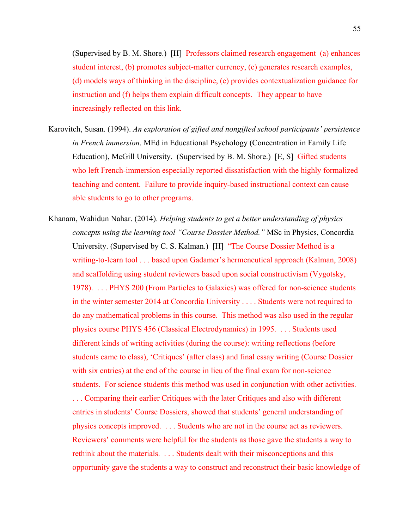(Supervised by B. M. Shore.) [H] Professors claimed research engagement (a) enhances student interest, (b) promotes subject-matter currency, (c) generates research examples, (d) models ways of thinking in the discipline, (e) provides contextualization guidance for instruction and (f) helps them explain difficult concepts. They appear to have increasingly reflected on this link.

- Karovitch, Susan. (1994). *An exploration of gifted and nongifted school participants' persistence in French immersion*. MEd in Educational Psychology (Concentration in Family Life Education), McGill University. (Supervised by B. M. Shore.) [E, S] Gifted students who left French-immersion especially reported dissatisfaction with the highly formalized teaching and content. Failure to provide inquiry-based instructional context can cause able students to go to other programs.
- Khanam, Wahidun Nahar. (2014). *Helping students to get a better understanding of physics concepts using the learning tool "Course Dossier Method."* MSc in Physics, Concordia University. (Supervised by C. S. Kalman.) [H] "The Course Dossier Method is a writing-to-learn tool . . . based upon Gadamer's hermeneutical approach (Kalman, 2008) and scaffolding using student reviewers based upon social constructivism (Vygotsky, 1978). . . . PHYS 200 (From Particles to Galaxies) was offered for non-science students in the winter semester 2014 at Concordia University . . . . Students were not required to do any mathematical problems in this course. This method was also used in the regular physics course PHYS 456 (Classical Electrodynamics) in 1995. . . . Students used different kinds of writing activities (during the course): writing reflections (before students came to class), 'Critiques' (after class) and final essay writing (Course Dossier with six entries) at the end of the course in lieu of the final exam for non-science students. For science students this method was used in conjunction with other activities. . . . Comparing their earlier Critiques with the later Critiques and also with different entries in students' Course Dossiers, showed that students' general understanding of physics concepts improved. . . . Students who are not in the course act as reviewers. Reviewers' comments were helpful for the students as those gave the students a way to rethink about the materials. . . . Students dealt with their misconceptions and this opportunity gave the students a way to construct and reconstruct their basic knowledge of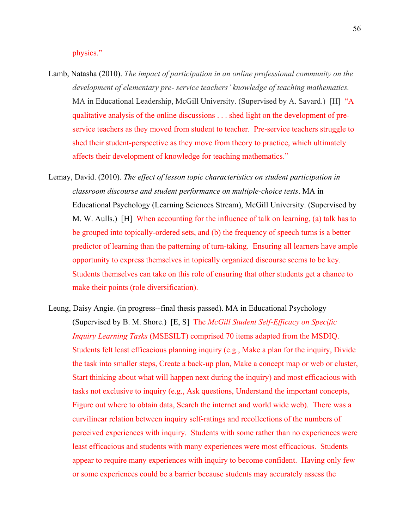physics."

- Lamb, Natasha (2010). *The impact of participation in an online professional community on the development of elementary pre- service teachers' knowledge of teaching mathematics.* MA in Educational Leadership, McGill University. (Supervised by A. Savard.) [H] "A qualitative analysis of the online discussions . . . shed light on the development of preservice teachers as they moved from student to teacher. Pre-service teachers struggle to shed their student-perspective as they move from theory to practice, which ultimately affects their development of knowledge for teaching mathematics."
- Lemay, David. (2010). *The effect of lesson topic characteristics on student participation in classroom discourse and student performance on multiple-choice tests*. MA in Educational Psychology (Learning Sciences Stream), McGill University. (Supervised by M. W. Aulls.) [H] When accounting for the influence of talk on learning, (a) talk has to be grouped into topically-ordered sets, and (b) the frequency of speech turns is a better predictor of learning than the patterning of turn-taking. Ensuring all learners have ample opportunity to express themselves in topically organized discourse seems to be key. Students themselves can take on this role of ensuring that other students get a chance to make their points (role diversification).
- Leung, Daisy Angie. (in progress--final thesis passed). MA in Educational Psychology (Supervised by B. M. Shore.) [E, S] The *McGill Student Self-Efficacy on Specific Inquiry Learning Tasks* (MSESILT) comprised 70 items adapted from the MSDIQ. Students felt least efficacious planning inquiry (e.g., Make a plan for the inquiry, Divide the task into smaller steps, Create a back-up plan, Make a concept map or web or cluster, Start thinking about what will happen next during the inquiry) and most efficacious with tasks not exclusive to inquiry (e.g., Ask questions, Understand the important concepts, Figure out where to obtain data, Search the internet and world wide web). There was a curvilinear relation between inquiry self-ratings and recollections of the numbers of perceived experiences with inquiry. Students with some rather than no experiences were least efficacious and students with many experiences were most efficacious. Students appear to require many experiences with inquiry to become confident. Having only few or some experiences could be a barrier because students may accurately assess the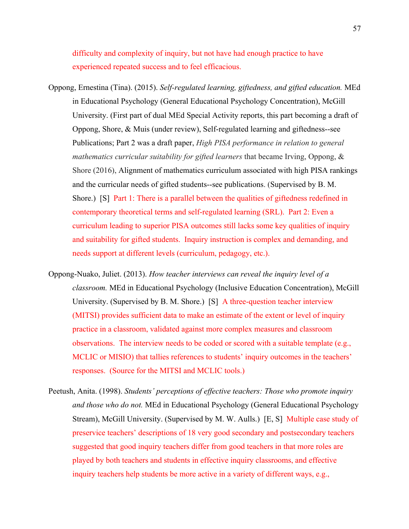difficulty and complexity of inquiry, but not have had enough practice to have experienced repeated success and to feel efficacious.

- Oppong, Ernestina (Tina). (2015). *Self-regulated learning, giftedness, and gifted education.* MEd in Educational Psychology (General Educational Psychology Concentration), McGill University. (First part of dual MEd Special Activity reports, this part becoming a draft of Oppong, Shore, & Muis (under review), Self-regulated learning and giftedness--see Publications; Part 2 was a draft paper, *High PISA performance in relation to general mathematics curricular suitability for gifted learners* that became Irving, Oppong, & Shore (2016), Alignment of mathematics curriculum associated with high PISA rankings and the curricular needs of gifted students--see publications. (Supervised by B. M. Shore.) [S] Part 1: There is a parallel between the qualities of giftedness redefined in contemporary theoretical terms and self-regulated learning (SRL). Part 2: Even a curriculum leading to superior PISA outcomes still lacks some key qualities of inquiry and suitability for gifted students. Inquiry instruction is complex and demanding, and needs support at different levels (curriculum, pedagogy, etc.).
- Oppong-Nuako, Juliet. (2013). *How teacher interviews can reveal the inquiry level of a classroom.* MEd in Educational Psychology (Inclusive Education Concentration), McGill University. (Supervised by B. M. Shore.) [S] A three-question teacher interview (MITSI) provides sufficient data to make an estimate of the extent or level of inquiry practice in a classroom, validated against more complex measures and classroom observations. The interview needs to be coded or scored with a suitable template (e.g., MCLIC or MISIO) that tallies references to students' inquiry outcomes in the teachers' responses. (Source for the MITSI and MCLIC tools.)
- Peetush, Anita. (1998). *Students' perceptions of effective teachers: Those who promote inquiry and those who do not.* MEd in Educational Psychology (General Educational Psychology Stream), McGill University. (Supervised by M. W. Aulls.) [E, S] Multiple case study of preservice teachers' descriptions of 18 very good secondary and postsecondary teachers suggested that good inquiry teachers differ from good teachers in that more roles are played by both teachers and students in effective inquiry classrooms, and effective inquiry teachers help students be more active in a variety of different ways, e.g.,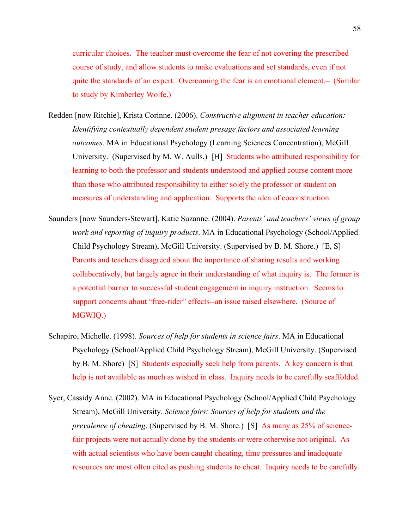curricular choices. The teacher must overcome the fear of not covering the prescribed course of study, and allow students to make evaluations and set standards, even if not quite the standards of an expert. Overcoming the fear is an emotional element. (Similar to study by Kimberley Wolfe.)

- Redden [now Ritchie], Krista Corinne. (2006). *Constructive alignment in teacher education: Identifying contextually dependent student presage factors and associated learning outcomes.* MA in Educational Psychology (Learning Sciences Concentration), McGill University. (Supervised by M. W. Aulls.) [H] Students who attributed responsibility for learning to both the professor and students understood and applied course content more than those who attributed responsibility to either solely the professor or student on measures of understanding and application. Supports the idea of coconstruction.
- Saunders [now Saunders-Stewart], Katie Suzanne. (2004). *Parents' and teachers' views of group work and reporting of inquiry products*. MA in Educational Psychology (School/Applied Child Psychology Stream), McGill University. (Supervised by B. M. Shore.) [E, S] Parents and teachers disagreed about the importance of sharing results and working collaboratively, but largely agree in their understanding of what inquiry is. The former is a potential barrier to successful student engagement in inquiry instruction. Seems to support concerns about "free-rider" effects--an issue raised elsewhere. (Source of MGWIQ.)
- Schapiro, Michelle. (1998). *Sources of help for students in science fairs*. MA in Educational Psychology (School/Applied Child Psychology Stream), McGill University. (Supervised by B. M. Shore) [S] Students especially seek help from parents. A key concern is that help is not available as much as wished in class. Inquiry needs to be carefully scaffolded.
- Syer, Cassidy Anne. (2002). MA in Educational Psychology (School/Applied Child Psychology Stream), McGill University. *Science fairs: Sources of help for students and the prevalence of cheating*. (Supervised by B. M. Shore.) [S] As many as 25% of sciencefair projects were not actually done by the students or were otherwise not original. As with actual scientists who have been caught cheating, time pressures and inadequate resources are most often cited as pushing students to cheat. Inquiry needs to be carefully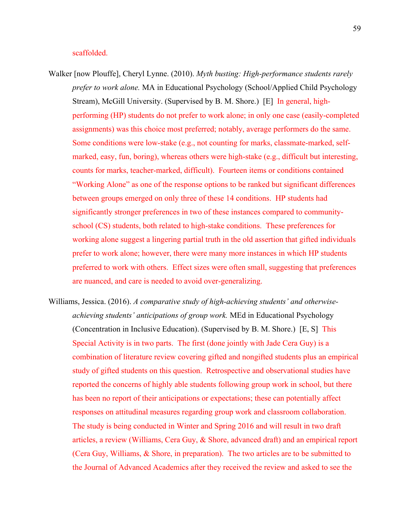## scaffolded.

- Walker [now Plouffe], Cheryl Lynne. (2010). *Myth busting: High-performance students rarely prefer to work alone.* MA in Educational Psychology (School/Applied Child Psychology Stream), McGill University. (Supervised by B. M. Shore.) [E] In general, highperforming (HP) students do not prefer to work alone; in only one case (easily-completed assignments) was this choice most preferred; notably, average performers do the same. Some conditions were low-stake (e.g., not counting for marks, classmate-marked, selfmarked, easy, fun, boring), whereas others were high-stake (e.g., difficult but interesting, counts for marks, teacher-marked, difficult). Fourteen items or conditions contained "Working Alone" as one of the response options to be ranked but significant differences between groups emerged on only three of these 14 conditions. HP students had significantly stronger preferences in two of these instances compared to communityschool (CS) students, both related to high-stake conditions. These preferences for working alone suggest a lingering partial truth in the old assertion that gifted individuals prefer to work alone; however, there were many more instances in which HP students preferred to work with others. Effect sizes were often small, suggesting that preferences are nuanced, and care is needed to avoid over-generalizing.
- Williams, Jessica. (2016). *A comparative study of high-achieving students' and otherwiseachieving students' anticipations of group work.* MEd in Educational Psychology (Concentration in Inclusive Education). (Supervised by B. M. Shore.) [E, S] This Special Activity is in two parts. The first (done jointly with Jade Cera Guy) is a combination of literature review covering gifted and nongifted students plus an empirical study of gifted students on this question. Retrospective and observational studies have reported the concerns of highly able students following group work in school, but there has been no report of their anticipations or expectations; these can potentially affect responses on attitudinal measures regarding group work and classroom collaboration. The study is being conducted in Winter and Spring 2016 and will result in two draft articles, a review (Williams, Cera Guy, & Shore, advanced draft) and an empirical report (Cera Guy, Williams, & Shore, in preparation). The two articles are to be submitted to the Journal of Advanced Academics after they received the review and asked to see the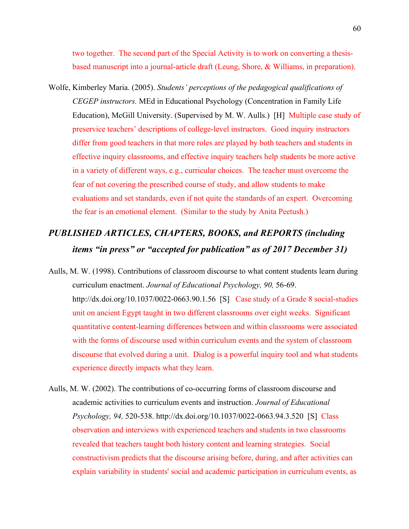two together. The second part of the Special Activity is to work on converting a thesisbased manuscript into a journal-article draft (Leung, Shore, & Williams, in preparation).

Wolfe, Kimberley Maria. (2005). *Students' perceptions of the pedagogical qualifications of CEGEP instructors.* MEd in Educational Psychology (Concentration in Family Life Education), McGill University. (Supervised by M. W. Aulls.) [H] Multiple case study of preservice teachers' descriptions of college-level instructors. Good inquiry instructors differ from good teachers in that more roles are played by both teachers and students in effective inquiry classrooms, and effective inquiry teachers help students be more active in a variety of different ways, e.g., curricular choices. The teacher must overcome the fear of not covering the prescribed course of study, and allow students to make evaluations and set standards, even if not quite the standards of an expert. Overcoming the fear is an emotional element. (Similar to the study by Anita Peetush.)

# *PUBLISHED ARTICLES, CHAPTERS, BOOKS, and REPORTS (including items "in press" or "accepted for publication" as of 2017 December 31)*

- Aulls, M. W. (1998). Contributions of classroom discourse to what content students learn during curriculum enactment. *Journal of Educational Psychology, 90,* 56-69. http://dx.doi.org/10.1037/0022-0663.90.1.56 [S] Case study of a Grade 8 social-studies unit on ancient Egypt taught in two different classrooms over eight weeks. Significant quantitative content-learning differences between and within classrooms were associated with the forms of discourse used within curriculum events and the system of classroom discourse that evolved during a unit. Dialog is a powerful inquiry tool and what students experience directly impacts what they learn.
- Aulls, M. W. (2002). The contributions of co-occurring forms of classroom discourse and academic activities to curriculum events and instruction. *Journal of Educational Psychology, 94,* 520-538. http://dx.doi.org/10.1037/0022-0663.94.3.520 [S] Class observation and interviews with experienced teachers and students in two classrooms revealed that teachers taught both history content and learning strategies. Social constructivism predicts that the discourse arising before, during, and after activities can explain variability in students' social and academic participation in curriculum events, as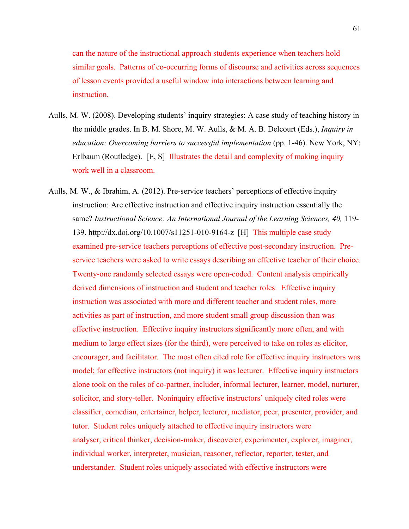can the nature of the instructional approach students experience when teachers hold similar goals. Patterns of co-occurring forms of discourse and activities across sequences of lesson events provided a useful window into interactions between learning and instruction.

- Aulls, M. W. (2008). Developing students' inquiry strategies: A case study of teaching history in the middle grades. In B. M. Shore, M. W. Aulls, & M. A. B. Delcourt (Eds.), *Inquiry in education: Overcoming barriers to successful implementation* (pp. 1-46). New York, NY: Erlbaum (Routledge). [E, S] Illustrates the detail and complexity of making inquiry work well in a classroom.
- Aulls, M. W., & Ibrahim, A. (2012). Pre-service teachers' perceptions of effective inquiry instruction: Are effective instruction and effective inquiry instruction essentially the same? *Instructional Science: An International Journal of the Learning Sciences, 40, 119-*139. http://dx.doi.org/10.1007/s11251-010-9164-z [H] This multiple case study examined pre-service teachers perceptions of effective post-secondary instruction. Preservice teachers were asked to write essays describing an effective teacher of their choice. Twenty-one randomly selected essays were open-coded. Content analysis empirically derived dimensions of instruction and student and teacher roles. Effective inquiry instruction was associated with more and different teacher and student roles, more activities as part of instruction, and more student small group discussion than was effective instruction. Effective inquiry instructors significantly more often, and with medium to large effect sizes (for the third), were perceived to take on roles as elicitor, encourager, and facilitator. The most often cited role for effective inquiry instructors was model; for effective instructors (not inquiry) it was lecturer. Effective inquiry instructors alone took on the roles of co-partner, includer, informal lecturer, learner, model, nurturer, solicitor, and story-teller. Noninquiry effective instructors' uniquely cited roles were classifier, comedian, entertainer, helper, lecturer, mediator, peer, presenter, provider, and tutor. Student roles uniquely attached to effective inquiry instructors were analyser, critical thinker, decision-maker, discoverer, experimenter, explorer, imaginer, individual worker, interpreter, musician, reasoner, reflector, reporter, tester, and understander. Student roles uniquely associated with effective instructors were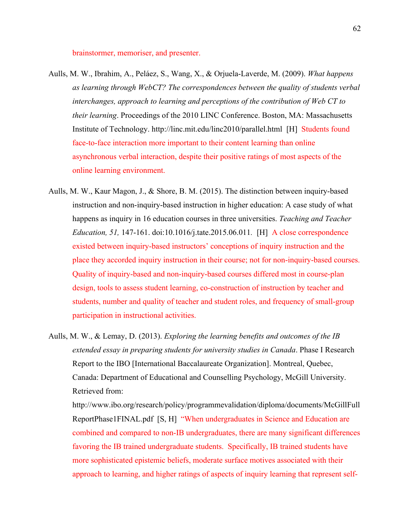brainstormer, memoriser, and presenter.

- Aulls, M. W., Ibrahim, A., Peláez, S., Wang, X., & Orjuela-Laverde, M. (2009). *What happens as learning through WebCT? The correspondences between the quality of students verbal interchanges, approach to learning and perceptions of the contribution of Web CT to their learning*. Proceedings of the 2010 LINC Conference. Boston, MA: Massachusetts Institute of Technology. http://linc.mit.edu/linc2010/parallel.html [H] Students found face-to-face interaction more important to their content learning than online asynchronous verbal interaction, despite their positive ratings of most aspects of the online learning environment.
- Aulls, M. W., Kaur Magon, J., & Shore, B. M. (2015). The distinction between inquiry-based instruction and non-inquiry-based instruction in higher education: A case study of what happens as inquiry in 16 education courses in three universities. *Teaching and Teacher Education, 51,* 147-161. doi:10.1016/j.tate.2015.06.011*.* [H] A close correspondence existed between inquiry-based instructors' conceptions of inquiry instruction and the place they accorded inquiry instruction in their course; not for non-inquiry-based courses. Quality of inquiry-based and non-inquiry-based courses differed most in course-plan design, tools to assess student learning, co-construction of instruction by teacher and students, number and quality of teacher and student roles, and frequency of small-group participation in instructional activities.
- Aulls, M. W., & Lemay, D. (2013). *Exploring the learning benefits and outcomes of the IB extended essay in preparing students for university studies in Canada*. Phase I Research Report to the IBO [International Baccalaureate Organization]. Montreal, Quebec, Canada: Department of Educational and Counselling Psychology, McGill University. Retrieved from:

http://www.ibo.org/research/policy/programmevalidation/diploma/documents/McGillFull ReportPhase1FINAL.pdf [S, H] "When undergraduates in Science and Education are combined and compared to non-IB undergraduates, there are many significant differences favoring the IB trained undergraduate students. Specifically, IB trained students have more sophisticated epistemic beliefs, moderate surface motives associated with their approach to learning, and higher ratings of aspects of inquiry learning that represent self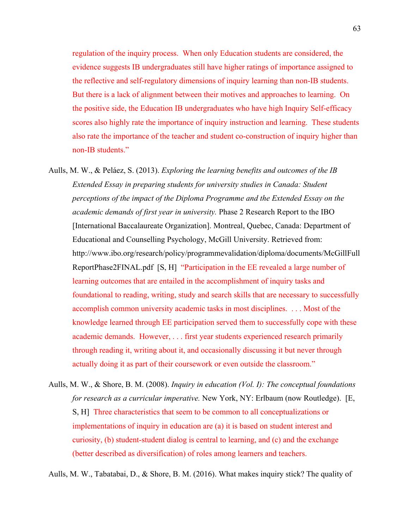regulation of the inquiry process. When only Education students are considered, the evidence suggests IB undergraduates still have higher ratings of importance assigned to the reflective and self-regulatory dimensions of inquiry learning than non-IB students. But there is a lack of alignment between their motives and approaches to learning. On the positive side, the Education IB undergraduates who have high Inquiry Self-efficacy scores also highly rate the importance of inquiry instruction and learning. These students also rate the importance of the teacher and student co-construction of inquiry higher than non-IB students."

- Aulls, M. W., & Peláez, S. (2013). *Exploring the learning benefits and outcomes of the IB Extended Essay in preparing students for university studies in Canada: Student perceptions of the impact of the Diploma Programme and the Extended Essay on the academic demands of first year in university.* Phase 2 Research Report to the IBO [International Baccalaureate Organization]. Montreal, Quebec, Canada: Department of Educational and Counselling Psychology, McGill University. Retrieved from: http://www.ibo.org/research/policy/programmevalidation/diploma/documents/McGillFull ReportPhase2FINAL.pdf [S, H] "Participation in the EE revealed a large number of learning outcomes that are entailed in the accomplishment of inquiry tasks and foundational to reading, writing, study and search skills that are necessary to successfully accomplish common university academic tasks in most disciplines. . . . Most of the knowledge learned through EE participation served them to successfully cope with these academic demands. However, . . . first year students experienced research primarily through reading it, writing about it, and occasionally discussing it but never through actually doing it as part of their coursework or even outside the classroom."
- Aulls, M. W., & Shore, B. M. (2008). *Inquiry in education (Vol. I): The conceptual foundations for research as a curricular imperative.* New York, NY: Erlbaum (now Routledge). [E, S, H] Three characteristics that seem to be common to all conceptualizations or implementations of inquiry in education are (a) it is based on student interest and curiosity, (b) student-student dialog is central to learning, and (c) and the exchange (better described as diversification) of roles among learners and teachers.

Aulls, M. W., Tabatabai, D., & Shore, B. M. (2016). What makes inquiry stick? The quality of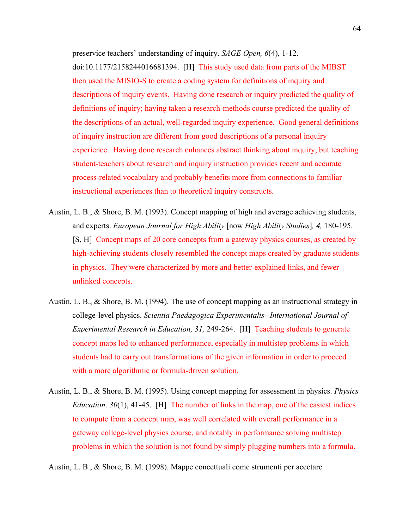preservice teachers' understanding of inquiry. *SAGE Open, 6*(4), 1-12. doi:10.1177/2158244016681394. [H] This study used data from parts of the MIBST then used the MISIO-S to create a coding system for definitions of inquiry and descriptions of inquiry events. Having done research or inquiry predicted the quality of definitions of inquiry; having taken a research-methods course predicted the quality of the descriptions of an actual, well-regarded inquiry experience. Good general definitions of inquiry instruction are different from good descriptions of a personal inquiry experience. Having done research enhances abstract thinking about inquiry, but teaching student-teachers about research and inquiry instruction provides recent and accurate process-related vocabulary and probably benefits more from connections to familiar instructional experiences than to theoretical inquiry constructs.

- Austin, L. B., & Shore, B. M. (1993). Concept mapping of high and average achieving students, and experts. *European Journal for High Ability* [now *High Ability Studies*]*, 4,* 180-195. [S, H] Concept maps of 20 core concepts from a gateway physics courses, as created by high-achieving students closely resembled the concept maps created by graduate students in physics. They were characterized by more and better-explained links, and fewer unlinked concepts.
- Austin, L. B., & Shore, B. M. (1994). The use of concept mapping as an instructional strategy in college-level physics. *Scientia Paedagogica Experimentalis--International Journal of Experimental Research in Education, 31,* 249-264. [H] Teaching students to generate concept maps led to enhanced performance, especially in multistep problems in which students had to carry out transformations of the given information in order to proceed with a more algorithmic or formula-driven solution.
- Austin, L. B., & Shore, B. M. (1995). Using concept mapping for assessment in physics. *Physics Education, 30*(1), 41-45. [H] The number of links in the map, one of the easiest indices to compute from a concept map, was well correlated with overall performance in a gateway college-level physics course, and notably in performance solving multistep problems in which the solution is not found by simply plugging numbers into a formula.

Austin, L. B., & Shore, B. M. (1998). Mappe concettuali come strumenti per accetare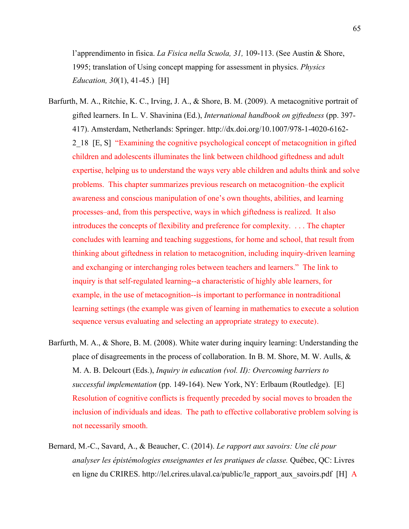l'apprendimento in fisica. *La Fisica nella Scuola, 31,* 109-113. (See Austin & Shore, 1995; translation of Using concept mapping for assessment in physics. *Physics Education, 30*(1), 41-45.) [H]

- Barfurth, M. A., Ritchie, K. C., Irving, J. A., & Shore, B. M. (2009). A metacognitive portrait of gifted learners. In L. V. Shavinina (Ed.), *International handbook on giftedness* (pp. 397- 417). Amsterdam, Netherlands: Springer. http://dx.doi.org/10.1007/978-1-4020-6162- 2\_18 [E, S] "Examining the cognitive psychological concept of metacognition in gifted children and adolescents illuminates the link between childhood giftedness and adult expertise, helping us to understand the ways very able children and adults think and solve problems. This chapter summarizes previous research on metacognition–the explicit awareness and conscious manipulation of one's own thoughts, abilities, and learning processes–and, from this perspective, ways in which giftedness is realized. It also introduces the concepts of flexibility and preference for complexity. . . . The chapter concludes with learning and teaching suggestions, for home and school, that result from thinking about giftedness in relation to metacognition, including inquiry-driven learning and exchanging or interchanging roles between teachers and learners." The link to inquiry is that self-regulated learning--a characteristic of highly able learners, for example, in the use of metacognition--is important to performance in nontraditional learning settings (the example was given of learning in mathematics to execute a solution sequence versus evaluating and selecting an appropriate strategy to execute).
- Barfurth, M. A., & Shore, B. M. (2008). White water during inquiry learning: Understanding the place of disagreements in the process of collaboration. In B. M. Shore, M. W. Aulls, & M. A. B. Delcourt (Eds.), *Inquiry in education (vol. II): Overcoming barriers to successful implementation* (pp. 149-164). New York, NY: Erlbaum (Routledge). [E] Resolution of cognitive conflicts is frequently preceded by social moves to broaden the inclusion of individuals and ideas. The path to effective collaborative problem solving is not necessarily smooth.
- Bernard, M.-C., Savard, A., & Beaucher, C. (2014). *Le rapport aux savoirs: Une clé pour analyser les épistémologies enseignantes et les pratiques de classe.* Québec, QC: Livres en ligne du CRIRES. http://lel.crires.ulaval.ca/public/le\_rapport\_aux\_savoirs.pdf [H] A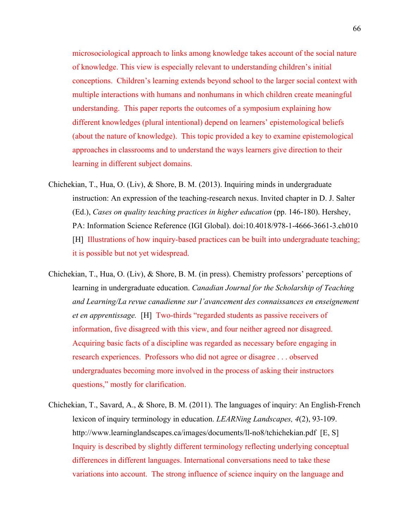microsociological approach to links among knowledge takes account of the social nature of knowledge. This view is especially relevant to understanding children's initial conceptions. Children's learning extends beyond school to the larger social context with multiple interactions with humans and nonhumans in which children create meaningful understanding. This paper reports the outcomes of a symposium explaining how different knowledges (plural intentional) depend on learners' epistemological beliefs (about the nature of knowledge). This topic provided a key to examine epistemological approaches in classrooms and to understand the ways learners give direction to their learning in different subject domains.

- Chichekian, T., Hua, O. (Liv), & Shore, B. M. (2013). Inquiring minds in undergraduate instruction: An expression of the teaching-research nexus. Invited chapter in D. J. Salter (Ed.), *Cases on quality teaching practices in higher education* (pp. 146-180). Hershey, PA: Information Science Reference (IGI Global). doi:10.4018/978-1-4666-3661-3.ch010 [H] Illustrations of how inquiry-based practices can be built into undergraduate teaching; it is possible but not yet widespread.
- Chichekian, T., Hua, O. (Liv), & Shore, B. M. (in press). Chemistry professors' perceptions of learning in undergraduate education. *Canadian Journal for the Scholarship of Teaching and Learning/La revue canadienne sur l'avancement des connaissances en enseignement et en apprentissage.* [H] Two-thirds "regarded students as passive receivers of information, five disagreed with this view, and four neither agreed nor disagreed. Acquiring basic facts of a discipline was regarded as necessary before engaging in research experiences. Professors who did not agree or disagree . . . observed undergraduates becoming more involved in the process of asking their instructors questions," mostly for clarification.
- Chichekian, T., Savard, A., & Shore, B. M. (2011). The languages of inquiry: An English-French lexicon of inquiry terminology in education. *LEARNing Landscapes, 4*(2), 93-109. http://www.learninglandscapes.ca/images/documents/ll-no8/tchichekian.pdf [E, S] Inquiry is described by slightly different terminology reflecting underlying conceptual differences in different languages. International conversations need to take these variations into account. The strong influence of science inquiry on the language and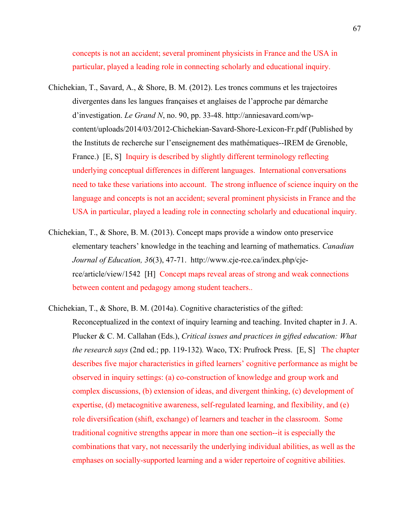concepts is not an accident; several prominent physicists in France and the USA in particular, played a leading role in connecting scholarly and educational inquiry.

- Chichekian, T., Savard, A., & Shore, B. M. (2012). Les troncs communs et les trajectoires divergentes dans les langues françaises et anglaises de l'approche par démarche d'investigation. *Le Grand N*, no. 90, pp. 33-48. http://anniesavard.com/wpcontent/uploads/2014/03/2012-Chichekian-Savard-Shore-Lexicon-Fr.pdf (Published by the Instituts de recherche sur l'enseignement des mathématiques--IREM de Grenoble, France.) [E, S] Inquiry is described by slightly different terminology reflecting underlying conceptual differences in different languages. International conversations need to take these variations into account. The strong influence of science inquiry on the language and concepts is not an accident; several prominent physicists in France and the USA in particular, played a leading role in connecting scholarly and educational inquiry.
- Chichekian, T., & Shore, B. M. (2013). Concept maps provide a window onto preservice elementary teachers' knowledge in the teaching and learning of mathematics. *Canadian Journal of Education, 36*(3), 47-71. http://www.cje-rce.ca/index.php/cjerce/article/view/1542 [H] Concept maps reveal areas of strong and weak connections between content and pedagogy among student teachers..

Chichekian, T., & Shore, B. M. (2014a). Cognitive characteristics of the gifted: Reconceptualized in the context of inquiry learning and teaching. Invited chapter in J. A. Plucker & C. M. Callahan (Eds.), *Critical issues and practices in gifted education: What the research says* (2nd ed.; pp. 119-132)*.* Waco, TX: Prufrock Press. [E, S] The chapter describes five major characteristics in gifted learners' cognitive performance as might be observed in inquiry settings: (a) co-construction of knowledge and group work and complex discussions, (b) extension of ideas, and divergent thinking, (c) development of expertise, (d) metacognitive awareness, self-regulated learning, and flexibility, and (e) role diversification (shift, exchange) of learners and teacher in the classroom. Some traditional cognitive strengths appear in more than one section--it is especially the combinations that vary, not necessarily the underlying individual abilities, as well as the emphases on socially-supported learning and a wider repertoire of cognitive abilities.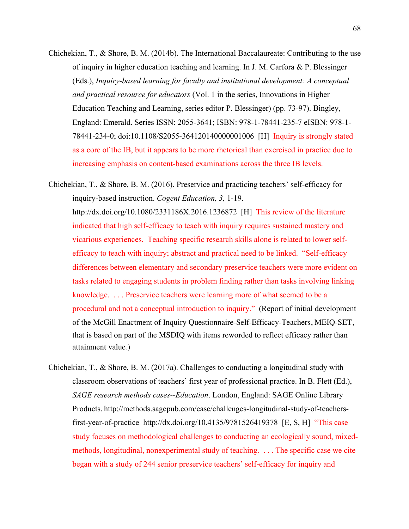Chichekian, T., & Shore, B. M. (2014b). The International Baccalaureate: Contributing to the use of inquiry in higher education teaching and learning. In J. M. Carfora & P. Blessinger (Eds.), *Inquiry-based learning for faculty and institutional development: A conceptual and practical resource for educators* (Vol. 1 in the series, Innovations in Higher Education Teaching and Learning, series editor P. Blessinger) (pp. 73-97). Bingley, England: Emerald. Series ISSN: 2055-3641; ISBN: 978-1-78441-235-7 eISBN: 978-1- 78441-234-0; doi:10.1108/S2055-364120140000001006 [H] Inquiry is strongly stated as a core of the IB, but it appears to be more rhetorical than exercised in practice due to increasing emphasis on content-based examinations across the three IB levels.

Chichekian, T., & Shore, B. M. (2016). Preservice and practicing teachers' self-efficacy for inquiry-based instruction. *Cogent Education, 3,* 1-19. http://dx.doi.org/10.1080/2331186X.2016.1236872 [H] This review of the literature indicated that high self-efficacy to teach with inquiry requires sustained mastery and vicarious experiences. Teaching specific research skills alone is related to lower selfefficacy to teach with inquiry; abstract and practical need to be linked. "Self-efficacy differences between elementary and secondary preservice teachers were more evident on tasks related to engaging students in problem finding rather than tasks involving linking knowledge. . . . Preservice teachers were learning more of what seemed to be a procedural and not a conceptual introduction to inquiry." (Report of initial development of the McGill Enactment of Inquiry Questionnaire-Self-Efficacy-Teachers, MEIQ-SET, that is based on part of the MSDIQ with items reworded to reflect efficacy rather than attainment value.)

Chichekian, T., & Shore, B. M. (2017a). Challenges to conducting a longitudinal study with classroom observations of teachers' first year of professional practice. In B. Flett (Ed.), *SAGE research methods cases--Education*. London, England: SAGE Online Library Products. http://methods.sagepub.com/case/challenges-longitudinal-study-of-teachersfirst-year-of-practice http://dx.doi.org/10.4135/9781526419378 [E, S, H] "This case study focuses on methodological challenges to conducting an ecologically sound, mixedmethods, longitudinal, nonexperimental study of teaching. . . . The specific case we cite began with a study of 244 senior preservice teachers' self-efficacy for inquiry and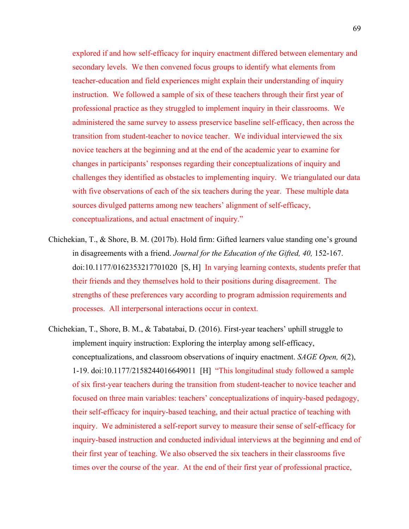explored if and how self-efficacy for inquiry enactment differed between elementary and secondary levels. We then convened focus groups to identify what elements from teacher-education and field experiences might explain their understanding of inquiry instruction. We followed a sample of six of these teachers through their first year of professional practice as they struggled to implement inquiry in their classrooms. We administered the same survey to assess preservice baseline self-efficacy, then across the transition from student-teacher to novice teacher. We individual interviewed the six novice teachers at the beginning and at the end of the academic year to examine for changes in participants' responses regarding their conceptualizations of inquiry and challenges they identified as obstacles to implementing inquiry. We triangulated our data with five observations of each of the six teachers during the year. These multiple data sources divulged patterns among new teachers' alignment of self-efficacy, conceptualizations, and actual enactment of inquiry."

- Chichekian, T., & Shore, B. M. (2017b). Hold firm: Gifted learners value standing one's ground in disagreements with a friend. *Journal for the Education of the Gifted, 40,* 152-167. doi:10.1177/0162353217701020 [S, H] In varying learning contexts, students prefer that their friends and they themselves hold to their positions during disagreement. The strengths of these preferences vary according to program admission requirements and processes. All interpersonal interactions occur in context.
- Chichekian, T., Shore, B. M., & Tabatabai, D. (2016). First-year teachers' uphill struggle to implement inquiry instruction: Exploring the interplay among self-efficacy, conceptualizations, and classroom observations of inquiry enactment. *SAGE Open, 6*(2), 1-19. doi:10.1177/2158244016649011 [H] "This longitudinal study followed a sample of six first-year teachers during the transition from student-teacher to novice teacher and focused on three main variables: teachers' conceptualizations of inquiry-based pedagogy, their self-efficacy for inquiry-based teaching, and their actual practice of teaching with inquiry. We administered a self-report survey to measure their sense of self-efficacy for inquiry-based instruction and conducted individual interviews at the beginning and end of their first year of teaching. We also observed the six teachers in their classrooms five times over the course of the year. At the end of their first year of professional practice,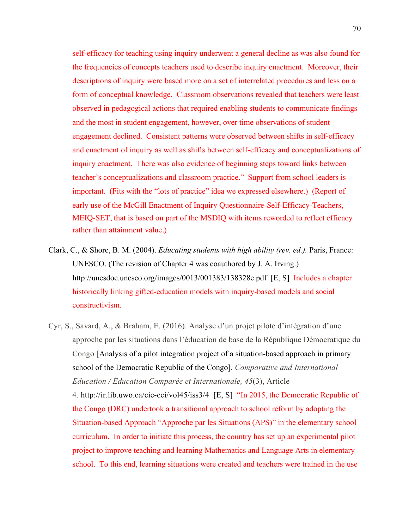self-efficacy for teaching using inquiry underwent a general decline as was also found for the frequencies of concepts teachers used to describe inquiry enactment. Moreover, their descriptions of inquiry were based more on a set of interrelated procedures and less on a form of conceptual knowledge. Classroom observations revealed that teachers were least observed in pedagogical actions that required enabling students to communicate findings and the most in student engagement, however, over time observations of student engagement declined. Consistent patterns were observed between shifts in self-efficacy and enactment of inquiry as well as shifts between self-efficacy and conceptualizations of inquiry enactment. There was also evidence of beginning steps toward links between teacher's conceptualizations and classroom practice." Support from school leaders is important. (Fits with the "lots of practice" idea we expressed elsewhere.) (Report of early use of the McGill Enactment of Inquiry Questionnaire-Self-Efficacy-Teachers, MEIQ-SET, that is based on part of the MSDIQ with items reworded to reflect efficacy rather than attainment value.)

- Clark, C., & Shore, B. M. (2004). *Educating students with high ability (rev. ed.).* Paris, France: UNESCO. (The revision of Chapter 4 was coauthored by J. A. Irving.) http://unesdoc.unesco.org/images/0013/001383/138328e.pdf [E, S] Includes a chapter historically linking gifted-education models with inquiry-based models and social constructivism.
- Cyr, S., Savard, A., & Braham, E. (2016). Analyse d'un projet pilote d'intégration d'une approche par les situations dans l'éducation de base de la République Démocratique du Congo [Analysis of a pilot integration project of a situation-based approach in primary school of the Democratic Republic of the Congo]. *Comparative and International Education / Éducation Comparée et Internationale, 45*(3), Article 4. http://ir.lib.uwo.ca/cie-eci/vol45/iss3/4 [E, S] "In 2015, the Democratic Republic of the Congo (DRC) undertook a transitional approach to school reform by adopting the Situation-based Approach "Approche par les Situations (APS)" in the elementary school curriculum. In order to initiate this process, the country has set up an experimental pilot project to improve teaching and learning Mathematics and Language Arts in elementary school. To this end, learning situations were created and teachers were trained in the use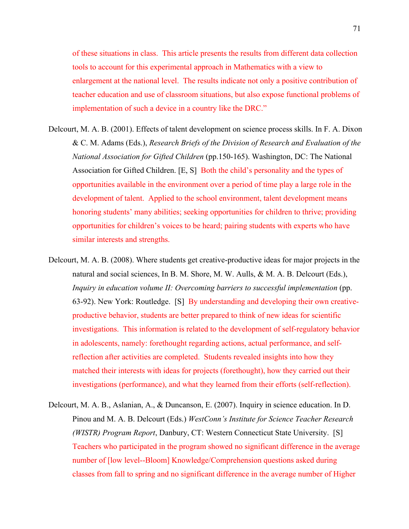of these situations in class. This article presents the results from different data collection tools to account for this experimental approach in Mathematics with a view to enlargement at the national level. The results indicate not only a positive contribution of teacher education and use of classroom situations, but also expose functional problems of implementation of such a device in a country like the DRC."

- Delcourt, M. A. B. (2001). Effects of talent development on science process skills. In F. A. Dixon & C. M. Adams (Eds.), *Research Briefs of the Division of Research and Evaluation of the National Association for Gifted Children* (pp.150-165). Washington, DC: The National Association for Gifted Children. [E, S] Both the child's personality and the types of opportunities available in the environment over a period of time play a large role in the development of talent. Applied to the school environment, talent development means honoring students' many abilities; seeking opportunities for children to thrive; providing opportunities for children's voices to be heard; pairing students with experts who have similar interests and strengths.
- Delcourt, M. A. B. (2008). Where students get creative-productive ideas for major projects in the natural and social sciences, In B. M. Shore, M. W. Aulls, & M. A. B. Delcourt (Eds.), *Inquiry in education volume II: Overcoming barriers to successful implementation* (pp. 63-92). New York: Routledge. [S] By understanding and developing their own creativeproductive behavior, students are better prepared to think of new ideas for scientific investigations. This information is related to the development of self-regulatory behavior in adolescents, namely: forethought regarding actions, actual performance, and selfreflection after activities are completed. Students revealed insights into how they matched their interests with ideas for projects (forethought), how they carried out their investigations (performance), and what they learned from their efforts (self-reflection).
- Delcourt, M. A. B., Aslanian, A., & Duncanson, E. (2007). Inquiry in science education. In D. Pinou and M. A. B. Delcourt (Eds.) *WestConn's Institute for Science Teacher Research (WISTR) Program Report*, Danbury, CT: Western Connecticut State University. [S] Teachers who participated in the program showed no significant difference in the average number of [low level--Bloom] Knowledge/Comprehension questions asked during classes from fall to spring and no significant difference in the average number of Higher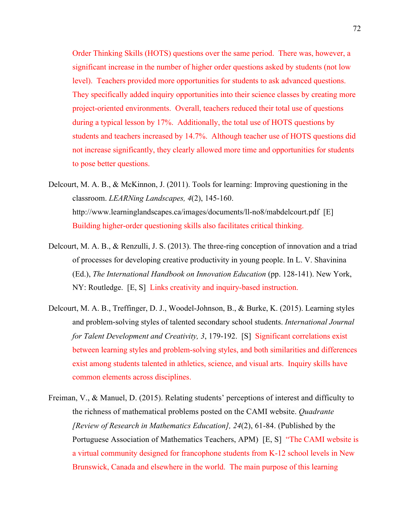Order Thinking Skills (HOTS) questions over the same period. There was, however, a significant increase in the number of higher order questions asked by students (not low level). Teachers provided more opportunities for students to ask advanced questions. They specifically added inquiry opportunities into their science classes by creating more project-oriented environments. Overall, teachers reduced their total use of questions during a typical lesson by 17%. Additionally, the total use of HOTS questions by students and teachers increased by 14.7%. Although teacher use of HOTS questions did not increase significantly, they clearly allowed more time and opportunities for students to pose better questions.

- Delcourt, M. A. B., & McKinnon, J. (2011). Tools for learning: Improving questioning in the classroom. *LEARNing Landscapes, 4*(2), 145-160. http://www.learninglandscapes.ca/images/documents/ll-no8/mabdelcourt.pdf [E] Building higher-order questioning skills also facilitates critical thinking.
- Delcourt, M. A. B., & Renzulli, J. S. (2013). The three-ring conception of innovation and a triad of processes for developing creative productivity in young people. In L. V. Shavinina (Ed.), *The International Handbook on Innovation Education* (pp. 128-141). New York, NY: Routledge. [E, S] Links creativity and inquiry-based instruction.
- Delcourt, M. A. B., Treffinger, D. J., Woodel-Johnson, B., & Burke, K. (2015). Learning styles and problem-solving styles of talented secondary school students. *International Journal for Talent Development and Creativity, 3*, 179-192. [S] Significant correlations exist between learning styles and problem-solving styles, and both similarities and differences exist among students talented in athletics, science, and visual arts. Inquiry skills have common elements across disciplines.
- Freiman, V., & Manuel, D. (2015). Relating students' perceptions of interest and difficulty to the richness of mathematical problems posted on the CAMI website. *Quadrante [Review of Research in Mathematics Education], 24*(2), 61-84. (Published by the Portuguese Association of Mathematics Teachers, APM) [E, S] "The CAMI website is a virtual community designed for francophone students from K-12 school levels in New Brunswick, Canada and elsewhere in the world. The main purpose of this learning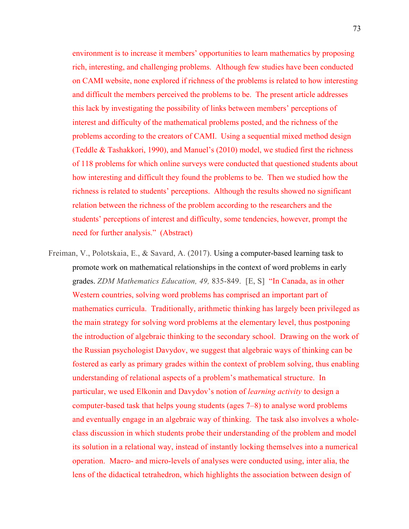environment is to increase it members' opportunities to learn mathematics by proposing rich, interesting, and challenging problems. Although few studies have been conducted on CAMI website, none explored if richness of the problems is related to how interesting and difficult the members perceived the problems to be. The present article addresses this lack by investigating the possibility of links between members' perceptions of interest and difficulty of the mathematical problems posted, and the richness of the problems according to the creators of CAMI. Using a sequential mixed method design (Teddle & Tashakkori, 1990), and Manuel's (2010) model, we studied first the richness of 118 problems for which online surveys were conducted that questioned students about how interesting and difficult they found the problems to be. Then we studied how the richness is related to students' perceptions. Although the results showed no significant relation between the richness of the problem according to the researchers and the students' perceptions of interest and difficulty, some tendencies, however, prompt the need for further analysis." (Abstract)

Freiman, V., Polotskaia, E., & Savard, A. (2017). Using a computer-based learning task to promote work on mathematical relationships in the context of word problems in early grades. *ZDM Mathematics Education, 49,* 835-849. [E, S] "In Canada, as in other Western countries, solving word problems has comprised an important part of mathematics curricula. Traditionally, arithmetic thinking has largely been privileged as the main strategy for solving word problems at the elementary level, thus postponing the introduction of algebraic thinking to the secondary school. Drawing on the work of the Russian psychologist Davydov, we suggest that algebraic ways of thinking can be fostered as early as primary grades within the context of problem solving, thus enabling understanding of relational aspects of a problem's mathematical structure. In particular, we used Elkonin and Davydov's notion of *learning activity* to design a computer-based task that helps young students (ages 7–8) to analyse word problems and eventually engage in an algebraic way of thinking. The task also involves a wholeclass discussion in which students probe their understanding of the problem and model its solution in a relational way, instead of instantly locking themselves into a numerical operation. Macro- and micro-levels of analyses were conducted using, inter alia, the lens of the didactical tetrahedron, which highlights the association between design of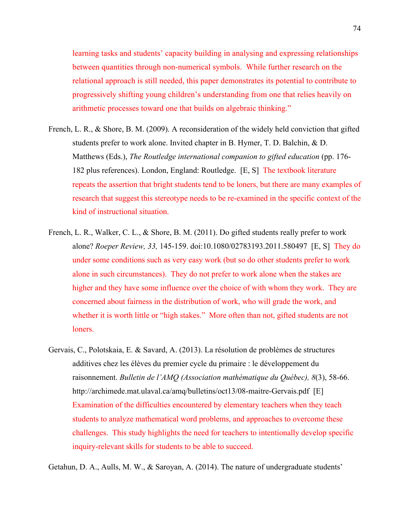learning tasks and students' capacity building in analysing and expressing relationships between quantities through non-numerical symbols. While further research on the relational approach is still needed, this paper demonstrates its potential to contribute to progressively shifting young children's understanding from one that relies heavily on arithmetic processes toward one that builds on algebraic thinking."

- French, L. R., & Shore, B. M. (2009). A reconsideration of the widely held conviction that gifted students prefer to work alone. Invited chapter in B. Hymer, T. D. Balchin, & D. Matthews (Eds.), *The Routledge international companion to gifted education* (pp. 176- 182 plus references). London, England: Routledge. [E, S] The textbook literature repeats the assertion that bright students tend to be loners, but there are many examples of research that suggest this stereotype needs to be re-examined in the specific context of the kind of instructional situation.
- French, L. R., Walker, C. L., & Shore, B. M. (2011). Do gifted students really prefer to work alone? *Roeper Review, 33,* 145-159. doi:10.1080/02783193.2011.580497 [E, S] They do under some conditions such as very easy work (but so do other students prefer to work alone in such circumstances). They do not prefer to work alone when the stakes are higher and they have some influence over the choice of with whom they work. They are concerned about fairness in the distribution of work, who will grade the work, and whether it is worth little or "high stakes." More often than not, gifted students are not loners.
- Gervais, C., Polotskaia, E. & Savard, A. (2013). La résolution de problèmes de structures additives chez les élèves du premier cycle du primaire : le développement du raisonnement. *Bulletin de l'AMQ (Association mathématique du Québec), 8*(3), 58-66. http://archimede.mat.ulaval.ca/amq/bulletins/oct13/08-maitre-Gervais.pdf [E] Examination of the difficulties encountered by elementary teachers when they teach students to analyze mathematical word problems, and approaches to overcome these challenges. This study highlights the need for teachers to intentionally develop specific inquiry-relevant skills for students to be able to succeed.

Getahun, D. A., Aulls, M. W., & Saroyan, A. (2014). The nature of undergraduate students'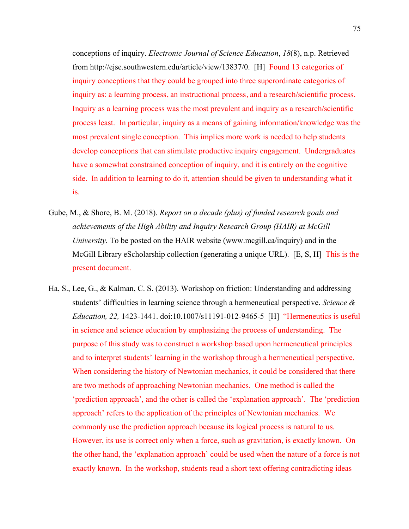conceptions of inquiry. *Electronic Journal of Science Education*, *18*(8), n.p. Retrieved from http://ejse.southwestern.edu/article/view/13837/0. [H] Found 13 categories of inquiry conceptions that they could be grouped into three superordinate categories of inquiry as: a learning process, an instructional process, and a research/scientific process. Inquiry as a learning process was the most prevalent and inquiry as a research/scientific process least. In particular, inquiry as a means of gaining information/knowledge was the most prevalent single conception. This implies more work is needed to help students develop conceptions that can stimulate productive inquiry engagement. Undergraduates have a somewhat constrained conception of inquiry, and it is entirely on the cognitive side. In addition to learning to do it, attention should be given to understanding what it is.

- Gube, M., & Shore, B. M. (2018). *Report on a decade (plus) of funded research goals and achievements of the High Ability and Inquiry Research Group (HAIR) at McGill University.* To be posted on the HAIR website (www.mcgill.ca/inquiry) and in the McGill Library eScholarship collection (generating a unique URL). [E, S, H] This is the present document.
- Ha, S., Lee, G., & Kalman, C. S. (2013). Workshop on friction: Understanding and addressing students' difficulties in learning science through a hermeneutical perspective. *Science & Education, 22,* 1423-1441. doi:10.1007/s11191-012-9465-5 [H] "Hermeneutics is useful in science and science education by emphasizing the process of understanding. The purpose of this study was to construct a workshop based upon hermeneutical principles and to interpret students' learning in the workshop through a hermeneutical perspective. When considering the history of Newtonian mechanics, it could be considered that there are two methods of approaching Newtonian mechanics. One method is called the 'prediction approach', and the other is called the 'explanation approach'. The 'prediction approach' refers to the application of the principles of Newtonian mechanics. We commonly use the prediction approach because its logical process is natural to us. However, its use is correct only when a force, such as gravitation, is exactly known. On the other hand, the 'explanation approach' could be used when the nature of a force is not exactly known. In the workshop, students read a short text offering contradicting ideas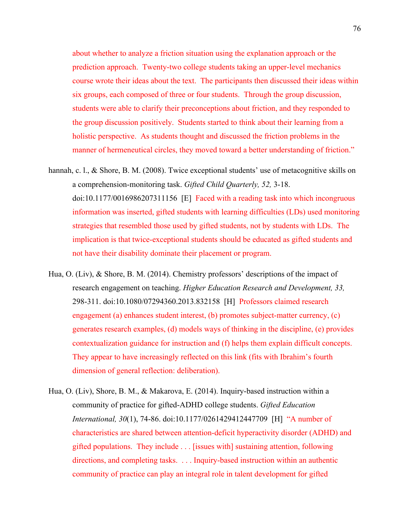about whether to analyze a friction situation using the explanation approach or the prediction approach. Twenty-two college students taking an upper-level mechanics course wrote their ideas about the text. The participants then discussed their ideas within six groups, each composed of three or four students. Through the group discussion, students were able to clarify their preconceptions about friction, and they responded to the group discussion positively. Students started to think about their learning from a holistic perspective. As students thought and discussed the friction problems in the manner of hermeneutical circles, they moved toward a better understanding of friction."

- hannah, c. l., & Shore, B. M. (2008). Twice exceptional students' use of metacognitive skills on a comprehension-monitoring task. *Gifted Child Quarterly, 52,* 3-18. doi:10.1177/0016986207311156 [E] Faced with a reading task into which incongruous information was inserted, gifted students with learning difficulties (LDs) used monitoring strategies that resembled those used by gifted students, not by students with LDs. The implication is that twice-exceptional students should be educated as gifted students and not have their disability dominate their placement or program.
- Hua, O. (Liv), & Shore, B. M. (2014). Chemistry professors' descriptions of the impact of research engagement on teaching. *Higher Education Research and Development, 33,*  298-311. doi:10.1080/07294360.2013.832158 [H] Professors claimed research engagement (a) enhances student interest, (b) promotes subject-matter currency, (c) generates research examples, (d) models ways of thinking in the discipline, (e) provides contextualization guidance for instruction and (f) helps them explain difficult concepts. They appear to have increasingly reflected on this link (fits with Ibrahim's fourth dimension of general reflection: deliberation).
- Hua, O. (Liv), Shore, B. M., & Makarova, E. (2014). Inquiry-based instruction within a community of practice for gifted-ADHD college students. *Gifted Education International, 30*(1), 74-86. doi:10.1177/0261429412447709 [H] "A number of characteristics are shared between attention-deficit hyperactivity disorder (ADHD) and gifted populations. They include . . . [issues with] sustaining attention, following directions, and completing tasks. . . . Inquiry-based instruction within an authentic community of practice can play an integral role in talent development for gifted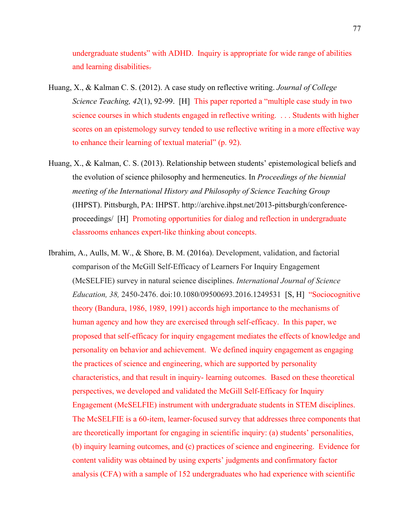undergraduate students" with ADHD. Inquiry is appropriate for wide range of abilities and learning disabilities.

- Huang, X., & Kalman C. S. (2012). A case study on reflective writing. *Journal of College Science Teaching, 42*(1), 92-99. [H] This paper reported a "multiple case study in two science courses in which students engaged in reflective writing. . . . Students with higher scores on an epistemology survey tended to use reflective writing in a more effective way to enhance their learning of textual material" (p. 92).
- Huang, X., & Kalman, C. S. (2013). Relationship between students' epistemological beliefs and the evolution of science philosophy and hermeneutics. In *Proceedings of the biennial meeting of the International History and Philosophy of Science Teaching Group* (IHPST). Pittsburgh, PA: IHPST. http://archive.ihpst.net/2013-pittsburgh/conferenceproceedings/ [H] Promoting opportunities for dialog and reflection in undergraduate classrooms enhances expert-like thinking about concepts.
- Ibrahim, A., Aulls, M. W., & Shore, B. M. (2016a). Development, validation, and factorial comparison of the McGill Self-Efficacy of Learners For Inquiry Engagement (McSELFIE) survey in natural science disciplines. *International Journal of Science Education, 38,* 2450-2476. doi:10.1080/09500693.2016.1249531 [S, H] "Sociocognitive theory (Bandura, 1986, 1989, 1991) accords high importance to the mechanisms of human agency and how they are exercised through self-efficacy. In this paper, we proposed that self-efficacy for inquiry engagement mediates the effects of knowledge and personality on behavior and achievement. We defined inquiry engagement as engaging the practices of science and engineering, which are supported by personality characteristics, and that result in inquiry- learning outcomes. Based on these theoretical perspectives, we developed and validated the McGill Self-Efficacy for Inquiry Engagement (McSELFIE) instrument with undergraduate students in STEM disciplines. The McSELFIE is a 60-item, learner-focused survey that addresses three components that are theoretically important for engaging in scientific inquiry: (a) students' personalities, (b) inquiry learning outcomes, and (c) practices of science and engineering. Evidence for content validity was obtained by using experts' judgments and confirmatory factor analysis (CFA) with a sample of 152 undergraduates who had experience with scientific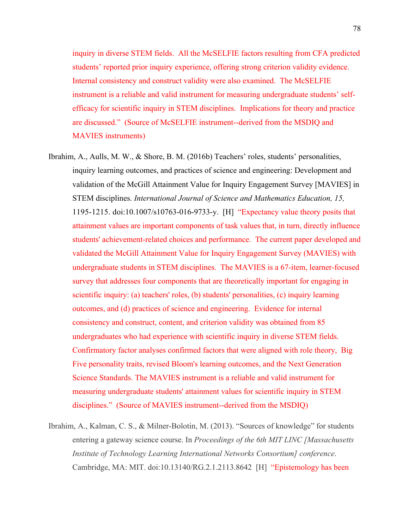inquiry in diverse STEM fields. All the McSELFIE factors resulting from CFA predicted students' reported prior inquiry experience, offering strong criterion validity evidence. Internal consistency and construct validity were also examined. The McSELFIE instrument is a reliable and valid instrument for measuring undergraduate students' selfefficacy for scientific inquiry in STEM disciplines. Implications for theory and practice are discussed." (Source of McSELFIE instrument--derived from the MSDIQ and MAVIES instruments)

- Ibrahim, A., Aulls, M. W., & Shore, B. M. (2016b) Teachers' roles, students' personalities, inquiry learning outcomes, and practices of science and engineering: Development and validation of the McGill Attainment Value for Inquiry Engagement Survey [MAVIES] in STEM disciplines. *International Journal of Science and Mathematics Education, 15,* 1195-1215. doi:10.1007/s10763-016-9733-y. [H] "Expectancy value theory posits that attainment values are important components of task values that, in turn, directly influence students' achievement-related choices and performance. The current paper developed and validated the McGill Attainment Value for Inquiry Engagement Survey (MAVIES) with undergraduate students in STEM disciplines. The MAVIES is a 67-item, learner-focused survey that addresses four components that are theoretically important for engaging in scientific inquiry: (a) teachers' roles, (b) students' personalities, (c) inquiry learning outcomes, and (d) practices of science and engineering. Evidence for internal consistency and construct, content, and criterion validity was obtained from 85 undergraduates who had experience with scientific inquiry in diverse STEM fields. Confirmatory factor analyses confirmed factors that were aligned with role theory, Big Five personality traits, revised Bloom's learning outcomes, and the Next Generation Science Standards. The MAVIES instrument is a reliable and valid instrument for measuring undergraduate students' attainment values for scientific inquiry in STEM disciplines." (Source of MAVIES instrument--derived from the MSDIQ)
- Ibrahim, A., Kalman, C. S., & Milner-Bolotin, M. (2013). "Sources of knowledge" for students entering a gateway science course. In *Proceedings of the 6th MIT LINC [Massachusetts Institute of Technology Learning International Networks Consortium] conference*. Cambridge, MA: MIT. doi:10.13140/RG.2.1.2113.8642 [H] "Epistemology has been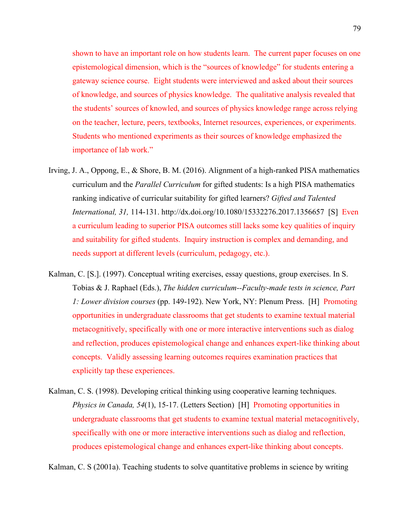shown to have an important role on how students learn. The current paper focuses on one epistemological dimension, which is the "sources of knowledge" for students entering a gateway science course. Eight students were interviewed and asked about their sources of knowledge, and sources of physics knowledge. The qualitative analysis revealed that the students' sources of knowled, and sources of physics knowledge range across relying on the teacher, lecture, peers, textbooks, Internet resources, experiences, or experiments. Students who mentioned experiments as their sources of knowledge emphasized the importance of lab work."

- Irving, J. A., Oppong, E., & Shore, B. M. (2016). Alignment of a high-ranked PISA mathematics curriculum and the *Parallel Curriculum* for gifted students: Is a high PISA mathematics ranking indicative of curricular suitability for gifted learners? *Gifted and Talented International, 31,* 114-131. http://dx.doi.org/10.1080/15332276.2017.1356657 [S] Even a curriculum leading to superior PISA outcomes still lacks some key qualities of inquiry and suitability for gifted students. Inquiry instruction is complex and demanding, and needs support at different levels (curriculum, pedagogy, etc.).
- Kalman, C. [S.]. (1997). Conceptual writing exercises, essay questions, group exercises. In S. Tobias & J. Raphael (Eds.), *The hidden curriculum--Faculty-made tests in science, Part 1: Lower division courses* (pp. 149-192). New York, NY: Plenum Press. [H] Promoting opportunities in undergraduate classrooms that get students to examine textual material metacognitively, specifically with one or more interactive interventions such as dialog and reflection, produces epistemological change and enhances expert-like thinking about concepts. Validly assessing learning outcomes requires examination practices that explicitly tap these experiences.
- Kalman, C. S. (1998). Developing critical thinking using cooperative learning techniques. *Physics in Canada, 54*(1), 15-17. (Letters Section) [H] Promoting opportunities in undergraduate classrooms that get students to examine textual material metacognitively, specifically with one or more interactive interventions such as dialog and reflection, produces epistemological change and enhances expert-like thinking about concepts.

Kalman, C. S (2001a). Teaching students to solve quantitative problems in science by writing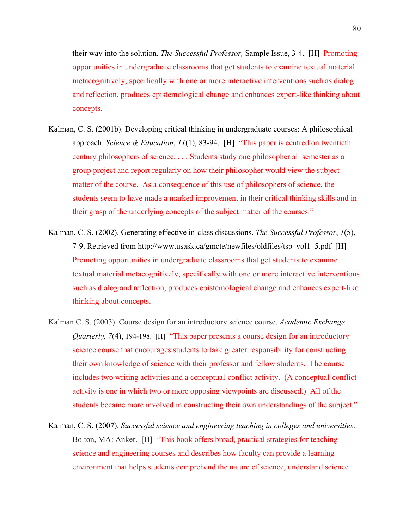their way into the solution. *The Successful Professor,* Sample Issue, 3-4. [H] Promoting opportunities in undergraduate classrooms that get students to examine textual material metacognitively, specifically with one or more interactive interventions such as dialog and reflection, produces epistemological change and enhances expert-like thinking about concepts.

- Kalman, C. S. (2001b). Developing critical thinking in undergraduate courses: A philosophical approach. *Science & Education*, *11*(1), 83-94. [H] "This paper is centred on twentieth century philosophers of science. . . . Students study one philosopher all semester as a group project and report regularly on how their philosopher would view the subject matter of the course. As a consequence of this use of philosophers of science, the students seem to have made a marked improvement in their critical thinking skills and in their grasp of the underlying concepts of the subject matter of the courses."
- Kalman, C. S. (2002). Generating effective in-class discussions. *The Successful Professor*, *1*(5), 7-9. Retrieved from http://www.usask.ca/gmcte/newfiles/oldfiles/tsp\_vol1\_5.pdf [H] Promoting opportunities in undergraduate classrooms that get students to examine textual material metacognitively, specifically with one or more interactive interventions such as dialog and reflection, produces epistemological change and enhances expert-like thinking about concepts.
- Kalman C. S. (2003). Course design for an introductory science course. *Academic Exchange Quarterly, 7*(4), 194-198. [H] "This paper presents a course design for an introductory science course that encourages students to take greater responsibility for constructing their own knowledge of science with their professor and fellow students. The course includes two writing activities and a conceptual-conflict activity. (A conceptual-conflict activity is one in which two or more opposing viewpoints are discussed.) All of the students became more involved in constructing their own understandings of the subject."
- Kalman, C. S. (2007). *Successful science and engineering teaching in colleges and universities*. Bolton, MA: Anker. [H] "This book offers broad, practical strategies for teaching science and engineering courses and describes how faculty can provide a learning environment that helps students comprehend the nature of science, understand science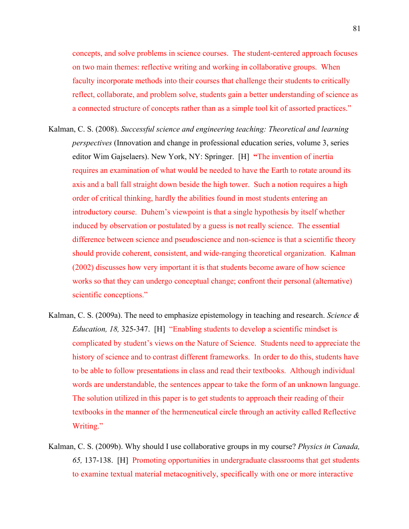concepts, and solve problems in science courses. The student-centered approach focuses on two main themes: reflective writing and working in collaborative groups. When faculty incorporate methods into their courses that challenge their students to critically reflect, collaborate, and problem solve, students gain a better understanding of science as a connected structure of concepts rather than as a simple tool kit of assorted practices."

- Kalman, C. S. (2008). *Successful science and engineering teaching: Theoretical and learning perspectives* (Innovation and change in professional education series, volume 3, series editor Wim Gajselaers). New York, NY: Springer. [H] **"**The invention of inertia requires an examination of what would be needed to have the Earth to rotate around its axis and a ball fall straight down beside the high tower. Such a notion requires a high order of critical thinking, hardly the abilities found in most students entering an introductory course. Duhem's viewpoint is that a single hypothesis by itself whether induced by observation or postulated by a guess is not really science. The essential difference between science and pseudoscience and non-science is that a scientific theory should provide coherent, consistent, and wide-ranging theoretical organization. Kalman (2002) discusses how very important it is that students become aware of how science works so that they can undergo conceptual change; confront their personal (alternative) scientific conceptions."
- Kalman, C. S. (2009a). The need to emphasize epistemology in teaching and research. *Science & Education, 18,* 325-347. [H] "Enabling students to develop a scientific mindset is complicated by student's views on the Nature of Science. Students need to appreciate the history of science and to contrast different frameworks. In order to do this, students have to be able to follow presentations in class and read their textbooks. Although individual words are understandable, the sentences appear to take the form of an unknown language. The solution utilized in this paper is to get students to approach their reading of their textbooks in the manner of the hermeneutical circle through an activity called Reflective Writing."
- Kalman, C. S. (2009b). Why should I use collaborative groups in my course? *Physics in Canada, 65,* 137-138. [H] Promoting opportunities in undergraduate classrooms that get students to examine textual material metacognitively, specifically with one or more interactive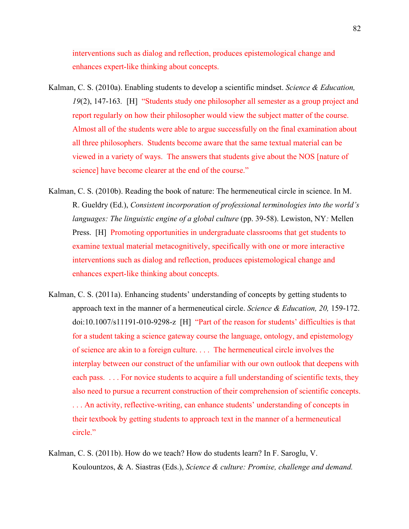interventions such as dialog and reflection, produces epistemological change and enhances expert-like thinking about concepts.

- Kalman, C. S. (2010a). Enabling students to develop a scientific mindset. *Science & Education, 19*(2), 147-163*.* [H] "Students study one philosopher all semester as a group project and report regularly on how their philosopher would view the subject matter of the course. Almost all of the students were able to argue successfully on the final examination about all three philosophers. Students become aware that the same textual material can be viewed in a variety of ways. The answers that students give about the NOS [nature of science] have become clearer at the end of the course."
- Kalman, C. S. (2010b). Reading the book of nature: The hermeneutical circle in science. In M. R. Gueldry (Ed.), *Consistent incorporation of professional terminologies into the world's languages: The linguistic engine of a global culture* (pp. 39-58). Lewiston, NY*:* Mellen Press. [H] Promoting opportunities in undergraduate classrooms that get students to examine textual material metacognitively, specifically with one or more interactive interventions such as dialog and reflection, produces epistemological change and enhances expert-like thinking about concepts.
- Kalman, C. S. (2011a). Enhancing students' understanding of concepts by getting students to approach text in the manner of a hermeneutical circle. *Science & Education, 20,* 159-172. doi:10.1007/s11191-010-9298-z [H] "Part of the reason for students' difficulties is that for a student taking a science gateway course the language, ontology, and epistemology of science are akin to a foreign culture. . . . The hermeneutical circle involves the interplay between our construct of the unfamiliar with our own outlook that deepens with each pass. . . . For novice students to acquire a full understanding of scientific texts, they also need to pursue a recurrent construction of their comprehension of scientific concepts. . . . An activity, reflective-writing, can enhance students' understanding of concepts in their textbook by getting students to approach text in the manner of a hermeneutical circle."
- Kalman, C. S. (2011b). How do we teach? How do students learn? In F. Saroglu, V. Koulountzos, & A. Siastras (Eds.), *Science & culture: Promise, challenge and demand.*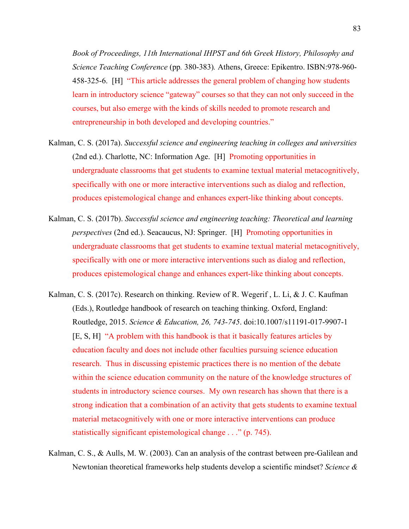*Book of Proceedings, 11th International IHPST and 6th Greek History, Philosophy and Science Teaching Conference* (pp*.* 380-383)*.* Athens, Greece: Epikentro. ISBN:978-960- 458-325-6. [H] "This article addresses the general problem of changing how students learn in introductory science "gateway" courses so that they can not only succeed in the courses, but also emerge with the kinds of skills needed to promote research and entrepreneurship in both developed and developing countries."

- Kalman, C. S. (2017a). *Successful science and engineering teaching in colleges and universities*  (2nd ed.). Charlotte, NC: Information Age. [H] Promoting opportunities in undergraduate classrooms that get students to examine textual material metacognitively, specifically with one or more interactive interventions such as dialog and reflection, produces epistemological change and enhances expert-like thinking about concepts.
- Kalman, C. S. (2017b). *Successful science and engineering teaching: Theoretical and learning perspectives* (2nd ed.). Seacaucus, NJ: Springer. [H] Promoting opportunities in undergraduate classrooms that get students to examine textual material metacognitively, specifically with one or more interactive interventions such as dialog and reflection, produces epistemological change and enhances expert-like thinking about concepts.
- Kalman, C. S. (2017c). Research on thinking. Review of R. Wegerif , L. Li, & J. C. Kaufman (Eds.), Routledge handbook of research on teaching thinking. Oxford, England: Routledge, 2015. *Science & Education, 26, 743-745*. doi:10.1007/s11191-017-9907-1 [E, S, H] "A problem with this handbook is that it basically features articles by education faculty and does not include other faculties pursuing science education research. Thus in discussing epistemic practices there is no mention of the debate within the science education community on the nature of the knowledge structures of students in introductory science courses. My own research has shown that there is a strong indication that a combination of an activity that gets students to examine textual material metacognitively with one or more interactive interventions can produce statistically significant epistemological change . . ." (p. 745).
- Kalman, C. S., & Aulls, M. W. (2003). Can an analysis of the contrast between pre-Galilean and Newtonian theoretical frameworks help students develop a scientific mindset? *Science &*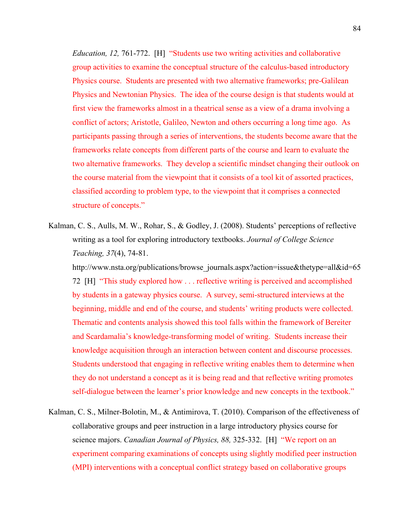*Education, 12,* 761-772. [H] "Students use two writing activities and collaborative group activities to examine the conceptual structure of the calculus-based introductory Physics course. Students are presented with two alternative frameworks; pre-Galilean Physics and Newtonian Physics. The idea of the course design is that students would at first view the frameworks almost in a theatrical sense as a view of a drama involving a conflict of actors; Aristotle, Galileo, Newton and others occurring a long time ago. As participants passing through a series of interventions, the students become aware that the frameworks relate concepts from different parts of the course and learn to evaluate the two alternative frameworks. They develop a scientific mindset changing their outlook on the course material from the viewpoint that it consists of a tool kit of assorted practices, classified according to problem type, to the viewpoint that it comprises a connected structure of concepts."

Kalman, C. S., Aulls, M. W., Rohar, S., & Godley, J. (2008). Students' perceptions of reflective writing as a tool for exploring introductory textbooks. *Journal of College Science Teaching, 37*(4), 74-81.

http://www.nsta.org/publications/browse\_journals.aspx?action=issue&thetype=all&id=65 72 [H] "This study explored how . . . reflective writing is perceived and accomplished by students in a gateway physics course. A survey, semi-structured interviews at the beginning, middle and end of the course, and students' writing products were collected. Thematic and contents analysis showed this tool falls within the framework of Bereiter and Scardamalia's knowledge-transforming model of writing. Students increase their knowledge acquisition through an interaction between content and discourse processes. Students understood that engaging in reflective writing enables them to determine when they do not understand a concept as it is being read and that reflective writing promotes self-dialogue between the learner's prior knowledge and new concepts in the textbook."

Kalman, C. S., Milner-Bolotin, M., & Antimirova, T. (2010). Comparison of the effectiveness of collaborative groups and peer instruction in a large introductory physics course for science majors. *Canadian Journal of Physics, 88,* 325-332. [H] "We report on an experiment comparing examinations of concepts using slightly modified peer instruction (MPI) interventions with a conceptual conflict strategy based on collaborative groups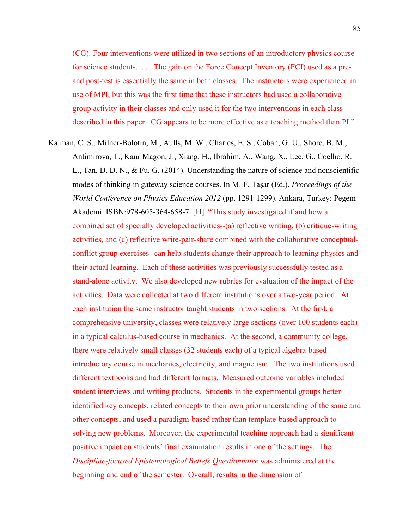(CG). Four interventions were utilized in two sections of an introductory physics course for science students. . . . The gain on the Force Concept Inventory (FCI) used as a preand post-test is essentially the same in both classes. The instructors were experienced in use of MPI, but this was the first time that these instructors had used a collaborative group activity in their classes and only used it for the two interventions in each class described in this paper. CG appears to be more effective as a teaching method than PI."

Kalman, C. S., Milner-Bolotin, M., Aulls, M. W., Charles, E. S., Coban, G. U., Shore, B. M., Antimirova, T., Kaur Magon, J., Xiang, H., Ibrahim, A., Wang, X., Lee, G., Coelho, R. L., Tan, D. D. N., & Fu, G. (2014). Understanding the nature of science and nonscientific modes of thinking in gateway science courses. In M. F. Taşar (Ed.), *Proceedings of the World Conference on Physics Education 2012* (pp. 1291-1299). Ankara, Turkey: Pegem Akademi. ISBN:978-605-364-658-7 [H] "This study investigated if and how a combined set of specially developed activities--(a) reflective writing, (b) critique-writing activities, and (c) reflective write-pair-share combined with the collaborative conceptualconflict group exercises--can help students change their approach to learning physics and their actual learning. Each of these activities was previously successfully tested as a stand-alone activity. We also developed new rubrics for evaluation of the impact of the activities. Data were collected at two different institutions over a two-year period. At each institution the same instructor taught students in two sections. At the first, a comprehensive university, classes were relatively large sections (over 100 students each) in a typical calculus-based course in mechanics. At the second, a community college, there were relatively small classes (32 students each) of a typical algebra-based introductory course in mechanics, electricity, and magnetism. The two institutions used different textbooks and had different formats. Measured outcome variables included student interviews and writing products. Students in the experimental groups better identified key concepts, related concepts to their own prior understanding of the same and other concepts, and used a paradigm-based rather than template-based approach to solving new problems. Moreover, the experimental teaching approach had a significant positive impact on students' final examination results in one of the settings. The *Discipline-focused Epistemological Beliefs Questionnaire* was administered at the beginning and end of the semester. Overall, results in the dimension of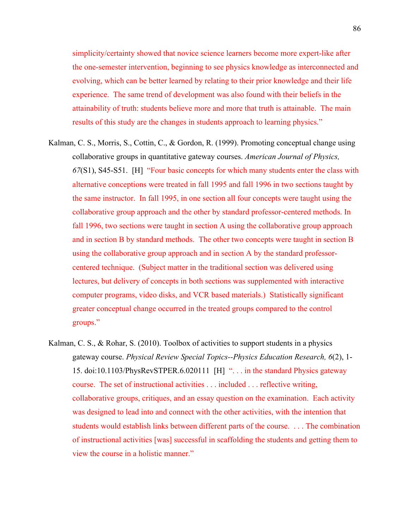simplicity/certainty showed that novice science learners become more expert-like after the one-semester intervention, beginning to see physics knowledge as interconnected and evolving, which can be better learned by relating to their prior knowledge and their life experience. The same trend of development was also found with their beliefs in the attainability of truth: students believe more and more that truth is attainable. The main results of this study are the changes in students approach to learning physics."

- Kalman, C. S., Morris, S., Cottin, C., & Gordon, R. (1999). Promoting conceptual change using collaborative groups in quantitative gateway courses. *American Journal of Physics, 67*(S1), S45-S51. [H] "Four basic concepts for which many students enter the class with alternative conceptions were treated in fall 1995 and fall 1996 in two sections taught by the same instructor. In fall 1995, in one section all four concepts were taught using the collaborative group approach and the other by standard professor-centered methods. In fall 1996, two sections were taught in section A using the collaborative group approach and in section B by standard methods. The other two concepts were taught in section B using the collaborative group approach and in section A by the standard professorcentered technique. (Subject matter in the traditional section was delivered using lectures, but delivery of concepts in both sections was supplemented with interactive computer programs, video disks, and VCR based materials.) Statistically significant greater conceptual change occurred in the treated groups compared to the control groups."
- Kalman, C. S., & Rohar, S. (2010). Toolbox of activities to support students in a physics gateway course. *Physical Review Special Topics--Physics Education Research, 6*(2), 1- 15. doi:10.1103/PhysRevSTPER.6.020111 [H] ". . . in the standard Physics gateway course. The set of instructional activities . . . included . . . reflective writing, collaborative groups, critiques, and an essay question on the examination. Each activity was designed to lead into and connect with the other activities, with the intention that students would establish links between different parts of the course. . . . The combination of instructional activities [was] successful in scaffolding the students and getting them to view the course in a holistic manner."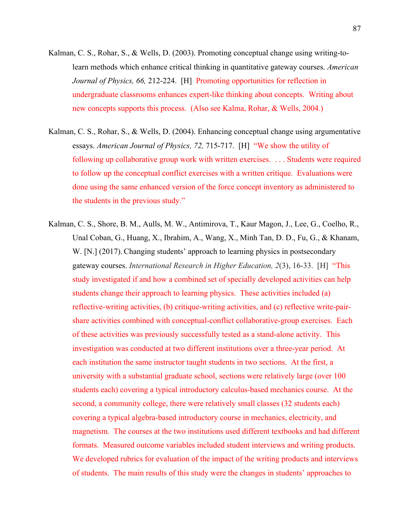- Kalman, C. S., Rohar, S., & Wells, D. (2003). Promoting conceptual change using writing-tolearn methods which enhance critical thinking in quantitative gateway courses. *American Journal of Physics, 66, 212-224.* [H] Promoting opportunities for reflection in undergraduate classrooms enhances expert-like thinking about concepts. Writing about new concepts supports this process. (Also see Kalma, Rohar, & Wells, 2004.)
- Kalman, C. S., Rohar, S., & Wells, D. (2004). Enhancing conceptual change using argumentative essays. *American Journal of Physics, 72,* 715-717. [H] "We show the utility of following up collaborative group work with written exercises. . . . Students were required to follow up the conceptual conflict exercises with a written critique. Evaluations were done using the same enhanced version of the force concept inventory as administered to the students in the previous study."
- Kalman, C. S., Shore, B. M., Aulls, M. W., Antimirova, T., Kaur Magon, J., Lee, G., Coelho, R., Unal Coban, G., Huang, X., Ibrahim, A., Wang, X., Minh Tan, D. D., Fu, G., & Khanam, W. [N.] (2017). Changing students' approach to learning physics in postsecondary gateway courses. *International Research in Higher Education, 2*(3), 16-33. [H] "This study investigated if and how a combined set of specially developed activities can help students change their approach to learning physics. These activities included (a) reflective-writing activities, (b) critique-writing activities, and (c) reflective write-pairshare activities combined with conceptual-conflict collaborative-group exercises. Each of these activities was previously successfully tested as a stand-alone activity. This investigation was conducted at two different institutions over a three-year period. At each institution the same instructor taught students in two sections. At the first, a university with a substantial graduate school, sections were relatively large (over 100 students each) covering a typical introductory calculus-based mechanics course. At the second, a community college, there were relatively small classes (32 students each) covering a typical algebra-based introductory course in mechanics, electricity, and magnetism. The courses at the two institutions used different textbooks and had different formats. Measured outcome variables included student interviews and writing products. We developed rubrics for evaluation of the impact of the writing products and interviews of students. The main results of this study were the changes in students' approaches to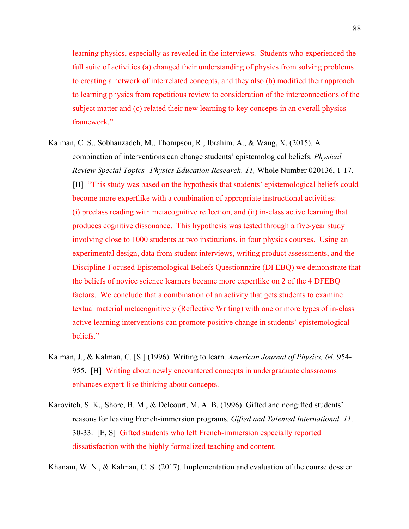learning physics, especially as revealed in the interviews. Students who experienced the full suite of activities (a) changed their understanding of physics from solving problems to creating a network of interrelated concepts, and they also (b) modified their approach to learning physics from repetitious review to consideration of the interconnections of the subject matter and (c) related their new learning to key concepts in an overall physics framework."

- Kalman, C. S., Sobhanzadeh, M., Thompson, R., Ibrahim, A., & Wang, X. (2015). A combination of interventions can change students' epistemological beliefs. *Physical Review Special Topics--Physics Education Research. 11,* Whole Number 020136, 1-17. [H] "This study was based on the hypothesis that students' epistemological beliefs could become more expertlike with a combination of appropriate instructional activities: (i) preclass reading with metacognitive reflection, and (ii) in-class active learning that produces cognitive dissonance. This hypothesis was tested through a five-year study involving close to 1000 students at two institutions, in four physics courses. Using an experimental design, data from student interviews, writing product assessments, and the Discipline-Focused Epistemological Beliefs Questionnaire (DFEBQ) we demonstrate that the beliefs of novice science learners became more expertlike on 2 of the 4 DFEBQ factors. We conclude that a combination of an activity that gets students to examine textual material metacognitively (Reflective Writing) with one or more types of in-class active learning interventions can promote positive change in students' epistemological beliefs."
- Kalman, J., & Kalman, C. [S.] (1996). Writing to learn. *American Journal of Physics, 64,* 954- 955. [H] Writing about newly encountered concepts in undergraduate classrooms enhances expert-like thinking about concepts.
- Karovitch, S. K., Shore, B. M., & Delcourt, M. A. B. (1996). Gifted and nongifted students' reasons for leaving French-immersion programs. *Gifted and Talented International, 11,* 30-33. [E, S] Gifted students who left French-immersion especially reported dissatisfaction with the highly formalized teaching and content.

Khanam, W. N., & Kalman, C. S. (2017). Implementation and evaluation of the course dossier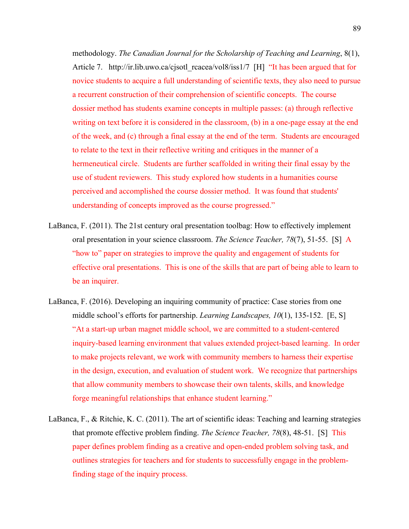methodology. *The Canadian Journal for the Scholarship of Teaching and Learning*, 8(1), Article 7. http://ir.lib.uwo.ca/cjsotl\_rcacea/vol8/iss1/7 [H] "It has been argued that for novice students to acquire a full understanding of scientific texts, they also need to pursue a recurrent construction of their comprehension of scientific concepts. The course dossier method has students examine concepts in multiple passes: (a) through reflective writing on text before it is considered in the classroom, (b) in a one-page essay at the end of the week, and (c) through a final essay at the end of the term. Students are encouraged to relate to the text in their reflective writing and critiques in the manner of a hermeneutical circle. Students are further scaffolded in writing their final essay by the use of student reviewers. This study explored how students in a humanities course perceived and accomplished the course dossier method. It was found that students' understanding of concepts improved as the course progressed."

- LaBanca, F. (2011). The 21st century oral presentation toolbag: How to effectively implement oral presentation in your science classroom. *The Science Teacher, 78*(7), 51-55. [S] A "how to" paper on strategies to improve the quality and engagement of students for effective oral presentations. This is one of the skills that are part of being able to learn to be an inquirer.
- LaBanca, F. (2016). Developing an inquiring community of practice: Case stories from one middle school's efforts for partnership. *Learning Landscapes, 10*(1), 135-152. [E, S] "At a start-up urban magnet middle school, we are committed to a student-centered inquiry-based learning environment that values extended project-based learning. In order to make projects relevant, we work with community members to harness their expertise in the design, execution, and evaluation of student work. We recognize that partnerships that allow community members to showcase their own talents, skills, and knowledge forge meaningful relationships that enhance student learning."
- LaBanca, F., & Ritchie, K. C. (2011). The art of scientific ideas: Teaching and learning strategies that promote effective problem finding. *The Science Teacher, 78*(8), 48-51. [S] This paper defines problem finding as a creative and open-ended problem solving task, and outlines strategies for teachers and for students to successfully engage in the problemfinding stage of the inquiry process.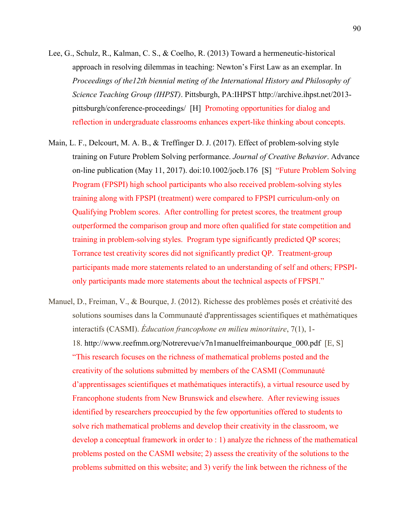- Lee, G., Schulz, R., Kalman, C. S., & Coelho, R. (2013) Toward a hermeneutic-historical approach in resolving dilemmas in teaching: Newton's First Law as an exemplar. In *Proceedings of the12th biennial meting of the International History and Philosophy of Science Teaching Group (IHPST)*. Pittsburgh, PA:IHPST http://archive.ihpst.net/2013 pittsburgh/conference-proceedings/ [H] Promoting opportunities for dialog and reflection in undergraduate classrooms enhances expert-like thinking about concepts.
- Main, L. F., Delcourt, M. A. B., & Treffinger D. J. (2017). Effect of problem-solving style training on Future Problem Solving performance. *Journal of Creative Behavior*. Advance on-line publication (May 11, 2017). doi:10.1002/jocb.176 [S] "Future Problem Solving Program (FPSPI) high school participants who also received problem-solving styles training along with FPSPI (treatment) were compared to FPSPI curriculum-only on Qualifying Problem scores. After controlling for pretest scores, the treatment group outperformed the comparison group and more often qualified for state competition and training in problem-solving styles. Program type significantly predicted QP scores; Torrance test creativity scores did not significantly predict QP. Treatment-group participants made more statements related to an understanding of self and others; FPSPIonly participants made more statements about the technical aspects of FPSPI."
- Manuel, D., Freiman, V., & Bourque, J. (2012). Richesse des problèmes posés et créativité des solutions soumises dans la Communauté d'apprentissages scientifiques et mathématiques interactifs (CASMI). *Éducation francophone en milieu minoritaire*, 7(1), 1- 18. http://www.reefmm.org/Notrerevue/v7n1manuelfreimanbourque\_000.pdf [E, S] "This research focuses on the richness of mathematical problems posted and the creativity of the solutions submitted by members of the CASMI (Communauté d'apprentissages scientifiques et mathématiques interactifs), a virtual resource used by Francophone students from New Brunswick and elsewhere. After reviewing issues identified by researchers preoccupied by the few opportunities offered to students to solve rich mathematical problems and develop their creativity in the classroom, we develop a conceptual framework in order to : 1) analyze the richness of the mathematical problems posted on the CASMI website; 2) assess the creativity of the solutions to the problems submitted on this website; and 3) verify the link between the richness of the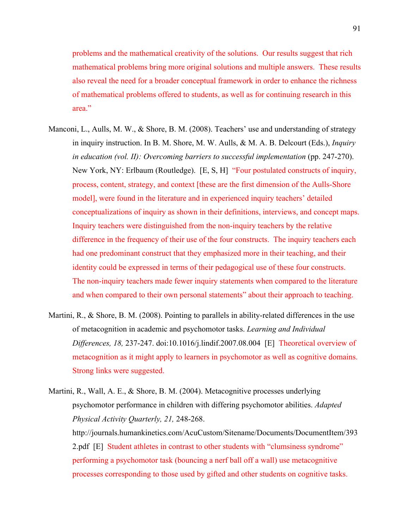problems and the mathematical creativity of the solutions. Our results suggest that rich mathematical problems bring more original solutions and multiple answers. These results also reveal the need for a broader conceptual framework in order to enhance the richness of mathematical problems offered to students, as well as for continuing research in this area<sup>"</sup>

- Manconi, L., Aulls, M. W., & Shore, B. M. (2008). Teachers' use and understanding of strategy in inquiry instruction. In B. M. Shore, M. W. Aulls, & M. A. B. Delcourt (Eds.), *Inquiry in education (vol. II): Overcoming barriers to successful implementation* (pp. 247-270). New York, NY: Erlbaum (Routledge). [E, S, H] "Four postulated constructs of inquiry, process, content, strategy, and context [these are the first dimension of the Aulls-Shore model], were found in the literature and in experienced inquiry teachers' detailed conceptualizations of inquiry as shown in their definitions, interviews, and concept maps. Inquiry teachers were distinguished from the non-inquiry teachers by the relative difference in the frequency of their use of the four constructs. The inquiry teachers each had one predominant construct that they emphasized more in their teaching, and their identity could be expressed in terms of their pedagogical use of these four constructs. The non-inquiry teachers made fewer inquiry statements when compared to the literature and when compared to their own personal statements" about their approach to teaching.
- Martini, R., & Shore, B. M. (2008). Pointing to parallels in ability-related differences in the use of metacognition in academic and psychomotor tasks. *Learning and Individual Differences, 18,* 237-247. doi:10.1016/j.lindif.2007.08.004 [E] Theoretical overview of metacognition as it might apply to learners in psychomotor as well as cognitive domains. Strong links were suggested.

Martini, R., Wall, A. E., & Shore, B. M. (2004). Metacognitive processes underlying psychomotor performance in children with differing psychomotor abilities. *Adapted Physical Activity Quarterly, 21,* 248-268. http://journals.humankinetics.com/AcuCustom/Sitename/Documents/DocumentItem/393 2.pdf [E] Student athletes in contrast to other students with "clumsiness syndrome" performing a psychomotor task (bouncing a nerf ball off a wall) use metacognitive processes corresponding to those used by gifted and other students on cognitive tasks.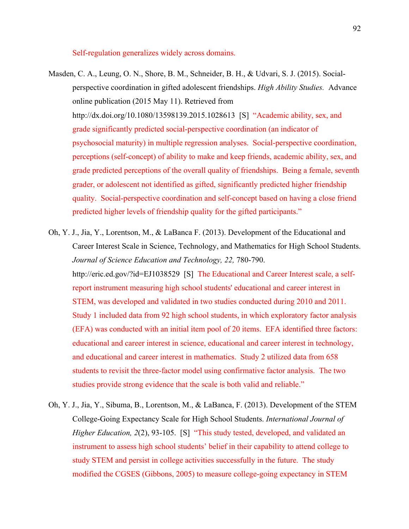Self-regulation generalizes widely across domains.

- Masden, C. A., Leung, O. N., Shore, B. M., Schneider, B. H., & Udvari, S. J. (2015). Socialperspective coordination in gifted adolescent friendships. *High Ability Studies.* Advance online publication (2015 May 11). Retrieved from http://dx.doi.org/10.1080/13598139.2015.1028613 [S] "Academic ability, sex, and grade significantly predicted social-perspective coordination (an indicator of psychosocial maturity) in multiple regression analyses. Social-perspective coordination, perceptions (self-concept) of ability to make and keep friends, academic ability, sex, and grade predicted perceptions of the overall quality of friendships. Being a female, seventh grader, or adolescent not identified as gifted, significantly predicted higher friendship quality. Social-perspective coordination and self-concept based on having a close friend predicted higher levels of friendship quality for the gifted participants."
- Oh, Y. J., Jia, Y., Lorentson, M., & LaBanca F. (2013). Development of the Educational and Career Interest Scale in Science, Technology, and Mathematics for High School Students. *Journal of Science Education and Technology, 22,* 780-790. http://eric.ed.gov/?id=EJ1038529 [S] The Educational and Career Interest scale, a selfreport instrument measuring high school students' educational and career interest in STEM, was developed and validated in two studies conducted during 2010 and 2011. Study 1 included data from 92 high school students, in which exploratory factor analysis (EFA) was conducted with an initial item pool of 20 items. EFA identified three factors: educational and career interest in science, educational and career interest in technology, and educational and career interest in mathematics. Study 2 utilized data from 658 students to revisit the three-factor model using confirmative factor analysis. The two studies provide strong evidence that the scale is both valid and reliable."
- Oh, Y. J., Jia, Y., Sibuma, B., Lorentson, M., & LaBanca, F. (2013). Development of the STEM College-Going Expectancy Scale for High School Students. *International Journal of Higher Education, 2(2), 93-105.* [S] "This study tested, developed, and validated an instrument to assess high school students' belief in their capability to attend college to study STEM and persist in college activities successfully in the future. The study modified the CGSES (Gibbons, 2005) to measure college-going expectancy in STEM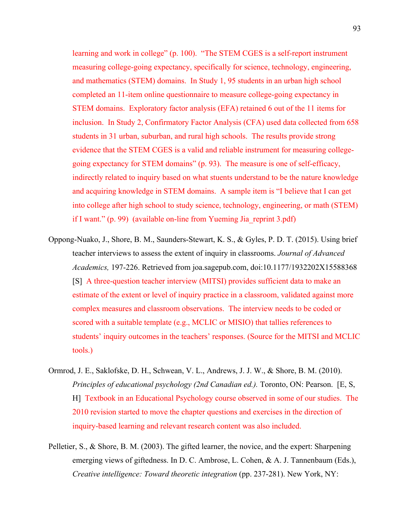learning and work in college" (p. 100). "The STEM CGES is a self-report instrument measuring college-going expectancy, specifically for science, technology, engineering, and mathematics (STEM) domains. In Study 1, 95 students in an urban high school completed an 11-item online questionnaire to measure college-going expectancy in STEM domains. Exploratory factor analysis (EFA) retained 6 out of the 11 items for inclusion. In Study 2, Confirmatory Factor Analysis (CFA) used data collected from 658 students in 31 urban, suburban, and rural high schools. The results provide strong evidence that the STEM CGES is a valid and reliable instrument for measuring collegegoing expectancy for STEM domains" (p. 93). The measure is one of self-efficacy, indirectly related to inquiry based on what stuents understand to be the nature knowledge and acquiring knowledge in STEM domains. A sample item is "I believe that I can get into college after high school to study science, technology, engineering, or math (STEM) if I want." (p. 99) (available on-line from Yueming Jia\_reprint 3.pdf)

- Oppong-Nuako, J., Shore, B. M., Saunders-Stewart, K. S., & Gyles, P. D. T. (2015). Using brief teacher interviews to assess the extent of inquiry in classrooms. *Journal of Advanced Academics,* 197-226. Retrieved from joa.sagepub.com, doi:10.1177/1932202X15588368 [S] A three-question teacher interview (MITSI) provides sufficient data to make an estimate of the extent or level of inquiry practice in a classroom, validated against more complex measures and classroom observations. The interview needs to be coded or scored with a suitable template (e.g., MCLIC or MISIO) that tallies references to students' inquiry outcomes in the teachers' responses. (Source for the MITSI and MCLIC tools.)
- Ormrod, J. E., Saklofske, D. H., Schwean, V. L., Andrews, J. J. W., & Shore, B. M. (2010). *Principles of educational psychology (2nd Canadian ed.).* Toronto, ON: Pearson. [E, S, H] Textbook in an Educational Psychology course observed in some of our studies. The 2010 revision started to move the chapter questions and exercises in the direction of inquiry-based learning and relevant research content was also included.
- Pelletier, S., & Shore, B. M. (2003). The gifted learner, the novice, and the expert: Sharpening emerging views of giftedness. In D. C. Ambrose, L. Cohen, & A. J. Tannenbaum (Eds.), *Creative intelligence: Toward theoretic integration* (pp. 237-281). New York, NY: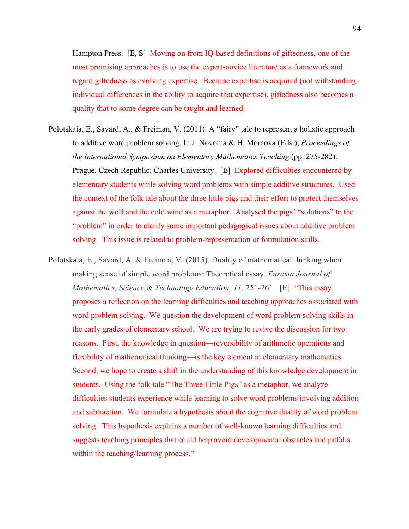Hampton Press. [E, S] Moving on from IQ-based definitions of giftedness, one of the most promising approaches is to use the expert-novice literature as a framework and regard giftedness as evolving expertise. Because expertise is acquired (not withstanding individual differences in the ability to acquire that expertise), giftedness also becomes a quality that to some degree can be taught and learned.

- Polotskaia, E., Savard, A., & Freiman, V. (2011). A "fairy" tale to represent a holistic approach to additive word problem solving. In J. Novotna & H. Moraova (Eds.), *Proceedings of the International Symposium on Elementary Mathematics Teaching (pp. 275-282).* Prague, Czech Republic: Charles University. [E] Explored difficulties encountered by elementary students while solving word problems with simple additive structures. Used the context of the folk tale about the three little pigs and their effort to protect themselves against the wolf and the cold wind as a metaphor. Analysed the pigs' "solutions" to the "problem" in order to clarify some important pedagogical issues about additive problem solving. This issue is related to problem-representation or formulation skills.
- Polotskaia, E., Savard, A. & Freiman, V. (2015). Duality of mathematical thinking when making sense of simple word problems: Theoretical essay. *Eurasia Journal of Mathematics, Science & Technology Education, 11,* 251-261. [E] "This essay proposes a reflection on the learning difficulties and teaching approaches associated with word problem solving. We question the development of word problem solving skills in the early grades of elementary school. We are trying to revive the discussion for two reasons. First, the knowledge in question—reversibility of arithmetic operations and flexibility of mathematical thinking—is the key element in elementary mathematics. Second, we hope to create a shift in the understanding of this knowledge development in students. Using the folk tale "The Three Little Pigs" as a metaphor, we analyze difficulties students experience while learning to solve word problems involving addition and subtraction. We formulate a hypothesis about the cognitive duality of word problem solving. This hypothesis explains a number of well-known learning difficulties and suggests teaching principles that could help avoid developmental obstacles and pitfalls within the teaching/learning process."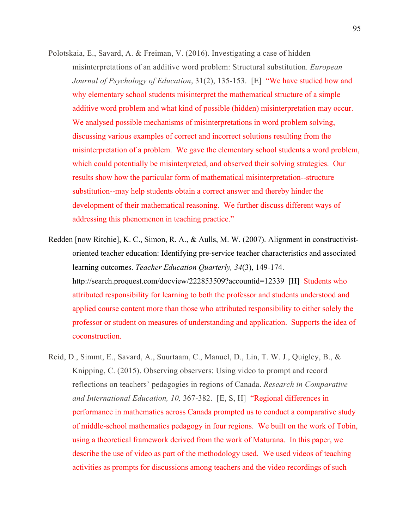- Polotskaia, E., Savard, A. & Freiman, V. (2016). Investigating a case of hidden misinterpretations of an additive word problem: Structural substitution. *European Journal of Psychology of Education*, 31(2), 135-153. [E] "We have studied how and why elementary school students misinterpret the mathematical structure of a simple additive word problem and what kind of possible (hidden) misinterpretation may occur. We analysed possible mechanisms of misinterpretations in word problem solving, discussing various examples of correct and incorrect solutions resulting from the misinterpretation of a problem. We gave the elementary school students a word problem, which could potentially be misinterpreted, and observed their solving strategies. Our results show how the particular form of mathematical misinterpretation--structure substitution--may help students obtain a correct answer and thereby hinder the development of their mathematical reasoning. We further discuss different ways of addressing this phenomenon in teaching practice."
- Redden [now Ritchie], K. C., Simon, R. A., & Aulls, M. W. (2007). Alignment in constructivistoriented teacher education: Identifying pre-service teacher characteristics and associated learning outcomes. *Teacher Education Quarterly, 34*(3), 149-174. http://search.proquest.com/docview/222853509?accountid=12339 [H] Students who attributed responsibility for learning to both the professor and students understood and applied course content more than those who attributed responsibility to either solely the professor or student on measures of understanding and application. Supports the idea of coconstruction.
- Reid, D., Simmt, E., Savard, A., Suurtaam, C., Manuel, D., Lin, T. W. J., Quigley, B., & Knipping, C. (2015). Observing observers: Using video to prompt and record reflections on teachers' pedagogies in regions of Canada. *Research in Comparative and International Education, 10,* 367-382. [E, S, H] "Regional differences in performance in mathematics across Canada prompted us to conduct a comparative study of middle-school mathematics pedagogy in four regions. We built on the work of Tobin, using a theoretical framework derived from the work of Maturana. In this paper, we describe the use of video as part of the methodology used. We used videos of teaching activities as prompts for discussions among teachers and the video recordings of such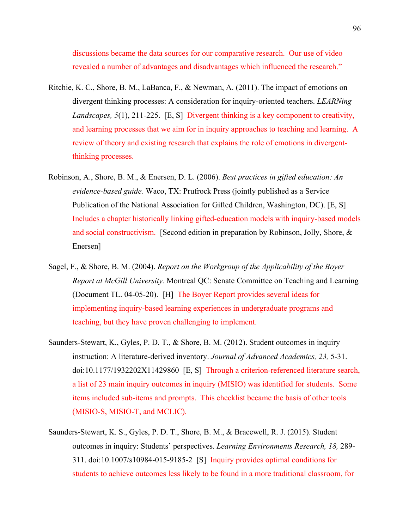discussions became the data sources for our comparative research. Our use of video revealed a number of advantages and disadvantages which influenced the research."

- Ritchie, K. C., Shore, B. M., LaBanca, F., & Newman, A. (2011). The impact of emotions on divergent thinking processes: A consideration for inquiry-oriented teachers. *LEARNing Landscapes, 5*(1), 211-225. [E, S] Divergent thinking is a key component to creativity, and learning processes that we aim for in inquiry approaches to teaching and learning. A review of theory and existing research that explains the role of emotions in divergentthinking processes.
- Robinson, A., Shore, B. M., & Enersen, D. L. (2006). *Best practices in gifted education: An evidence-based guide.* Waco, TX: Prufrock Press (jointly published as a Service Publication of the National Association for Gifted Children, Washington, DC). [E, S] Includes a chapter historically linking gifted-education models with inquiry-based models and social constructivism. [Second edition in preparation by Robinson, Jolly, Shore, & Enersen]
- Sagel, F., & Shore, B. M. (2004). *Report on the Workgroup of the Applicability of the Boyer Report at McGill University.* Montreal QC: Senate Committee on Teaching and Learning (Document TL. 04-05-20). [H] The Boyer Report provides several ideas for implementing inquiry-based learning experiences in undergraduate programs and teaching, but they have proven challenging to implement.
- Saunders-Stewart, K., Gyles, P. D. T., & Shore, B. M. (2012). Student outcomes in inquiry instruction: A literature-derived inventory. *Journal of Advanced Academics, 23,* 5-31. doi:10.1177/1932202X11429860 [E, S] Through a criterion-referenced literature search, a list of 23 main inquiry outcomes in inquiry (MISIO) was identified for students. Some items included sub-items and prompts. This checklist became the basis of other tools (MISIO-S, MISIO-T, and MCLIC).
- Saunders-Stewart, K. S., Gyles, P. D. T., Shore, B. M., & Bracewell, R. J. (2015). Student outcomes in inquiry: Students' perspectives. *Learning Environments Research, 18,* 289- 311. doi:10.1007/s10984-015-9185-2 [S] Inquiry provides optimal conditions for students to achieve outcomes less likely to be found in a more traditional classroom, for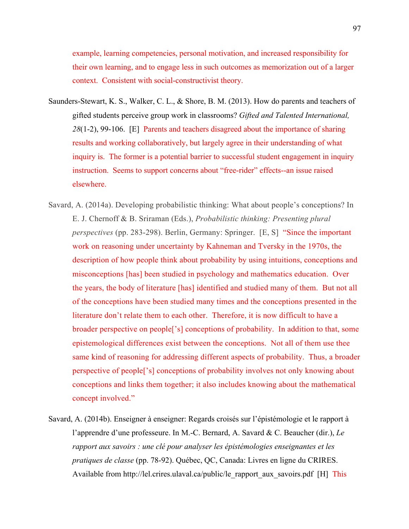example, learning competencies, personal motivation, and increased responsibility for their own learning, and to engage less in such outcomes as memorization out of a larger context. Consistent with social-constructivist theory.

- Saunders-Stewart, K. S., Walker, C. L., & Shore, B. M. (2013). How do parents and teachers of gifted students perceive group work in classrooms? *Gifted and Talented International, 28*(1-2), 99-106. [E] Parents and teachers disagreed about the importance of sharing results and working collaboratively, but largely agree in their understanding of what inquiry is. The former is a potential barrier to successful student engagement in inquiry instruction. Seems to support concerns about "free-rider" effects--an issue raised elsewhere.
- Savard, A. (2014a). Developing probabilistic thinking: What about people's conceptions? In E. J. Chernoff & B. Sriraman (Eds.), *Probabilistic thinking: Presenting plural perspectives* (pp. 283-298). Berlin, Germany: Springer. [E, S] "Since the important work on reasoning under uncertainty by Kahneman and Tversky in the 1970s, the description of how people think about probability by using intuitions, conceptions and misconceptions [has] been studied in psychology and mathematics education. Over the years, the body of literature [has] identified and studied many of them. But not all of the conceptions have been studied many times and the conceptions presented in the literature don't relate them to each other. Therefore, it is now difficult to have a broader perspective on people['s] conceptions of probability. In addition to that, some epistemological differences exist between the conceptions. Not all of them use thee same kind of reasoning for addressing different aspects of probability. Thus, a broader perspective of people['s] conceptions of probability involves not only knowing about conceptions and links them together; it also includes knowing about the mathematical concept involved."
- Savard, A. (2014b). Enseigner à enseigner: Regards croisés sur l'épistémologie et le rapport à l'apprendre d'une professeure. In M.-C. Bernard, A. Savard & C. Beaucher (dir.), *Le rapport aux savoirs : une clé pour analyser les épistémologies enseignantes et les pratiques de classe* (pp. 78-92). Québec, QC, Canada: Livres en ligne du CRIRES. Available from http://lel.crires.ulaval.ca/public/le\_rapport\_aux\_savoirs.pdf [H] This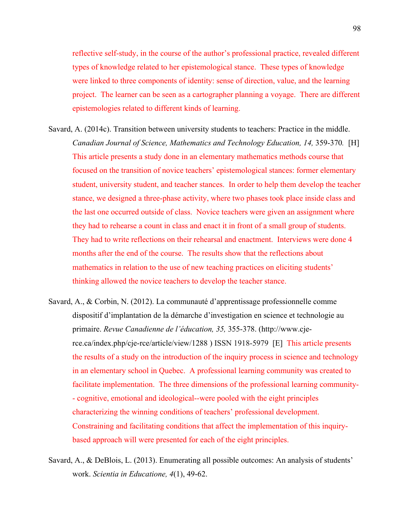reflective self-study, in the course of the author's professional practice, revealed different types of knowledge related to her epistemological stance. These types of knowledge were linked to three components of identity: sense of direction, value, and the learning project. The learner can be seen as a cartographer planning a voyage. There are different epistemologies related to different kinds of learning.

- Savard, A. (2014c). Transition between university students to teachers: Practice in the middle. *Canadian Journal of Science, Mathematics and Technology Education, 14, 359-370.* [H] This article presents a study done in an elementary mathematics methods course that focused on the transition of novice teachers' epistemological stances: former elementary student, university student, and teacher stances. In order to help them develop the teacher stance, we designed a three-phase activity, where two phases took place inside class and the last one occurred outside of class. Novice teachers were given an assignment where they had to rehearse a count in class and enact it in front of a small group of students. They had to write reflections on their rehearsal and enactment. Interviews were done 4 months after the end of the course. The results show that the reflections about mathematics in relation to the use of new teaching practices on eliciting students' thinking allowed the novice teachers to develop the teacher stance.
- Savard, A., & Corbin, N. (2012). La communauté d'apprentissage professionnelle comme dispositif d'implantation de la démarche d'investigation en science et technologie au primaire. *Revue Canadienne de l'éducation, 35,* 355-378. (http://www.cjerce.ca/index.php/cje-rce/article/view/1288 ) ISSN 1918-5979 [E] This article presents the results of a study on the introduction of the inquiry process in science and technology in an elementary school in Quebec. A professional learning community was created to facilitate implementation. The three dimensions of the professional learning community- - cognitive, emotional and ideological--were pooled with the eight principles characterizing the winning conditions of teachers' professional development. Constraining and facilitating conditions that affect the implementation of this inquirybased approach will were presented for each of the eight principles.

Savard, A., & DeBlois, L. (2013). Enumerating all possible outcomes: An analysis of students' work. *Scientia in Educatione, 4*(1), 49-62.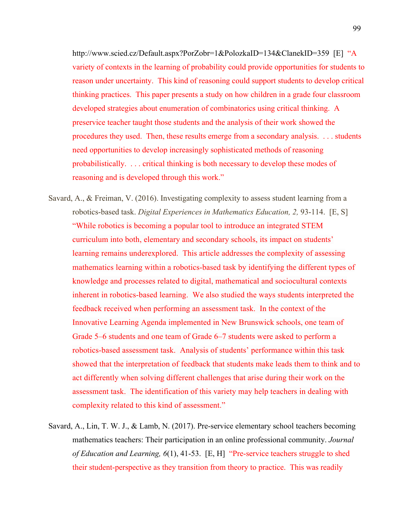http://www.scied.cz/Default.aspx?PorZobr=1&PolozkaID=134&ClanekID=359 [E] "A variety of contexts in the learning of probability could provide opportunities for students to reason under uncertainty. This kind of reasoning could support students to develop critical thinking practices. This paper presents a study on how children in a grade four classroom developed strategies about enumeration of combinatorics using critical thinking. A preservice teacher taught those students and the analysis of their work showed the procedures they used. Then, these results emerge from a secondary analysis. . . . students need opportunities to develop increasingly sophisticated methods of reasoning probabilistically. . . . critical thinking is both necessary to develop these modes of reasoning and is developed through this work."

- Savard, A., & Freiman, V. (2016). Investigating complexity to assess student learning from a robotics-based task. *Digital Experiences in Mathematics Education, 2,* 93-114. [E, S] "While robotics is becoming a popular tool to introduce an integrated STEM curriculum into both, elementary and secondary schools, its impact on students' learning remains underexplored. This article addresses the complexity of assessing mathematics learning within a robotics-based task by identifying the different types of knowledge and processes related to digital, mathematical and sociocultural contexts inherent in robotics-based learning. We also studied the ways students interpreted the feedback received when performing an assessment task. In the context of the Innovative Learning Agenda implemented in New Brunswick schools, one team of Grade 5–6 students and one team of Grade 6–7 students were asked to perform a robotics-based assessment task. Analysis of students' performance within this task showed that the interpretation of feedback that students make leads them to think and to act differently when solving different challenges that arise during their work on the assessment task. The identification of this variety may help teachers in dealing with complexity related to this kind of assessment."
- Savard, A., Lin, T. W. J., & Lamb, N. (2017). Pre-service elementary school teachers becoming mathematics teachers: Their participation in an online professional community. *Journal of Education and Learning, 6*(1), 41-53. [E, H] "Pre-service teachers struggle to shed their student-perspective as they transition from theory to practice. This was readily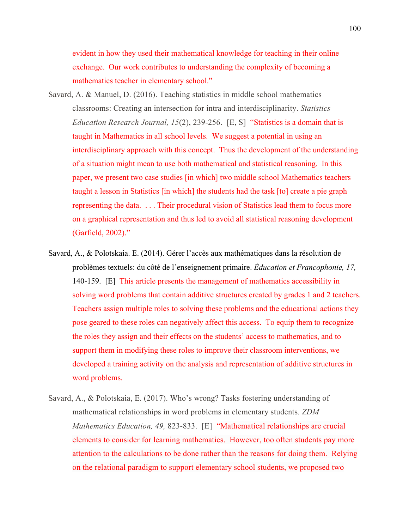evident in how they used their mathematical knowledge for teaching in their online exchange. Our work contributes to understanding the complexity of becoming a mathematics teacher in elementary school."

- Savard, A. & Manuel, D. (2016). Teaching statistics in middle school mathematics classrooms: Creating an intersection for intra and interdisciplinarity. *Statistics Education Research Journal, 15*(2), 239-256. [E, S] "Statistics is a domain that is taught in Mathematics in all school levels. We suggest a potential in using an interdisciplinary approach with this concept. Thus the development of the understanding of a situation might mean to use both mathematical and statistical reasoning. In this paper, we present two case studies [in which] two middle school Mathematics teachers taught a lesson in Statistics [in which] the students had the task [to] create a pie graph representing the data. . . . Their procedural vision of Statistics lead them to focus more on a graphical representation and thus led to avoid all statistical reasoning development (Garfield, 2002)."
- Savard, A., & Polotskaia. E. (2014). Gérer l'accès aux mathématiques dans la résolution de problèmes textuels: du côté de l'enseignement primaire. *Éducation et Francophonie, 17,* 140-159. [E] This article presents the management of mathematics accessibility in solving word problems that contain additive structures created by grades 1 and 2 teachers. Teachers assign multiple roles to solving these problems and the educational actions they pose geared to these roles can negatively affect this access. To equip them to recognize the roles they assign and their effects on the students' access to mathematics, and to support them in modifying these roles to improve their classroom interventions, we developed a training activity on the analysis and representation of additive structures in word problems.
- Savard, A., & Polotskaia, E. (2017). Who's wrong? Tasks fostering understanding of mathematical relationships in word problems in elementary students. *ZDM Mathematics Education, 49,* 823-833. [E] "Mathematical relationships are crucial elements to consider for learning mathematics. However, too often students pay more attention to the calculations to be done rather than the reasons for doing them. Relying on the relational paradigm to support elementary school students, we proposed two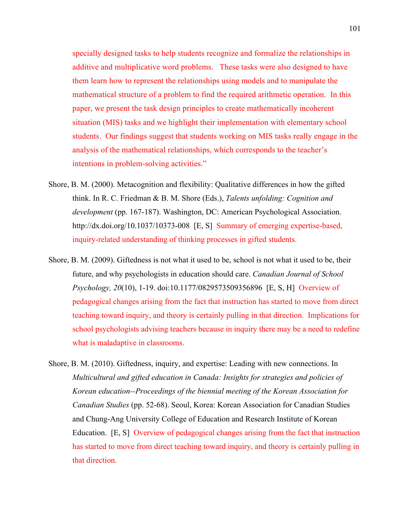specially designed tasks to help students recognize and formalize the relationships in additive and multiplicative word problems. These tasks were also designed to have them learn how to represent the relationships using models and to manipulate the mathematical structure of a problem to find the required arithmetic operation. In this paper, we present the task design principles to create mathematically incoherent situation (MIS) tasks and we highlight their implementation with elementary school students. Our findings suggest that students working on MIS tasks really engage in the analysis of the mathematical relationships, which corresponds to the teacher's intentions in problem-solving activities."

- Shore, B. M. (2000). Metacognition and flexibility: Qualitative differences in how the gifted think. In R. C. Friedman & B. M. Shore (Eds.), *Talents unfolding: Cognition and development* (pp. 167-187). Washington, DC: American Psychological Association. http://dx.doi.org/10.1037/10373-008 [E, S] Summary of emerging expertise-based, inquiry-related understanding of thinking processes in gifted students.
- Shore, B. M. (2009). Giftedness is not what it used to be, school is not what it used to be, their future, and why psychologists in education should care. *Canadian Journal of School Psychology, 20*(10), 1-19. doi:10.1177/0829573509356896 [E, S, H] Overview of pedagogical changes arising from the fact that instruction has started to move from direct teaching toward inquiry, and theory is certainly pulling in that direction. Implications for school psychologists advising teachers because in inquiry there may be a need to redefine what is maladaptive in classrooms.
- Shore, B. M. (2010). Giftedness, inquiry, and expertise: Leading with new connections. In *Multicultural and gifted education in Canada: Insights for strategies and policies of Korean education--Proceedings of the biennial meeting of the Korean Association for Canadian Studies* (pp. 52-68). Seoul, Korea: Korean Association for Canadian Studies and Chung-Ang University College of Education and Research Institute of Korean Education. [E, S] Overview of pedagogical changes arising from the fact that instruction has started to move from direct teaching toward inquiry, and theory is certainly pulling in that direction.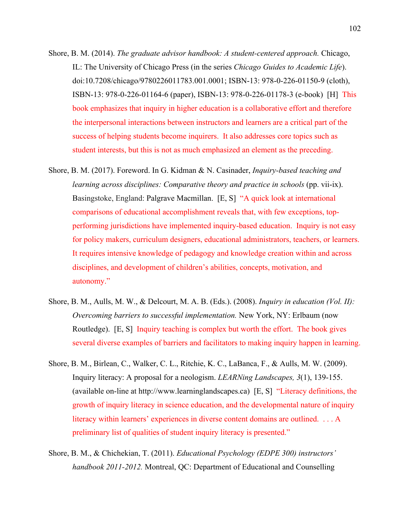- Shore, B. M. (2014). *The graduate advisor handbook: A student-centered approach.* Chicago, IL: The University of Chicago Press (in the series *Chicago Guides to Academic Life*). doi:10.7208/chicago/9780226011783.001.0001; ISBN-13: 978-0-226-01150-9 (cloth), ISBN-13: 978-0-226-01164-6 (paper), ISBN-13: 978-0-226-01178-3 (e-book) [H] This book emphasizes that inquiry in higher education is a collaborative effort and therefore the interpersonal interactions between instructors and learners are a critical part of the success of helping students become inquirers. It also addresses core topics such as student interests, but this is not as much emphasized an element as the preceding.
- Shore, B. M. (2017). Foreword. In G. Kidman & N. Casinader, *Inquiry-based teaching and learning across disciplines: Comparative theory and practice in schools* (pp. vii-ix). Basingstoke, England: Palgrave Macmillan. [E, S] "A quick look at international comparisons of educational accomplishment reveals that, with few exceptions, topperforming jurisdictions have implemented inquiry-based education. Inquiry is not easy for policy makers, curriculum designers, educational administrators, teachers, or learners. It requires intensive knowledge of pedagogy and knowledge creation within and across disciplines, and development of children's abilities, concepts, motivation, and autonomy."
- Shore, B. M., Aulls, M. W., & Delcourt, M. A. B. (Eds.). (2008). *Inquiry in education (Vol. II): Overcoming barriers to successful implementation.* New York, NY: Erlbaum (now Routledge). [E, S] Inquiry teaching is complex but worth the effort. The book gives several diverse examples of barriers and facilitators to making inquiry happen in learning.
- Shore, B. M., Birlean, C., Walker, C. L., Ritchie, K. C., LaBanca, F., & Aulls, M. W. (2009). Inquiry literacy: A proposal for a neologism. *LEARNing Landscapes, 3*(1), 139-155. (available on-line at http://www.learninglandscapes.ca) [E, S] "Literacy definitions, the growth of inquiry literacy in science education, and the developmental nature of inquiry literacy within learners' experiences in diverse content domains are outlined. . . . A preliminary list of qualities of student inquiry literacy is presented."
- Shore, B. M., & Chichekian, T. (2011). *Educational Psychology (EDPE 300) instructors' handbook 2011-2012.* Montreal, QC: Department of Educational and Counselling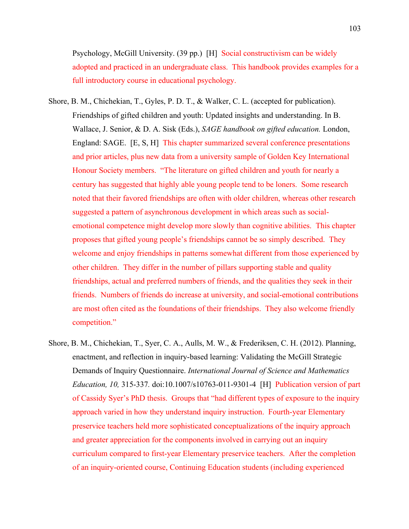Psychology, McGill University. (39 pp.) [H] Social constructivism can be widely adopted and practiced in an undergraduate class. This handbook provides examples for a full introductory course in educational psychology.

- Shore, B. M., Chichekian, T., Gyles, P. D. T., & Walker, C. L. (accepted for publication). Friendships of gifted children and youth: Updated insights and understanding. In B. Wallace, J. Senior, & D. A. Sisk (Eds.), *SAGE handbook on gifted education.* London, England: SAGE. [E, S, H] This chapter summarized several conference presentations and prior articles, plus new data from a university sample of Golden Key International Honour Society members. "The literature on gifted children and youth for nearly a century has suggested that highly able young people tend to be loners. Some research noted that their favored friendships are often with older children, whereas other research suggested a pattern of asynchronous development in which areas such as socialemotional competence might develop more slowly than cognitive abilities. This chapter proposes that gifted young people's friendships cannot be so simply described. They welcome and enjoy friendships in patterns somewhat different from those experienced by other children. They differ in the number of pillars supporting stable and quality friendships, actual and preferred numbers of friends, and the qualities they seek in their friends. Numbers of friends do increase at university, and social-emotional contributions are most often cited as the foundations of their friendships. They also welcome friendly competition."
- Shore, B. M., Chichekian, T., Syer, C. A., Aulls, M. W., & Frederiksen, C. H. (2012). Planning, enactment, and reflection in inquiry-based learning: Validating the McGill Strategic Demands of Inquiry Questionnaire. *International Journal of Science and Mathematics Education, 10,* 315-337*.* doi:10.1007/s10763-011-9301-4 [H] Publication version of part of Cassidy Syer's PhD thesis. Groups that "had different types of exposure to the inquiry approach varied in how they understand inquiry instruction. Fourth-year Elementary preservice teachers held more sophisticated conceptualizations of the inquiry approach and greater appreciation for the components involved in carrying out an inquiry curriculum compared to first-year Elementary preservice teachers. After the completion of an inquiry-oriented course, Continuing Education students (including experienced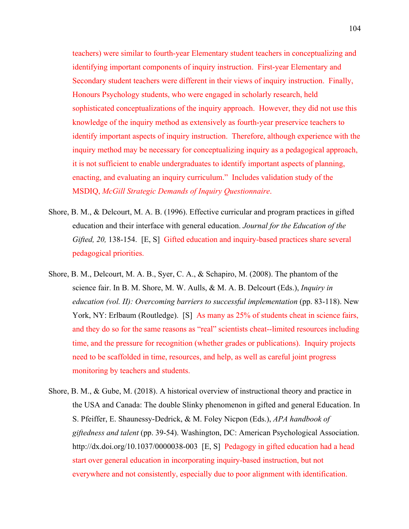teachers) were similar to fourth-year Elementary student teachers in conceptualizing and identifying important components of inquiry instruction. First-year Elementary and Secondary student teachers were different in their views of inquiry instruction. Finally, Honours Psychology students, who were engaged in scholarly research, held sophisticated conceptualizations of the inquiry approach. However, they did not use this knowledge of the inquiry method as extensively as fourth-year preservice teachers to identify important aspects of inquiry instruction. Therefore, although experience with the inquiry method may be necessary for conceptualizing inquiry as a pedagogical approach, it is not sufficient to enable undergraduates to identify important aspects of planning, enacting, and evaluating an inquiry curriculum." Includes validation study of the MSDIQ, *McGill Strategic Demands of Inquiry Questionnaire*.

- Shore, B. M., & Delcourt, M. A. B. (1996). Effective curricular and program practices in gifted education and their interface with general education. *Journal for the Education of the Gifted, 20,* 138-154. [E, S] Gifted education and inquiry-based practices share several pedagogical priorities.
- Shore, B. M., Delcourt, M. A. B., Syer, C. A., & Schapiro, M. (2008). The phantom of the science fair. In B. M. Shore, M. W. Aulls, & M. A. B. Delcourt (Eds.), *Inquiry in education (vol. II): Overcoming barriers to successful implementation* (pp. 83-118). New York, NY: Erlbaum (Routledge). [S] As many as 25% of students cheat in science fairs, and they do so for the same reasons as "real" scientists cheat--limited resources including time, and the pressure for recognition (whether grades or publications). Inquiry projects need to be scaffolded in time, resources, and help, as well as careful joint progress monitoring by teachers and students.
- Shore, B. M., & Gube, M. (2018). A historical overview of instructional theory and practice in the USA and Canada: The double Slinky phenomenon in gifted and general Education. In S. Pfeiffer, E. Shaunessy-Dedrick, & M. Foley Nicpon (Eds.), *APA handbook of giftedness and talent* (pp. 39-54). Washington, DC: American Psychological Association. http://dx.doi.org/10.1037/0000038-003 [E, S] Pedagogy in gifted education had a head start over general education in incorporating inquiry-based instruction, but not everywhere and not consistently, especially due to poor alignment with identification.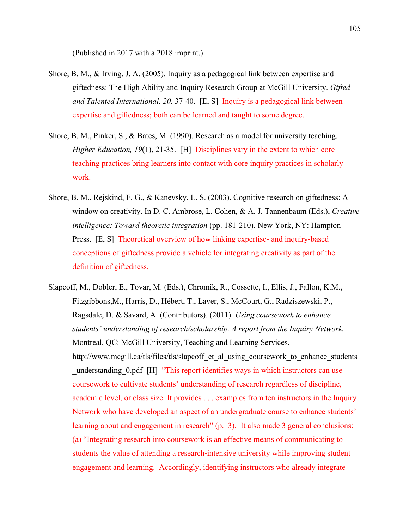(Published in 2017 with a 2018 imprint.)

- Shore, B. M., & Irving, J. A. (2005). Inquiry as a pedagogical link between expertise and giftedness: The High Ability and Inquiry Research Group at McGill University. *Gifted and Talented International, 20,* 37-40. [E, S] Inquiry is a pedagogical link between expertise and giftedness; both can be learned and taught to some degree.
- Shore, B. M., Pinker, S., & Bates, M. (1990). Research as a model for university teaching. *Higher Education, 19*(1), 21-35. [H] Disciplines vary in the extent to which core teaching practices bring learners into contact with core inquiry practices in scholarly work.
- Shore, B. M., Rejskind, F. G., & Kanevsky, L. S. (2003). Cognitive research on giftedness: A window on creativity. In D. C. Ambrose, L. Cohen, & A. J. Tannenbaum (Eds.), *Creative intelligence: Toward theoretic integration* (pp. 181-210). New York, NY: Hampton Press. [E, S] Theoretical overview of how linking expertise- and inquiry-based conceptions of giftedness provide a vehicle for integrating creativity as part of the definition of giftedness.
- Slapcoff, M., Dobler, E., Tovar, M. (Eds.), Chromik, R., Cossette, I., Ellis, J., Fallon, K.M., Fitzgibbons,M., Harris, D., Hébert, T., Laver, S., McCourt, G., Radziszewski, P., Ragsdale, D. & Savard, A. (Contributors). (2011). *Using coursework to enhance students' understanding of research/scholarship. A report from the Inquiry Network.*  Montreal, QC: McGill University, Teaching and Learning Services. http://www.mcgill.ca/tls/files/tls/slapcoff et al using coursework to enhance students understanding 0.pdf [H] "This report identifies ways in which instructors can use coursework to cultivate students' understanding of research regardless of discipline, academic level, or class size. It provides . . . examples from ten instructors in the Inquiry Network who have developed an aspect of an undergraduate course to enhance students' learning about and engagement in research" (p. 3). It also made 3 general conclusions: (a) "Integrating research into coursework is an effective means of communicating to students the value of attending a research‐intensive university while improving student engagement and learning. Accordingly, identifying instructors who already integrate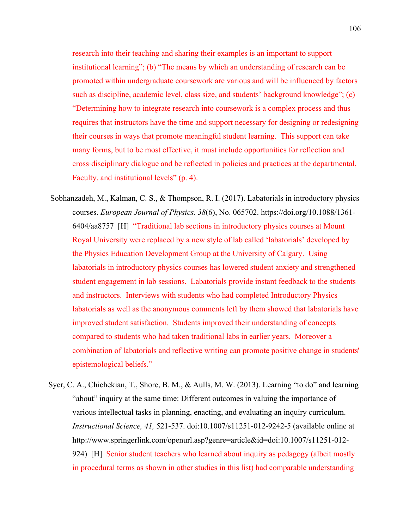research into their teaching and sharing their examples is an important to support institutional learning"; (b) "The means by which an understanding of research can be promoted within undergraduate coursework are various and will be influenced by factors such as discipline, academic level, class size, and students' background knowledge"; (c) "Determining how to integrate research into coursework is a complex process and thus requires that instructors have the time and support necessary for designing or redesigning their courses in ways that promote meaningful student learning. This support can take many forms, but to be most effective, it must include opportunities for reflection and cross‐disciplinary dialogue and be reflected in policies and practices at the departmental, Faculty, and institutional levels" (p. 4).

- Sobhanzadeh, M., Kalman, C. S., & Thompson, R. I. (2017). Labatorials in introductory physics courses. *European Journal of Physics. 38*(6), No. 065702. https://doi.org/10.1088/1361- 6404/aa8757 [H] "Traditional lab sections in introductory physics courses at Mount Royal University were replaced by a new style of lab called 'labatorials' developed by the Physics Education Development Group at the University of Calgary. Using labatorials in introductory physics courses has lowered student anxiety and strengthened student engagement in lab sessions. Labatorials provide instant feedback to the students and instructors. Interviews with students who had completed Introductory Physics labatorials as well as the anonymous comments left by them showed that labatorials have improved student satisfaction. Students improved their understanding of concepts compared to students who had taken traditional labs in earlier years. Moreover a combination of labatorials and reflective writing can promote positive change in students' epistemological beliefs."
- Syer, C. A., Chichekian, T., Shore, B. M., & Aulls, M. W. (2013). Learning "to do" and learning "about" inquiry at the same time: Different outcomes in valuing the importance of various intellectual tasks in planning, enacting, and evaluating an inquiry curriculum. *Instructional Science, 41,* 521-537. doi:10.1007/s11251-012-9242-5 (available online at http://www.springerlink.com/openurl.asp?genre=article&id=doi:10.1007/s11251-012- 924) [H] Senior student teachers who learned about inquiry as pedagogy (albeit mostly in procedural terms as shown in other studies in this list) had comparable understanding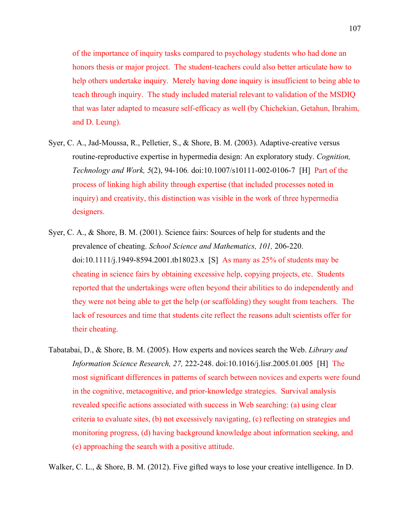of the importance of inquiry tasks compared to psychology students who had done an honors thesis or major project. The student-teachers could also better articulate how to help others undertake inquiry. Merely having done inquiry is insufficient to being able to teach through inquiry. The study included material relevant to validation of the MSDIQ that was later adapted to measure self-efficacy as well (by Chichekian, Getahun, Ibrahim, and D. Leung).

- Syer, C. A., Jad-Moussa, R., Pelletier, S., & Shore, B. M. (2003). Adaptive-creative versus routine-reproductive expertise in hypermedia design: An exploratory study. *Cognition, Technology and Work, 5*(2), 94-106*.* doi:10.1007/s10111-002-0106-7 [H] Part of the process of linking high ability through expertise (that included processes noted in inquiry) and creativity, this distinction was visible in the work of three hypermedia designers.
- Syer, C. A., & Shore, B. M. (2001). Science fairs: Sources of help for students and the prevalence of cheating. *School Science and Mathematics, 101,* 206-220. doi:10.1111/j.1949-8594.2001.tb18023.x [S] As many as 25% of students may be cheating in science fairs by obtaining excessive help, copying projects, etc. Students reported that the undertakings were often beyond their abilities to do independently and they were not being able to get the help (or scaffolding) they sought from teachers. The lack of resources and time that students cite reflect the reasons adult scientists offer for their cheating.
- Tabatabai, D., & Shore, B. M. (2005). How experts and novices search the Web. *Library and Information Science Research, 27,* 222-248. doi:10.1016/j.lisr.2005.01.005 [H] The most significant differences in patterns of search between novices and experts were found in the cognitive, metacognitive, and prior-knowledge strategies. Survival analysis revealed specific actions associated with success in Web searching: (a) using clear criteria to evaluate sites, (b) not excessively navigating, (c) reflecting on strategies and monitoring progress, (d) having background knowledge about information seeking, and (e) approaching the search with a positive attitude.

Walker, C. L., & Shore, B. M. (2012). Five gifted ways to lose your creative intelligence. In D.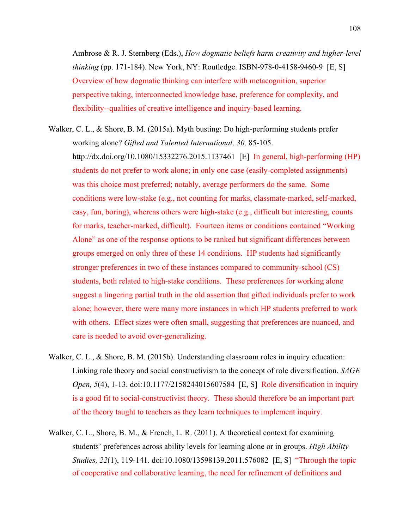Ambrose & R. J. Sternberg (Eds.), *How dogmatic beliefs harm creativity and higher-level thinking* (pp. 171-184). New York, NY: Routledge. ISBN-978-0-4158-9460-9 [E, S] Overview of how dogmatic thinking can interfere with metacognition, superior perspective taking, interconnected knowledge base, preference for complexity, and flexibility--qualities of creative intelligence and inquiry-based learning.

- Walker, C. L., & Shore, B. M. (2015a). Myth busting: Do high-performing students prefer working alone? *Gifted and Talented International, 30,* 85-105. http://dx.doi.org/10.1080/15332276.2015.1137461 [E] In general, high-performing (HP) students do not prefer to work alone; in only one case (easily-completed assignments) was this choice most preferred; notably, average performers do the same. Some conditions were low-stake (e.g., not counting for marks, classmate-marked, self-marked, easy, fun, boring), whereas others were high-stake (e.g., difficult but interesting, counts for marks, teacher-marked, difficult). Fourteen items or conditions contained "Working Alone" as one of the response options to be ranked but significant differences between groups emerged on only three of these 14 conditions. HP students had significantly stronger preferences in two of these instances compared to community-school (CS) students, both related to high-stake conditions. These preferences for working alone suggest a lingering partial truth in the old assertion that gifted individuals prefer to work alone; however, there were many more instances in which HP students preferred to work with others. Effect sizes were often small, suggesting that preferences are nuanced, and care is needed to avoid over-generalizing.
- Walker, C. L., & Shore, B. M. (2015b). Understanding classroom roles in inquiry education: Linking role theory and social constructivism to the concept of role diversification. *SAGE Open, 5*(4), 1-13. doi:10.1177/2158244015607584 [E, S] Role diversification in inquiry is a good fit to social-constructivist theory. These should therefore be an important part of the theory taught to teachers as they learn techniques to implement inquiry.
- Walker, C. L., Shore, B. M., & French, L. R. (2011). A theoretical context for examining students' preferences across ability levels for learning alone or in groups. *High Ability Studies, 22*(1), 119-141. doi:10.1080/13598139.2011.576082 [E, S] "Through the topic of cooperative and collaborative learning, the need for refinement of definitions and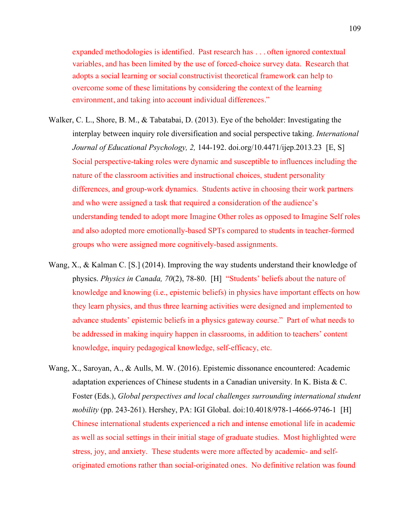expanded methodologies is identified. Past research has . . . often ignored contextual variables, and has been limited by the use of forced-choice survey data. Research that adopts a social learning or social constructivist theoretical framework can help to overcome some of these limitations by considering the context of the learning environment, and taking into account individual differences."

- Walker, C. L., Shore, B. M., & Tabatabai, D. (2013). Eye of the beholder: Investigating the interplay between inquiry role diversification and social perspective taking. *International Journal of Educational Psychology, 2,* 144-192. doi.org/10.4471/ijep.2013.23 [E, S] Social perspective-taking roles were dynamic and susceptible to influences including the nature of the classroom activities and instructional choices, student personality differences, and group-work dynamics. Students active in choosing their work partners and who were assigned a task that required a consideration of the audience's understanding tended to adopt more Imagine Other roles as opposed to Imagine Self roles and also adopted more emotionally-based SPTs compared to students in teacher-formed groups who were assigned more cognitively-based assignments.
- Wang, X., & Kalman C. [S.] (2014). Improving the way students understand their knowledge of physics. *Physics in Canada, 70*(2), 78-80. [H] "Students' beliefs about the nature of knowledge and knowing (i.e., epistemic beliefs) in physics have important effects on how they learn physics, and thus three learning activities were designed and implemented to advance students' epistemic beliefs in a physics gateway course." Part of what needs to be addressed in making inquiry happen in classrooms, in addition to teachers' content knowledge, inquiry pedagogical knowledge, self-efficacy, etc.
- Wang, X., Saroyan, A., & Aulls, M. W. (2016). Epistemic dissonance encountered: Academic adaptation experiences of Chinese students in a Canadian university. In K. Bista & C. Foster (Eds.), *Global perspectives and local challenges surrounding international student mobility* (pp. 243-261). Hershey, PA: IGI Global. doi:10.4018/978-1-4666-9746-1 [H] Chinese international students experienced a rich and intense emotional life in academic as well as social settings in their initial stage of graduate studies. Most highlighted were stress, joy, and anxiety. These students were more affected by academic- and selforiginated emotions rather than social-originated ones. No definitive relation was found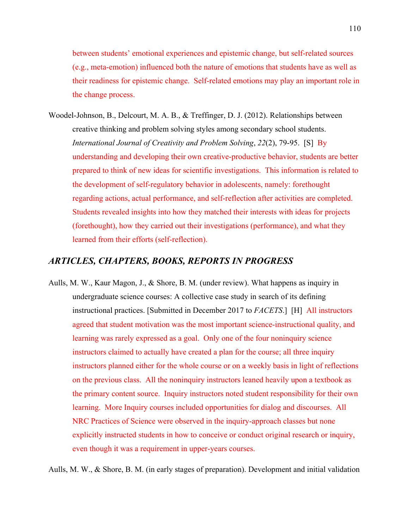between students' emotional experiences and epistemic change, but self-related sources (e.g., meta-emotion) influenced both the nature of emotions that students have as well as their readiness for epistemic change. Self-related emotions may play an important role in the change process.

Woodel-Johnson, B., Delcourt, M. A. B., & Treffinger, D. J. (2012). Relationships between creative thinking and problem solving styles among secondary school students. *International Journal of Creativity and Problem Solving*, *22*(2), 79-95. [S] By understanding and developing their own creative-productive behavior, students are better prepared to think of new ideas for scientific investigations. This information is related to the development of self-regulatory behavior in adolescents, namely: forethought regarding actions, actual performance, and self-reflection after activities are completed. Students revealed insights into how they matched their interests with ideas for projects (forethought), how they carried out their investigations (performance), and what they learned from their efforts (self-reflection).

## *ARTICLES, CHAPTERS, BOOKS, REPORTS IN PROGRESS*

Aulls, M. W., Kaur Magon, J., & Shore, B. M. (under review). What happens as inquiry in undergraduate science courses: A collective case study in search of its defining instructional practices. [Submitted in December 2017 to *FACETS*.] [H] All instructors agreed that student motivation was the most important science-instructional quality, and learning was rarely expressed as a goal. Only one of the four noninquiry science instructors claimed to actually have created a plan for the course; all three inquiry instructors planned either for the whole course or on a weekly basis in light of reflections on the previous class. All the noninquiry instructors leaned heavily upon a textbook as the primary content source. Inquiry instructors noted student responsibility for their own learning. More Inquiry courses included opportunities for dialog and discourses. All NRC Practices of Science were observed in the inquiry-approach classes but none explicitly instructed students in how to conceive or conduct original research or inquiry, even though it was a requirement in upper-years courses.

Aulls, M. W., & Shore, B. M. (in early stages of preparation). Development and initial validation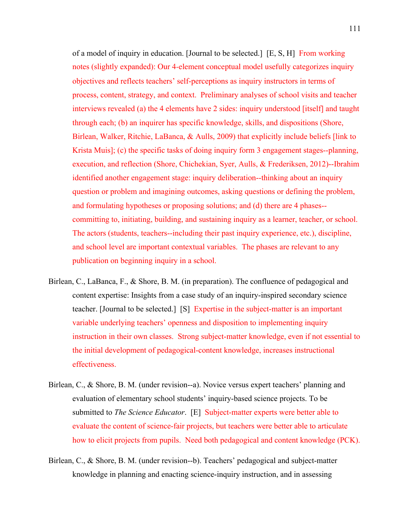of a model of inquiry in education. [Journal to be selected.] [E, S, H] From working notes (slightly expanded): Our 4-element conceptual model usefully categorizes inquiry objectives and reflects teachers' self-perceptions as inquiry instructors in terms of process, content, strategy, and context. Preliminary analyses of school visits and teacher interviews revealed (a) the 4 elements have 2 sides: inquiry understood [itself] and taught through each; (b) an inquirer has specific knowledge, skills, and dispositions (Shore, Birlean, Walker, Ritchie, LaBanca, & Aulls, 2009) that explicitly include beliefs [link to Krista Muis]; (c) the specific tasks of doing inquiry form 3 engagement stages--planning, execution, and reflection (Shore, Chichekian, Syer, Aulls, & Frederiksen, 2012)--Ibrahim identified another engagement stage: inquiry deliberation--thinking about an inquiry question or problem and imagining outcomes, asking questions or defining the problem, and formulating hypotheses or proposing solutions; and (d) there are 4 phases- committing to, initiating, building, and sustaining inquiry as a learner, teacher, or school. The actors (students, teachers--including their past inquiry experience, etc.), discipline, and school level are important contextual variables. The phases are relevant to any publication on beginning inquiry in a school.

- Birlean, C., LaBanca, F., & Shore, B. M. (in preparation). The confluence of pedagogical and content expertise: Insights from a case study of an inquiry-inspired secondary science teacher. [Journal to be selected.] [S] Expertise in the subject-matter is an important variable underlying teachers' openness and disposition to implementing inquiry instruction in their own classes. Strong subject-matter knowledge, even if not essential to the initial development of pedagogical-content knowledge, increases instructional effectiveness.
- Birlean, C., & Shore, B. M. (under revision--a). Novice versus expert teachers' planning and evaluation of elementary school students' inquiry-based science projects. To be submitted to *The Science Educator*. [E] Subject-matter experts were better able to evaluate the content of science-fair projects, but teachers were better able to articulate how to elicit projects from pupils. Need both pedagogical and content knowledge (PCK).
- Birlean, C., & Shore, B. M. (under revision--b). Teachers' pedagogical and subject-matter knowledge in planning and enacting science-inquiry instruction, and in assessing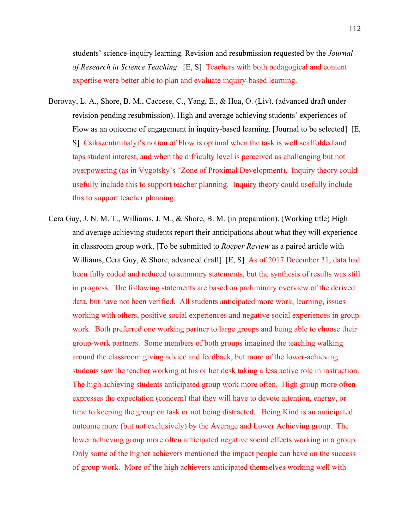students' science-inquiry learning. Revision and resubmission requested by the *Journal of Research in Science Teaching*. [E, S] Teachers with both pedagogical and content expertise were better able to plan and evaluate inquiry-based learning.

- Borovay, L. A., Shore, B. M., Caccese, C., Yang, E., & Hua, O. (Liv). (advanced draft under revision pending resubmission). High and average achieving students' experiences of Flow as an outcome of engagement in inquiry-based learning. [Journal to be selected] [E, S] Csikszentmihalyi's notion of Flow is optimal when the task is well scaffolded and taps student interest, and when the difficulty level is perceived as challenging but not overpowering (as in Vygotsky's "Zone of Proximal Development). Inquiry theory could usefully include this to support teacher planning. Inquiry theory could usefully include this to support teacher planning.
- Cera Guy, J. N. M. T., Williams, J. M., & Shore, B. M. (in preparation). (Working title) High and average achieving students report their anticipations about what they will experience in classroom group work. [To be submitted to *Roeper Review* as a paired article with Williams, Cera Guy, & Shore, advanced draft [E, S] As of 2017 December 31, data had been fully coded and reduced to summary statements, but the synthesis of results was still in progress. The following statements are based on preliminary overview of the derived data, but have not been verified. All students anticipated more work, learning, issues working with others, positive social experiences and negative social experiences in group work. Both preferred one working partner to large groups and being able to choose their group-work partners. Some members of both groups imagined the teaching walking around the classroom giving advice and feedback, but more of the lower-achieving students saw the teacher working at his or her desk taking a less active role in instruction. The high achieving students anticipated group work more often. High group more often expresses the expectation (concern) that they will have to devote attention, energy, or time to keeping the group on task or not being distracted. Being Kind is an anticipated outcome more (but not exclusively) by the Average and Lower Achieving group. The lower achieving group more often anticipated negative social effects working in a group. Only some of the higher achievers mentioned the impact people can have on the success of group work. More of the high achievers anticipated themselves working well with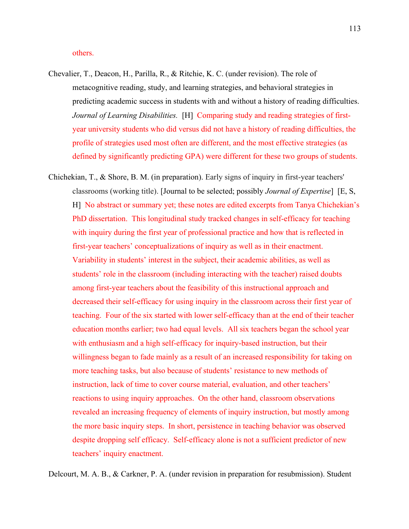## others.

- Chevalier, T., Deacon, H., Parilla, R., & Ritchie, K. C. (under revision). The role of metacognitive reading, study, and learning strategies, and behavioral strategies in predicting academic success in students with and without a history of reading difficulties. *Journal of Learning Disabilities.* [H] Comparing study and reading strategies of firstyear university students who did versus did not have a history of reading difficulties, the profile of strategies used most often are different, and the most effective strategies (as defined by significantly predicting GPA) were different for these two groups of students.
- Chichekian, T., & Shore, B. M. (in preparation). Early signs of inquiry in first-year teachers' classrooms (working title). [Journal to be selected; possibly *Journal of Expertise*] [E, S, H] No abstract or summary yet; these notes are edited excerpts from Tanya Chichekian's PhD dissertation. This longitudinal study tracked changes in self-efficacy for teaching with inquiry during the first year of professional practice and how that is reflected in first-year teachers' conceptualizations of inquiry as well as in their enactment. Variability in students' interest in the subject, their academic abilities, as well as students' role in the classroom (including interacting with the teacher) raised doubts among first-year teachers about the feasibility of this instructional approach and decreased their self-efficacy for using inquiry in the classroom across their first year of teaching. Four of the six started with lower self-efficacy than at the end of their teacher education months earlier; two had equal levels. All six teachers began the school year with enthusiasm and a high self-efficacy for inquiry-based instruction, but their willingness began to fade mainly as a result of an increased responsibility for taking on more teaching tasks, but also because of students' resistance to new methods of instruction, lack of time to cover course material, evaluation, and other teachers' reactions to using inquiry approaches. On the other hand, classroom observations revealed an increasing frequency of elements of inquiry instruction, but mostly among the more basic inquiry steps. In short, persistence in teaching behavior was observed despite dropping self efficacy. Self-efficacy alone is not a sufficient predictor of new teachers' inquiry enactment.

Delcourt, M. A. B., & Carkner, P. A. (under revision in preparation for resubmission). Student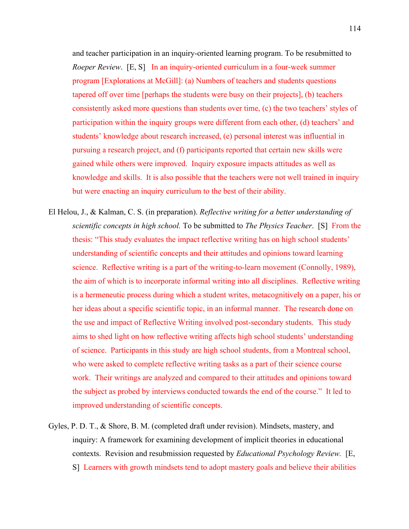and teacher participation in an inquiry-oriented learning program. To be resubmitted to *Roeper Review.* [E, S] In an inquiry-oriented curriculum in a four-week summer program [Explorations at McGill]: (a) Numbers of teachers and students questions tapered off over time [perhaps the students were busy on their projects], (b) teachers consistently asked more questions than students over time, (c) the two teachers' styles of participation within the inquiry groups were different from each other, (d) teachers' and students' knowledge about research increased, (e) personal interest was influential in pursuing a research project, and (f) participants reported that certain new skills were gained while others were improved. Inquiry exposure impacts attitudes as well as knowledge and skills. It is also possible that the teachers were not well trained in inquiry but were enacting an inquiry curriculum to the best of their ability.

- El Helou, J., & Kalman, C. S. (in preparation). *Reflective writing for a better understanding of scientific concepts in high school.* To be submitted to *The Physics Teacher*. [S] From the thesis: "This study evaluates the impact reflective writing has on high school students' understanding of scientific concepts and their attitudes and opinions toward learning science. Reflective writing is a part of the writing-to-learn movement (Connolly, 1989), the aim of which is to incorporate informal writing into all disciplines. Reflective writing is a hermeneutic process during which a student writes, metacognitively on a paper, his or her ideas about a specific scientific topic, in an informal manner. The research done on the use and impact of Reflective Writing involved post-secondary students. This study aims to shed light on how reflective writing affects high school students' understanding of science. Participants in this study are high school students, from a Montreal school, who were asked to complete reflective writing tasks as a part of their science course work. Their writings are analyzed and compared to their attitudes and opinions toward the subject as probed by interviews conducted towards the end of the course." It led to improved understanding of scientific concepts.
- Gyles, P. D. T., & Shore, B. M. (completed draft under revision). Mindsets, mastery, and inquiry: A framework for examining development of implicit theories in educational contexts. Revision and resubmission requested by *Educational Psychology Review.* [E, S] Learners with growth mindsets tend to adopt mastery goals and believe their abilities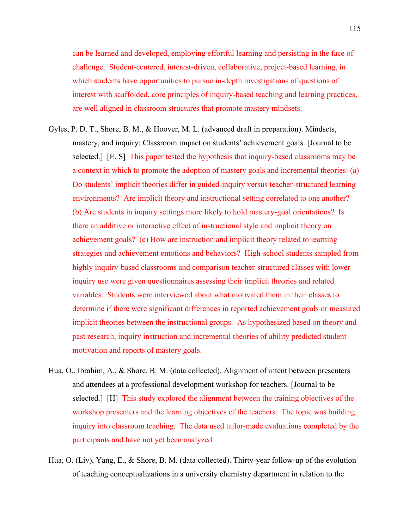can be learned and developed, employing effortful learning and persisting in the face of challenge. Student-centered, interest-driven, collaborative, project-based learning, in which students have opportunities to pursue in-depth investigations of questions of interest with scaffolded, core principles of inquiry-based teaching and learning practices, are well aligned in classroom structures that promote mastery mindsets.

- Gyles, P. D. T., Shore, B. M., & Hoover, M. L. (advanced draft in preparation). Mindsets, mastery, and inquiry: Classroom impact on students' achievement goals. [Journal to be selected.] [E. S] This paper tested the hypothesis that inquiry-based classrooms may be a context in which to promote the adoption of mastery goals and incremental theories: (a) Do students' implicit theories differ in guided-inquiry versus teacher-structured learning environments? Are implicit theory and instructional setting correlated to one another? (b) Are students in inquiry settings more likely to hold mastery-goal orientations? Is there an additive or interactive effect of instructional style and implicit theory on achievement goals? (c) How are instruction and implicit theory related to learning strategies and achievement emotions and behaviors? High-school students sampled from highly inquiry-based classrooms and comparison teacher-structured classes with lower inquiry use were given questionnaires assessing their implicit theories and related variables. Students were interviewed about what motivated them in their classes to determine if there were significant differences in reported achievement goals or measured implicit theories between the instructional groups. As hypothesized based on theory and past research, inquiry instruction and incremental theories of ability predicted student motivation and reports of mastery goals.
- Hua, O., Ibrahim, A., & Shore, B. M. (data collected). Alignment of intent between presenters and attendees at a professional development workshop for teachers. [Journal to be selected.] [H] This study explored the alignment between the training objectives of the workshop presenters and the learning objectives of the teachers. The topic was building inquiry into classroom teaching. The data used tailor-made evaluations completed by the participants and have not yet been analyzed.
- Hua, O. (Liv), Yang, E., & Shore, B. M. (data collected). Thirty-year follow-up of the evolution of teaching conceptualizations in a university chemistry department in relation to the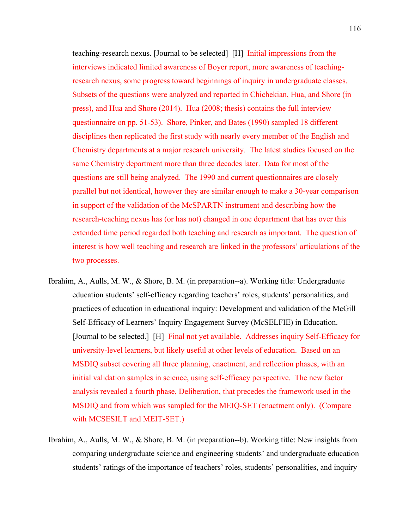teaching-research nexus. [Journal to be selected] [H] Initial impressions from the interviews indicated limited awareness of Boyer report, more awareness of teachingresearch nexus, some progress toward beginnings of inquiry in undergraduate classes. Subsets of the questions were analyzed and reported in Chichekian, Hua, and Shore (in press), and Hua and Shore (2014). Hua (2008; thesis) contains the full interview questionnaire on pp. 51-53). Shore, Pinker, and Bates (1990) sampled 18 different disciplines then replicated the first study with nearly every member of the English and Chemistry departments at a major research university. The latest studies focused on the same Chemistry department more than three decades later. Data for most of the questions are still being analyzed. The 1990 and current questionnaires are closely parallel but not identical, however they are similar enough to make a 30-year comparison in support of the validation of the McSPARTN instrument and describing how the research-teaching nexus has (or has not) changed in one department that has over this extended time period regarded both teaching and research as important. The question of interest is how well teaching and research are linked in the professors' articulations of the two processes.

- Ibrahim, A., Aulls, M. W., & Shore, B. M. (in preparation--a). Working title: Undergraduate education students' self-efficacy regarding teachers' roles, students' personalities, and practices of education in educational inquiry: Development and validation of the McGill Self-Efficacy of Learners' Inquiry Engagement Survey (McSELFIE) in Education. [Journal to be selected.] [H] Final not yet available. Addresses inquiry Self-Efficacy for university-level learners, but likely useful at other levels of education. Based on an MSDIQ subset covering all three planning, enactment, and reflection phases, with an initial validation samples in science, using self-efficacy perspective. The new factor analysis revealed a fourth phase, Deliberation, that precedes the framework used in the MSDIQ and from which was sampled for the MEIQ-SET (enactment only). (Compare with MCSESILT and MEIT-SET.)
- Ibrahim, A., Aulls, M. W., & Shore, B. M. (in preparation--b). Working title: New insights from comparing undergraduate science and engineering students' and undergraduate education students' ratings of the importance of teachers' roles, students' personalities, and inquiry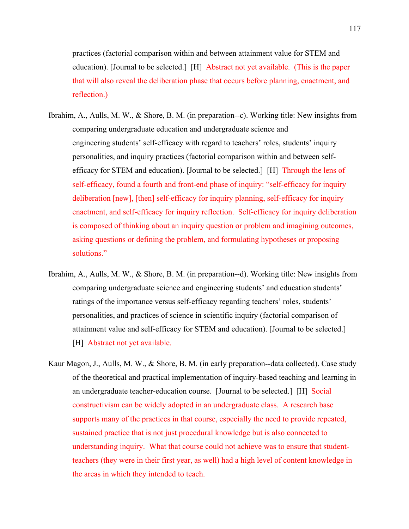practices (factorial comparison within and between attainment value for STEM and education). [Journal to be selected.] [H] Abstract not yet available. (This is the paper that will also reveal the deliberation phase that occurs before planning, enactment, and reflection.)

- Ibrahim, A., Aulls, M. W., & Shore, B. M. (in preparation--c). Working title: New insights from comparing undergraduate education and undergraduate science and engineering students' self-efficacy with regard to teachers' roles, students' inquiry personalities, and inquiry practices (factorial comparison within and between selfefficacy for STEM and education). [Journal to be selected.] [H] Through the lens of self-efficacy, found a fourth and front-end phase of inquiry: "self-efficacy for inquiry deliberation [new], [then] self-efficacy for inquiry planning, self-efficacy for inquiry enactment, and self-efficacy for inquiry reflection. Self-efficacy for inquiry deliberation is composed of thinking about an inquiry question or problem and imagining outcomes, asking questions or defining the problem, and formulating hypotheses or proposing solutions."
- Ibrahim, A., Aulls, M. W., & Shore, B. M. (in preparation--d). Working title: New insights from comparing undergraduate science and engineering students' and education students' ratings of the importance versus self-efficacy regarding teachers' roles, students' personalities, and practices of science in scientific inquiry (factorial comparison of attainment value and self-efficacy for STEM and education). [Journal to be selected.] [H] Abstract not yet available.
- Kaur Magon, J., Aulls, M. W., & Shore, B. M. (in early preparation--data collected). Case study of the theoretical and practical implementation of inquiry-based teaching and learning in an undergraduate teacher-education course. [Journal to be selected.] [H] Social constructivism can be widely adopted in an undergraduate class. A research base supports many of the practices in that course, especially the need to provide repeated, sustained practice that is not just procedural knowledge but is also connected to understanding inquiry. What that course could not achieve was to ensure that studentteachers (they were in their first year, as well) had a high level of content knowledge in the areas in which they intended to teach.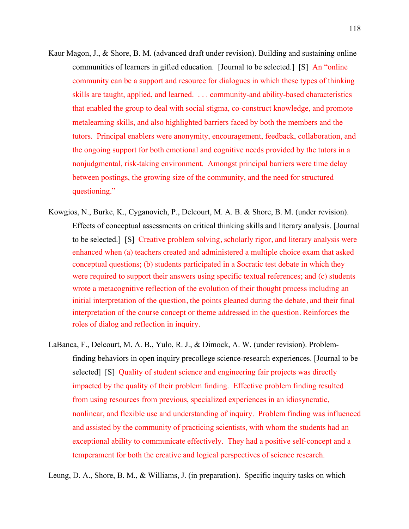- Kaur Magon, J., & Shore, B. M. (advanced draft under revision). Building and sustaining online communities of learners in gifted education. [Journal to be selected.] [S] An "online community can be a support and resource for dialogues in which these types of thinking skills are taught, applied, and learned. . . . community-and ability-based characteristics that enabled the group to deal with social stigma, co-construct knowledge, and promote metalearning skills, and also highlighted barriers faced by both the members and the tutors. Principal enablers were anonymity, encouragement, feedback, collaboration, and the ongoing support for both emotional and cognitive needs provided by the tutors in a nonjudgmental, risk-taking environment. Amongst principal barriers were time delay between postings, the growing size of the community, and the need for structured questioning."
- Kowgios, N., Burke, K., Cyganovich, P., Delcourt, M. A. B. & Shore, B. M. (under revision). Effects of conceptual assessments on critical thinking skills and literary analysis. [Journal to be selected.] [S] Creative problem solving, scholarly rigor, and literary analysis were enhanced when (a) teachers created and administered a multiple choice exam that asked conceptual questions; (b) students participated in a Socratic test debate in which they were required to support their answers using specific textual references; and (c) students wrote a metacognitive reflection of the evolution of their thought process including an initial interpretation of the question, the points gleaned during the debate, and their final interpretation of the course concept or theme addressed in the question. Reinforces the roles of dialog and reflection in inquiry.
- LaBanca, F., Delcourt, M. A. B., Yulo, R. J., & Dimock, A. W. (under revision). Problemfinding behaviors in open inquiry precollege science-research experiences. [Journal to be selected] [S] Quality of student science and engineering fair projects was directly impacted by the quality of their problem finding. Effective problem finding resulted from using resources from previous, specialized experiences in an idiosyncratic, nonlinear, and flexible use and understanding of inquiry. Problem finding was influenced and assisted by the community of practicing scientists, with whom the students had an exceptional ability to communicate effectively. They had a positive self-concept and a temperament for both the creative and logical perspectives of science research.

Leung, D. A., Shore, B. M., & Williams, J. (in preparation). Specific inquiry tasks on which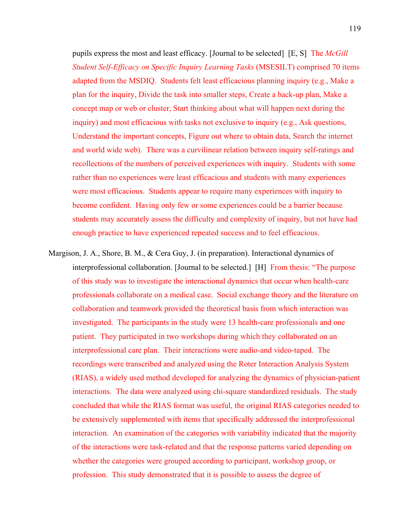pupils express the most and least efficacy. [Journal to be selected] [E, S] The *McGill Student Self-Efficacy on Specific Inquiry Learning Tasks* (MSESILT) comprised 70 items adapted from the MSDIQ. Students felt least efficacious planning inquiry (e.g., Make a plan for the inquiry, Divide the task into smaller steps, Create a back-up plan, Make a concept map or web or cluster, Start thinking about what will happen next during the inquiry) and most efficacious with tasks not exclusive to inquiry (e.g., Ask questions, Understand the important concepts, Figure out where to obtain data, Search the internet and world wide web). There was a curvilinear relation between inquiry self-ratings and recollections of the numbers of perceived experiences with inquiry. Students with some rather than no experiences were least efficacious and students with many experiences were most efficacious. Students appear to require many experiences with inquiry to become confident. Having only few or some experiences could be a barrier because students may accurately assess the difficulty and complexity of inquiry, but not have had enough practice to have experienced repeated success and to feel efficacious.

Margison, J. A., Shore, B. M., & Cera Guy, J. (in preparation). Interactional dynamics of interprofessional collaboration. [Journal to be selected.] [H] From thesis: "The purpose of this study was to investigate the interactional dynamics that occur when health-care professionals collaborate on a medical case. Social exchange theory and the literature on collaboration and teamwork provided the theoretical basis from which interaction was investigated. The participants in the study were 13 health-care professionals and one patient. They participated in two workshops during which they collaborated on an interprofessional care plan. Their interactions were audio-and video-taped. The recordings were transcribed and analyzed using the Roter Interaction Analysis System (RIAS), a widely used method developed for analyzing the dynamics of physician-patient interactions. The data were analyzed using chi-square standardized residuals. The study concluded that while the RIAS format was useful, the original RIAS categories needed to be extensively supplemented with items that specifically addressed the interprofessional interaction. An examination of the categories with variability indicated that the majority of the interactions were task-related and that the response patterns varied depending on whether the categories were grouped according to participant, workshop group, or profession. This study demonstrated that it is possible to assess the degree of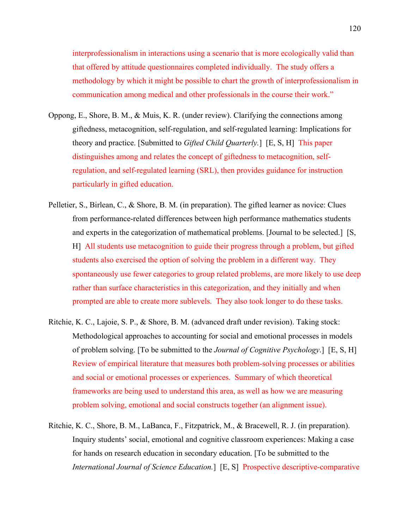interprofessionalism in interactions using a scenario that is more ecologically valid than that offered by attitude questionnaires completed individually. The study offers a methodology by which it might be possible to chart the growth of interprofessionalism in communication among medical and other professionals in the course their work."

- Oppong, E., Shore, B. M., & Muis, K. R. (under review). Clarifying the connections among giftedness, metacognition, self-regulation, and self-regulated learning: Implications for theory and practice. [Submitted to *Gifted Child Quarterly.*] [E, S, H] This paper distinguishes among and relates the concept of giftedness to metacognition, selfregulation, and self-regulated learning (SRL), then provides guidance for instruction particularly in gifted education.
- Pelletier, S., Birlean, C., & Shore, B. M. (in preparation). The gifted learner as novice: Clues from performance-related differences between high performance mathematics students and experts in the categorization of mathematical problems. [Journal to be selected.] [S, H] All students use metacognition to guide their progress through a problem, but gifted students also exercised the option of solving the problem in a different way. They spontaneously use fewer categories to group related problems, are more likely to use deep rather than surface characteristics in this categorization, and they initially and when prompted are able to create more sublevels. They also took longer to do these tasks.
- Ritchie, K. C., Lajoie, S. P., & Shore, B. M. (advanced draft under revision). Taking stock: Methodological approaches to accounting for social and emotional processes in models of problem solving. [To be submitted to the *Journal of Cognitive Psychology*.] [E, S, H] Review of empirical literature that measures both problem-solving processes or abilities and social or emotional processes or experiences. Summary of which theoretical frameworks are being used to understand this area, as well as how we are measuring problem solving, emotional and social constructs together (an alignment issue).
- Ritchie, K. C., Shore, B. M., LaBanca, F., Fitzpatrick, M., & Bracewell, R. J. (in preparation). Inquiry students' social, emotional and cognitive classroom experiences: Making a case for hands on research education in secondary education. [To be submitted to the *International Journal of Science Education.*] [E, S] Prospective descriptive-comparative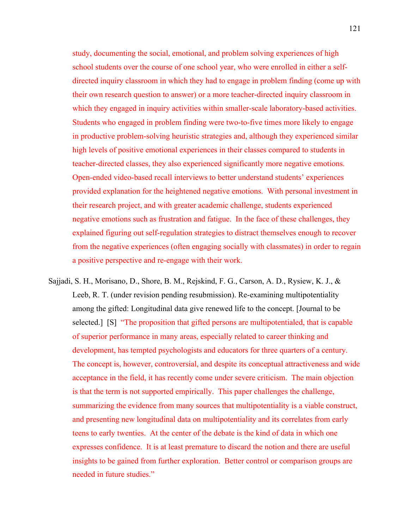study, documenting the social, emotional, and problem solving experiences of high school students over the course of one school year, who were enrolled in either a selfdirected inquiry classroom in which they had to engage in problem finding (come up with their own research question to answer) or a more teacher-directed inquiry classroom in which they engaged in inquiry activities within smaller-scale laboratory-based activities. Students who engaged in problem finding were two-to-five times more likely to engage in productive problem-solving heuristic strategies and, although they experienced similar high levels of positive emotional experiences in their classes compared to students in teacher-directed classes, they also experienced significantly more negative emotions. Open-ended video-based recall interviews to better understand students' experiences provided explanation for the heightened negative emotions. With personal investment in their research project, and with greater academic challenge, students experienced negative emotions such as frustration and fatigue. In the face of these challenges, they explained figuring out self-regulation strategies to distract themselves enough to recover from the negative experiences (often engaging socially with classmates) in order to regain a positive perspective and re-engage with their work.

Sajjadi, S. H., Morisano, D., Shore, B. M., Rejskind, F. G., Carson, A. D., Rysiew, K. J., & Leeb, R. T. (under revision pending resubmission). Re-examining multipotentiality among the gifted: Longitudinal data give renewed life to the concept. [Journal to be selected.] [S] "The proposition that gifted persons are multipotentialed, that is capable of superior performance in many areas, especially related to career thinking and development, has tempted psychologists and educators for three quarters of a century. The concept is, however, controversial, and despite its conceptual attractiveness and wide acceptance in the field, it has recently come under severe criticism. The main objection is that the term is not supported empirically. This paper challenges the challenge, summarizing the evidence from many sources that multipotentiality is a viable construct, and presenting new longitudinal data on multipotentiality and its correlates from early teens to early twenties. At the center of the debate is the kind of data in which one expresses confidence. It is at least premature to discard the notion and there are useful insights to be gained from further exploration. Better control or comparison groups are needed in future studies."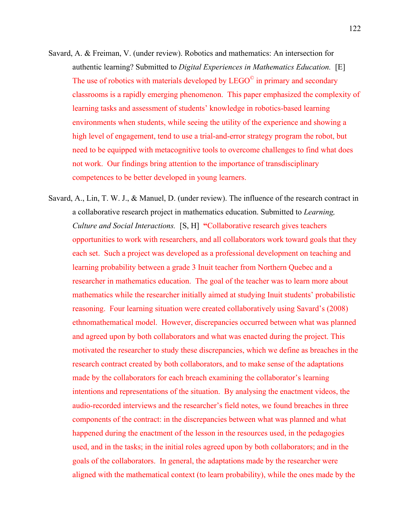- Savard, A. & Freiman, V. (under review). Robotics and mathematics: An intersection for authentic learning? Submitted to *Digital Experiences in Mathematics Education.* [E] The use of robotics with materials developed by  $LEGO^{\circ}$  in primary and secondary classrooms is a rapidly emerging phenomenon. This paper emphasized the complexity of learning tasks and assessment of students' knowledge in robotics-based learning environments when students, while seeing the utility of the experience and showing a high level of engagement, tend to use a trial-and-error strategy program the robot, but need to be equipped with metacognitive tools to overcome challenges to find what does not work. Our findings bring attention to the importance of transdisciplinary competences to be better developed in young learners.
- Savard, A., Lin, T. W. J., & Manuel, D. (under review). The influence of the research contract in a collaborative research project in mathematics education. Submitted to *Learning, Culture and Social Interactions.* [S, H] **"**Collaborative research gives teachers opportunities to work with researchers, and all collaborators work toward goals that they each set. Such a project was developed as a professional development on teaching and learning probability between a grade 3 Inuit teacher from Northern Quebec and a researcher in mathematics education. The goal of the teacher was to learn more about mathematics while the researcher initially aimed at studying Inuit students' probabilistic reasoning. Four learning situation were created collaboratively using Savard's (2008) ethnomathematical model. However, discrepancies occurred between what was planned and agreed upon by both collaborators and what was enacted during the project. This motivated the researcher to study these discrepancies, which we define as breaches in the research contract created by both collaborators, and to make sense of the adaptations made by the collaborators for each breach examining the collaborator's learning intentions and representations of the situation. By analysing the enactment videos, the audio-recorded interviews and the researcher's field notes, we found breaches in three components of the contract: in the discrepancies between what was planned and what happened during the enactment of the lesson in the resources used, in the pedagogies used, and in the tasks; in the initial roles agreed upon by both collaborators; and in the goals of the collaborators. In general, the adaptations made by the researcher were aligned with the mathematical context (to learn probability), while the ones made by the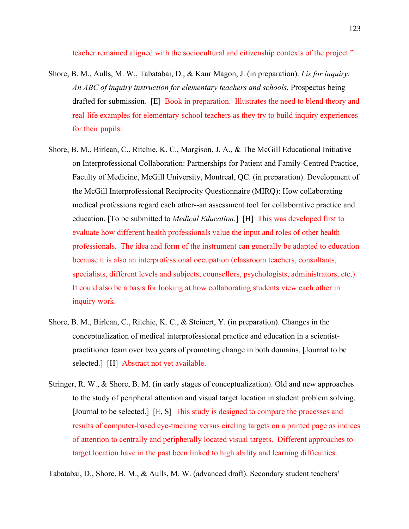teacher remained aligned with the sociocultural and citizenship contexts of the project."

- Shore, B. M., Aulls, M. W., Tabatabai, D., & Kaur Magon, J. (in preparation). *I is for inquiry: An ABC of inquiry instruction for elementary teachers and schools.* Prospectus being drafted for submission. [E] Book in preparation. Illustrates the need to blend theory and real-life examples for elementary-school teachers as they try to build inquiry experiences for their pupils.
- Shore, B. M., Birlean, C., Ritchie, K. C., Margison, J. A., & The McGill Educational Initiative on Interprofessional Collaboration: Partnerships for Patient and Family-Centred Practice, Faculty of Medicine, McGill University, Montreal, QC. (in preparation). Development of the McGill Interprofessional Reciprocity Questionnaire (MIRQ): How collaborating medical professions regard each other--an assessment tool for collaborative practice and education. [To be submitted to *Medical Education*.] [H] This was developed first to evaluate how different health professionals value the input and roles of other health professionals. The idea and form of the instrument can generally be adapted to education because it is also an interprofessional occupation (classroom teachers, consultants, specialists, different levels and subjects, counsellors, psychologists, administrators, etc.). It could also be a basis for looking at how collaborating students view each other in inquiry work.
- Shore, B. M., Birlean, C., Ritchie, K. C., & Steinert, Y. (in preparation). Changes in the conceptualization of medical interprofessional practice and education in a scientistpractitioner team over two years of promoting change in both domains. [Journal to be selected.] [H] Abstract not yet available.
- Stringer, R. W., & Shore, B. M. (in early stages of conceptualization). Old and new approaches to the study of peripheral attention and visual target location in student problem solving. [Journal to be selected.] [E, S] This study is designed to compare the processes and results of computer-based eye-tracking versus circling targets on a printed page as indices of attention to centrally and peripherally located visual targets. Different approaches to target location have in the past been linked to high ability and learning difficulties.

Tabatabai, D., Shore, B. M., & Aulls, M. W. (advanced draft). Secondary student teachers'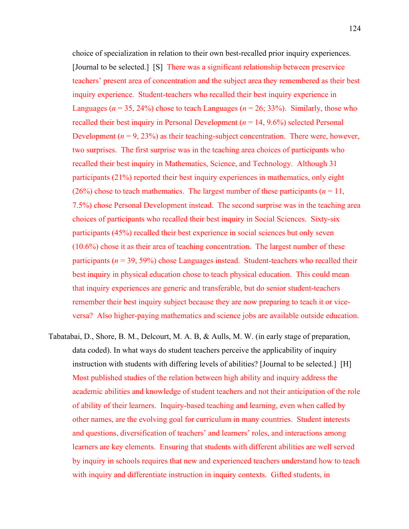choice of specialization in relation to their own best-recalled prior inquiry experiences. [Journal to be selected.] [S] There was a significant relationship between preservice teachers' present area of concentration and the subject area they remembered as their best inquiry experience. Student-teachers who recalled their best inquiry experience in Languages ( $n = 35$ , 24%) chose to teach Languages ( $n = 26$ ; 33%). Similarly, those who recalled their best inquiry in Personal Development  $(n = 14, 9.6\%)$  selected Personal Development  $(n = 9, 23%)$  as their teaching-subject concentration. There were, however, two surprises. The first surprise was in the teaching area choices of participants who recalled their best inquiry in Mathematics, Science, and Technology. Although 31 participants (21%) reported their best inquiry experiences in mathematics, only eight (26%) chose to teach mathematics. The largest number of these participants  $(n = 11)$ , 7.5%) chose Personal Development instead. The second surprise was in the teaching area choices of participants who recalled their best inquiry in Social Sciences. Sixty-six participants (45%) recalled their best experience in social sciences but only seven (10.6%) chose it as their area of teaching concentration. The largest number of these participants ( $n = 39, 59\%$ ) chose Languages instead. Student-teachers who recalled their best inquiry in physical education chose to teach physical education. This could mean that inquiry experiences are generic and transferable, but do senior student-teachers remember their best inquiry subject because they are now preparing to teach it or viceversa? Also higher-paying mathematics and science jobs are available outside education.

Tabatabai, D., Shore, B. M., Delcourt, M. A. B, & Aulls, M. W. (in early stage of preparation, data coded). In what ways do student teachers perceive the applicability of inquiry instruction with students with differing levels of abilities? [Journal to be selected.] [H] Most published studies of the relation between high ability and inquiry address the academic abilities and knowledge of student teachers and not their anticipation of the role of ability of their learners. Inquiry-based teaching and learning, even when called by other names, are the evolving goal for curriculum in many countries. Student interests and questions, diversification of teachers' and learners' roles, and interactions among learners are key elements. Ensuring that students with different abilities are well served by inquiry in schools requires that new and experienced teachers understand how to teach with inquiry and differentiate instruction in inquiry contexts. Gifted students, in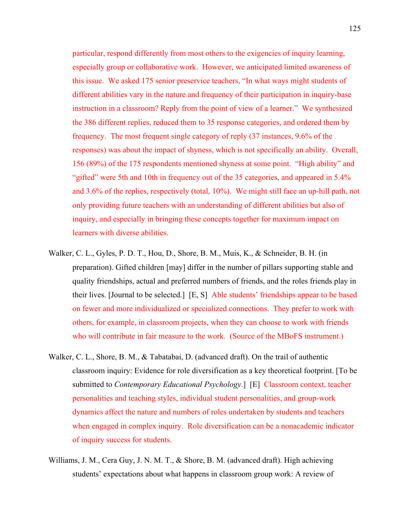particular, respond differently from most others to the exigencies of inquiry learning, especially group or collaborative work. However, we anticipated limited awareness of this issue. We asked 175 senior preservice teachers, "In what ways might students of different abilities vary in the nature and frequency of their participation in inquiry-base instruction in a classroom? Reply from the point of view of a learner." We synthesized the 386 different replies, reduced them to 35 response categories, and ordered them by frequency. The most frequent single category of reply (37 instances, 9.6% of the responses) was about the impact of shyness, which is not specifically an ability. Overall, 156 (89%) of the 175 respondents mentioned shyness at some point. "High ability" and "gifted" were 5th and 10th in frequency out of the 35 categories, and appeared in 5.4% and 3.6% of the replies, respectively (total, 10%). We might still face an up-hill path, not only providing future teachers with an understanding of different abilities but also of inquiry, and especially in bringing these concepts together for maximum impact on learners with diverse abilities.

- Walker, C. L., Gyles, P. D. T., Hou, D., Shore, B. M., Muis, K., & Schneider, B. H. (in preparation). Gifted children [may] differ in the number of pillars supporting stable and quality friendships, actual and preferred numbers of friends, and the roles friends play in their lives. [Journal to be selected.] [E, S] Able students' friendships appear to be based on fewer and more individualized or specialized connections. They prefer to work with others, for example, in classroom projects, when they can choose to work with friends who will contribute in fair measure to the work. (Source of the MBoFS instrument.)
- Walker, C. L., Shore, B. M., & Tabatabai, D. (advanced draft). On the trail of authentic classroom inquiry: Evidence for role diversification as a key theoretical footprint. [To be submitted to *Contemporary Educational Psychology*.] [E] Classroom context, teacher personalities and teaching styles, individual student personalities, and group-work dynamics affect the nature and numbers of roles undertaken by students and teachers when engaged in complex inquiry. Role diversification can be a nonacademic indicator of inquiry success for students.
- Williams, J. M., Cera Guy, J. N. M. T., & Shore, B. M. (advanced draft). High achieving students' expectations about what happens in classroom group work: A review of